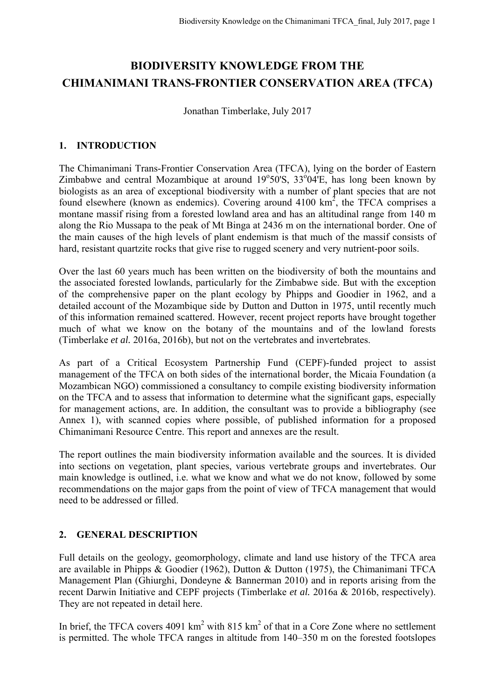# **BIODIVERSITY KNOWLEDGE FROM THE CHIMANIMANI TRANS-FRONTIER CONSERVATION AREA (TFCA)**

Jonathan Timberlake, July 2017

### **1. INTRODUCTION**

The Chimanimani Trans-Frontier Conservation Area (TFCA), lying on the border of Eastern Zimbabwe and central Mozambique at around  $19^{\circ}50^{\prime}$ S,  $33^{\circ}04^{\prime}$ E, has long been known by biologists as an area of exceptional biodiversity with a number of plant species that are not found elsewhere (known as endemics). Covering around  $4100 \text{ km}^2$ , the TFCA comprises a montane massif rising from a forested lowland area and has an altitudinal range from 140 m along the Rio Mussapa to the peak of Mt Binga at 2436 m on the international border. One of the main causes of the high levels of plant endemism is that much of the massif consists of hard, resistant quartzite rocks that give rise to rugged scenery and very nutrient-poor soils.

Over the last 60 years much has been written on the biodiversity of both the mountains and the associated forested lowlands, particularly for the Zimbabwe side. But with the exception of the comprehensive paper on the plant ecology by Phipps and Goodier in 1962, and a detailed account of the Mozambique side by Dutton and Dutton in 1975, until recently much of this information remained scattered. However, recent project reports have brought together much of what we know on the botany of the mountains and of the lowland forests (Timberlake *et al.* 2016a, 2016b), but not on the vertebrates and invertebrates.

As part of a Critical Ecosystem Partnership Fund (CEPF)-funded project to assist management of the TFCA on both sides of the international border, the Micaia Foundation (a Mozambican NGO) commissioned a consultancy to compile existing biodiversity information on the TFCA and to assess that information to determine what the significant gaps, especially for management actions, are. In addition, the consultant was to provide a bibliography (see Annex 1), with scanned copies where possible, of published information for a proposed Chimanimani Resource Centre. This report and annexes are the result.

The report outlines the main biodiversity information available and the sources. It is divided into sections on vegetation, plant species, various vertebrate groups and invertebrates. Our main knowledge is outlined, i.e. what we know and what we do not know, followed by some recommendations on the major gaps from the point of view of TFCA management that would need to be addressed or filled.

## **2. GENERAL DESCRIPTION**

Full details on the geology, geomorphology, climate and land use history of the TFCA area are available in Phipps & Goodier (1962), Dutton & Dutton (1975), the Chimanimani TFCA Management Plan (Ghiurghi, Dondeyne & Bannerman 2010) and in reports arising from the recent Darwin Initiative and CEPF projects (Timberlake *et al.* 2016a & 2016b, respectively). They are not repeated in detail here.

In brief, the TFCA covers  $4091 \text{ km}^2$  with  $815 \text{ km}^2$  of that in a Core Zone where no settlement is permitted. The whole TFCA ranges in altitude from 140–350 m on the forested footslopes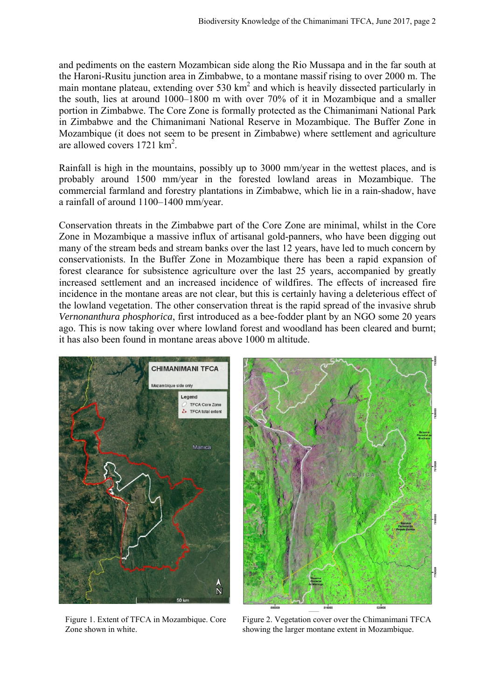and pediments on the eastern Mozambican side along the Rio Mussapa and in the far south at the Haroni-Rusitu junction area in Zimbabwe, to a montane massif rising to over 2000 m. The main montane plateau, extending over 530  $km^2$  and which is heavily dissected particularly in the south, lies at around 1000–1800 m with over 70% of it in Mozambique and a smaller portion in Zimbabwe. The Core Zone is formally protected as the Chimanimani National Park in Zimbabwe and the Chimanimani National Reserve in Mozambique. The Buffer Zone in Mozambique (it does not seem to be present in Zimbabwe) where settlement and agriculture are allowed covers 1721 km<sup>2</sup>.

Rainfall is high in the mountains, possibly up to 3000 mm/year in the wettest places, and is probably around 1500 mm/year in the forested lowland areas in Mozambique. The commercial farmland and forestry plantations in Zimbabwe, which lie in a rain-shadow, have a rainfall of around 1100–1400 mm/year.

Conservation threats in the Zimbabwe part of the Core Zone are minimal, whilst in the Core Zone in Mozambique a massive influx of artisanal gold-panners, who have been digging out many of the stream beds and stream banks over the last 12 years, have led to much concern by conservationists. In the Buffer Zone in Mozambique there has been a rapid expansion of forest clearance for subsistence agriculture over the last 25 years, accompanied by greatly increased settlement and an increased incidence of wildfires. The effects of increased fire incidence in the montane areas are not clear, but this is certainly having a deleterious effect of the lowland vegetation. The other conservation threat is the rapid spread of the invasive shrub *Vernonanthura phosphorica*, first introduced as a bee-fodder plant by an NGO some 20 years ago. This is now taking over where lowland forest and woodland has been cleared and burnt; it has also been found in montane areas above 1000 m altitude.



Figure 1. Extent of TFCA in Mozambique. Core Zone shown in white.



Figure 2. Vegetation cover over the Chimanimani TFCA showing the larger montane extent in Mozambique.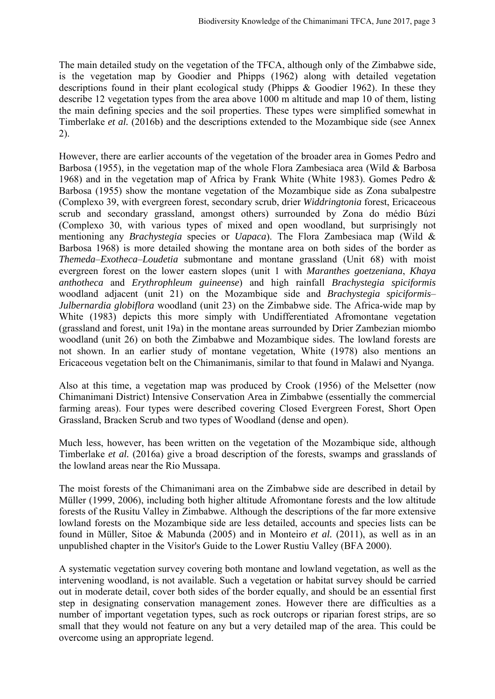The main detailed study on the vegetation of the TFCA, although only of the Zimbabwe side, is the vegetation map by Goodier and Phipps (1962) along with detailed vegetation descriptions found in their plant ecological study (Phipps & Goodier 1962). In these they describe 12 vegetation types from the area above 1000 m altitude and map 10 of them, listing the main defining species and the soil properties. These types were simplified somewhat in Timberlake *et al.* (2016b) and the descriptions extended to the Mozambique side (see Annex 2).

However, there are earlier accounts of the vegetation of the broader area in Gomes Pedro and Barbosa (1955), in the vegetation map of the whole Flora Zambesiaca area (Wild & Barbosa 1968) and in the vegetation map of Africa by Frank White (White 1983). Gomes Pedro & Barbosa (1955) show the montane vegetation of the Mozambique side as Zona subalpestre (Complexo 39, with evergreen forest, secondary scrub, drier *Widdringtonia* forest, Ericaceous scrub and secondary grassland, amongst others) surrounded by Zona do médio Búzi (Complexo 30, with various types of mixed and open woodland, but surprisingly not mentioning any *Brachystegia* species or *Uapaca*). The Flora Zambesiaca map (Wild & Barbosa 1968) is more detailed showing the montane area on both sides of the border as *Themeda–Exotheca–Loudetia* submontane and montane grassland (Unit 68) with moist evergreen forest on the lower eastern slopes (unit 1 with *Maranthes goetzeniana*, *Khaya anthotheca* and *Erythrophleum guineense*) and high rainfall *Brachystegia spiciformis*  woodland adjacent (unit 21) on the Mozambique side and *Brachystegia spiciformis*-*Julbernardia globiflora* woodland (unit 23) on the Zimbabwe side. The Africa-wide map by White (1983) depicts this more simply with Undifferentiated Afromontane vegetation (grassland and forest, unit 19a) in the montane areas surrounded by Drier Zambezian miombo woodland (unit 26) on both the Zimbabwe and Mozambique sides. The lowland forests are not shown. In an earlier study of montane vegetation, White (1978) also mentions an Ericaceous vegetation belt on the Chimanimanis, similar to that found in Malawi and Nyanga.

Also at this time, a vegetation map was produced by Crook (1956) of the Melsetter (now Chimanimani District) Intensive Conservation Area in Zimbabwe (essentially the commercial farming areas). Four types were described covering Closed Evergreen Forest, Short Open Grassland, Bracken Scrub and two types of Woodland (dense and open).

Much less, however, has been written on the vegetation of the Mozambique side, although Timberlake *et al.* (2016a) give a broad description of the forests, swamps and grasslands of the lowland areas near the Rio Mussapa.

The moist forests of the Chimanimani area on the Zimbabwe side are described in detail by Müller (1999, 2006), including both higher altitude Afromontane forests and the low altitude forests of the Rusitu Valley in Zimbabwe. Although the descriptions of the far more extensive lowland forests on the Mozambique side are less detailed, accounts and species lists can be found in Müller, Sitoe & Mabunda (2005) and in Monteiro *et al.* (2011), as well as in an unpublished chapter in the Visitor's Guide to the Lower Rustiu Valley (BFA 2000).

A systematic vegetation survey covering both montane and lowland vegetation, as well as the intervening woodland, is not available. Such a vegetation or habitat survey should be carried out in moderate detail, cover both sides of the border equally, and should be an essential first step in designating conservation management zones. However there are difficulties as a number of important vegetation types, such as rock outcrops or riparian forest strips, are so small that they would not feature on any but a very detailed map of the area. This could be overcome using an appropriate legend.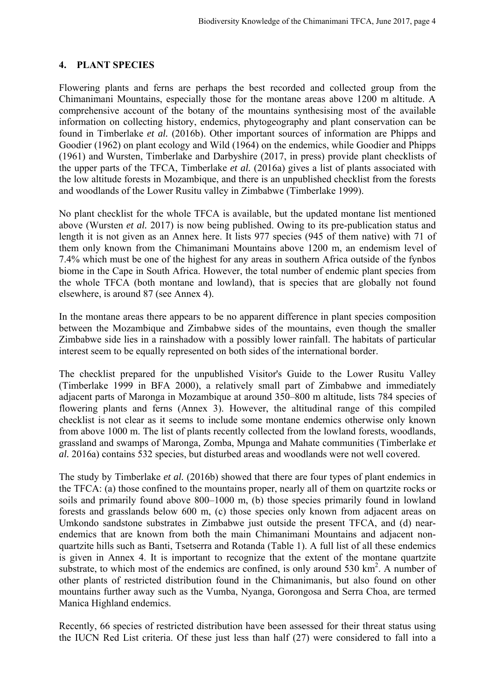#### **4. PLANT SPECIES**

Flowering plants and ferns are perhaps the best recorded and collected group from the Chimanimani Mountains, especially those for the montane areas above 1200 m altitude. A comprehensive account of the botany of the mountains synthesising most of the available information on collecting history, endemics, phytogeography and plant conservation can be found in Timberlake *et al.* (2016b). Other important sources of information are Phipps and Goodier (1962) on plant ecology and Wild (1964) on the endemics, while Goodier and Phipps (1961) and Wursten, Timberlake and Darbyshire (2017, in press) provide plant checklists of the upper parts of the TFCA, Timberlake *et al.* (2016a) gives a list of plants associated with the low altitude forests in Mozambique, and there is an unpublished checklist from the forests and woodlands of the Lower Rusitu valley in Zimbabwe (Timberlake 1999).

No plant checklist for the whole TFCA is available, but the updated montane list mentioned above (Wursten *et al.* 2017) is now being published. Owing to its pre-publication status and length it is not given as an Annex here. It lists 977 species (945 of them native) with 71 of them only known from the Chimanimani Mountains above 1200 m, an endemism level of 7.4% which must be one of the highest for any areas in southern Africa outside of the fynbos biome in the Cape in South Africa. However, the total number of endemic plant species from the whole TFCA (both montane and lowland), that is species that are globally not found elsewhere, is around 87 (see Annex 4).

In the montane areas there appears to be no apparent difference in plant species composition between the Mozambique and Zimbabwe sides of the mountains, even though the smaller Zimbabwe side lies in a rainshadow with a possibly lower rainfall. The habitats of particular interest seem to be equally represented on both sides of the international border.

The checklist prepared for the unpublished Visitor's Guide to the Lower Rusitu Valley (Timberlake 1999 in BFA 2000), a relatively small part of Zimbabwe and immediately adjacent parts of Maronga in Mozambique at around 350‒800 m altitude, lists 784 species of flowering plants and ferns (Annex 3). However, the altitudinal range of this compiled checklist is not clear as it seems to include some montane endemics otherwise only known from above 1000 m. The list of plants recently collected from the lowland forests, woodlands, grassland and swamps of Maronga, Zomba, Mpunga and Mahate communities (Timberlake *et al.* 2016a) contains 532 species, but disturbed areas and woodlands were not well covered.

The study by Timberlake *et al.* (2016b) showed that there are four types of plant endemics in the TFCA: (a) those confined to the mountains proper, nearly all of them on quartzite rocks or soils and primarily found above  $800-1000$  m, (b) those species primarily found in lowland forests and grasslands below 600 m, (c) those species only known from adjacent areas on Umkondo sandstone substrates in Zimbabwe just outside the present TFCA, and (d) nearendemics that are known from both the main Chimanimani Mountains and adjacent nonquartzite hills such as Banti, Tsetserra and Rotanda (Table 1). A full list of all these endemics is given in Annex 4. It is important to recognize that the extent of the montane quartzite substrate, to which most of the endemics are confined, is only around  $530 \text{ km}^2$ . A number of other plants of restricted distribution found in the Chimanimanis, but also found on other mountains further away such as the Vumba, Nyanga, Gorongosa and Serra Choa, are termed Manica Highland endemics.

Recently, 66 species of restricted distribution have been assessed for their threat status using the IUCN Red List criteria. Of these just less than half (27) were considered to fall into a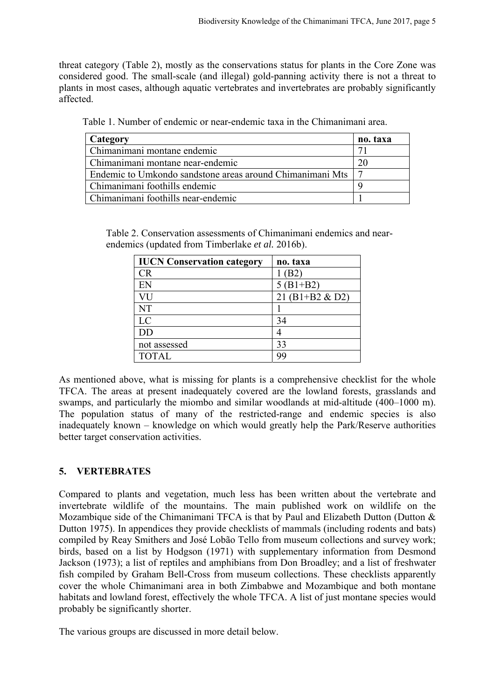threat category (Table 2), mostly as the conservations status for plants in the Core Zone was considered good. The small-scale (and illegal) gold-panning activity there is not a threat to plants in most cases, although aquatic vertebrates and invertebrates are probably significantly affected.

| Category                                                  | no. taxa |
|-----------------------------------------------------------|----------|
| Chimanimani montane endemic                               |          |
| Chimanimani montane near-endemic                          |          |
| Endemic to Umkondo sandstone areas around Chimanimani Mts |          |
| Chimanimani foothills endemic                             |          |
| Chimanimani foothills near-endemic                        |          |

Table 2. Conservation assessments of Chimanimani endemics and nearendemics (updated from Timberlake *et al.* 2016b).

| <b>IUCN Conservation category</b> | no. taxa        |
|-----------------------------------|-----------------|
| CR                                | 1(B2)           |
| EN                                | $5(B1+B2)$      |
| VU                                | 21 (B1+B2 & D2) |
| <b>NT</b>                         |                 |
| LC                                | 34              |
| <b>DD</b>                         |                 |
| not assessed                      | 33              |
| <b>TOTAL</b>                      | 99              |

As mentioned above, what is missing for plants is a comprehensive checklist for the whole TFCA. The areas at present inadequately covered are the lowland forests, grasslands and swamps, and particularly the miombo and similar woodlands at mid-altitude (400–1000 m). The population status of many of the restricted-range and endemic species is also inadequately known – knowledge on which would greatly help the Park/Reserve authorities better target conservation activities.

#### **5. VERTEBRATES**

Compared to plants and vegetation, much less has been written about the vertebrate and invertebrate wildlife of the mountains. The main published work on wildlife on the Mozambique side of the Chimanimani TFCA is that by Paul and Elizabeth Dutton (Dutton & Dutton 1975). In appendices they provide checklists of mammals (including rodents and bats) compiled by Reay Smithers and José Lobão Tello from museum collections and survey work; birds, based on a list by Hodgson (1971) with supplementary information from Desmond Jackson (1973); a list of reptiles and amphibians from Don Broadley; and a list of freshwater fish compiled by Graham Bell-Cross from museum collections. These checklists apparently cover the whole Chimanimani area in both Zimbabwe and Mozambique and both montane habitats and lowland forest, effectively the whole TFCA. A list of just montane species would probably be significantly shorter.

The various groups are discussed in more detail below.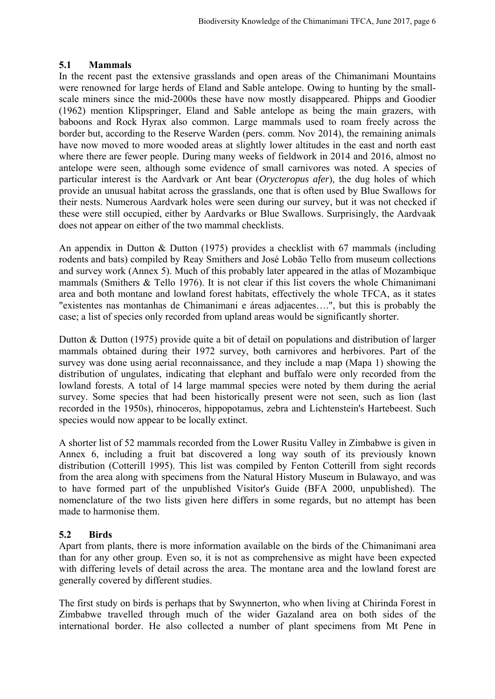### **5.1 Mammals**

In the recent past the extensive grasslands and open areas of the Chimanimani Mountains were renowned for large herds of Eland and Sable antelope. Owing to hunting by the smallscale miners since the mid-2000s these have now mostly disappeared. Phipps and Goodier (1962) mention Klipspringer, Eland and Sable antelope as being the main grazers, with baboons and Rock Hyrax also common. Large mammals used to roam freely across the border but, according to the Reserve Warden (pers. comm. Nov 2014), the remaining animals have now moved to more wooded areas at slightly lower altitudes in the east and north east where there are fewer people. During many weeks of fieldwork in 2014 and 2016, almost no antelope were seen, although some evidence of small carnivores was noted. A species of particular interest is the Aardvark or Ant bear (*Orycteropus afer*), the dug holes of which provide an unusual habitat across the grasslands, one that is often used by Blue Swallows for their nests. Numerous Aardvark holes were seen during our survey, but it was not checked if these were still occupied, either by Aardvarks or Blue Swallows. Surprisingly, the Aardvaak does not appear on either of the two mammal checklists.

An appendix in Dutton & Dutton (1975) provides a checklist with 67 mammals (including rodents and bats) compiled by Reay Smithers and José Lobão Tello from museum collections and survey work (Annex 5). Much of this probably later appeared in the atlas of Mozambique mammals (Smithers & Tello 1976). It is not clear if this list covers the whole Chimanimani area and both montane and lowland forest habitats, effectively the whole TFCA, as it states "existentes nas montanhas de Chimanimani e áreas adjacentes….", but this is probably the case; a list of species only recorded from upland areas would be significantly shorter.

Dutton & Dutton (1975) provide quite a bit of detail on populations and distribution of larger mammals obtained during their 1972 survey, both carnivores and herbivores. Part of the survey was done using aerial reconnaissance, and they include a map (Mapa 1) showing the distribution of ungulates, indicating that elephant and buffalo were only recorded from the lowland forests. A total of 14 large mammal species were noted by them during the aerial survey. Some species that had been historically present were not seen, such as lion (last recorded in the 1950s), rhinoceros, hippopotamus, zebra and Lichtenstein's Hartebeest. Such species would now appear to be locally extinct.

A shorter list of 52 mammals recorded from the Lower Rusitu Valley in Zimbabwe is given in Annex 6, including a fruit bat discovered a long way south of its previously known distribution (Cotterill 1995). This list was compiled by Fenton Cotterill from sight records from the area along with specimens from the Natural History Museum in Bulawayo, and was to have formed part of the unpublished Visitor's Guide (BFA 2000, unpublished). The nomenclature of the two lists given here differs in some regards, but no attempt has been made to harmonise them.

## **5.2 Birds**

Apart from plants, there is more information available on the birds of the Chimanimani area than for any other group. Even so, it is not as comprehensive as might have been expected with differing levels of detail across the area. The montane area and the lowland forest are generally covered by different studies.

The first study on birds is perhaps that by Swynnerton, who when living at Chirinda Forest in Zimbabwe travelled through much of the wider Gazaland area on both sides of the international border. He also collected a number of plant specimens from Mt Pene in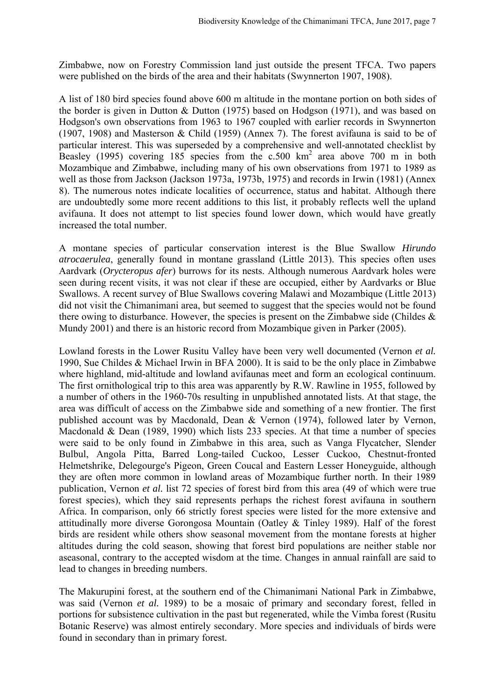Zimbabwe, now on Forestry Commission land just outside the present TFCA. Two papers were published on the birds of the area and their habitats (Swynnerton 1907, 1908).

A list of 180 bird species found above 600 m altitude in the montane portion on both sides of the border is given in Dutton & Dutton (1975) based on Hodgson (1971), and was based on Hodgson's own observations from 1963 to 1967 coupled with earlier records in Swynnerton (1907, 1908) and Masterson & Child (1959) (Annex 7). The forest avifauna is said to be of particular interest. This was superseded by a comprehensive and well-annotated checklist by Beasley (1995) covering 185 species from the  $c.500 \text{ km}^2$  area above 700 m in both Mozambique and Zimbabwe, including many of his own observations from 1971 to 1989 as well as those from Jackson (Jackson 1973a, 1973b, 1975) and records in Irwin (1981) (Annex 8). The numerous notes indicate localities of occurrence, status and habitat. Although there are undoubtedly some more recent additions to this list, it probably reflects well the upland avifauna. It does not attempt to list species found lower down, which would have greatly increased the total number.

A montane species of particular conservation interest is the Blue Swallow *Hirundo atrocaerulea*, generally found in montane grassland (Little 2013). This species often uses Aardvark (*Orycteropus afer*) burrows for its nests. Although numerous Aardvark holes were seen during recent visits, it was not clear if these are occupied, either by Aardvarks or Blue Swallows. A recent survey of Blue Swallows covering Malawi and Mozambique (Little 2013) did not visit the Chimanimani area, but seemed to suggest that the species would not be found there owing to disturbance. However, the species is present on the Zimbabwe side (Childes & Mundy 2001) and there is an historic record from Mozambique given in Parker (2005).

Lowland forests in the Lower Rusitu Valley have been very well documented (Vernon *et al.*  1990, Sue Childes & Michael Irwin in BFA 2000). It is said to be the only place in Zimbabwe where highland, mid-altitude and lowland avifaunas meet and form an ecological continuum. The first ornithological trip to this area was apparently by R.W. Rawline in 1955, followed by a number of others in the 1960-70s resulting in unpublished annotated lists. At that stage, the area was difficult of access on the Zimbabwe side and something of a new frontier. The first published account was by Macdonald, Dean & Vernon (1974), followed later by Vernon, Macdonald & Dean (1989, 1990) which lists 233 species. At that time a number of species were said to be only found in Zimbabwe in this area, such as Vanga Flycatcher, Slender Bulbul, Angola Pitta, Barred Long-tailed Cuckoo, Lesser Cuckoo, Chestnut-fronted Helmetshrike, Delegourge's Pigeon, Green Coucal and Eastern Lesser Honeyguide, although they are often more common in lowland areas of Mozambique further north. In their 1989 publication, Vernon *et al.* list 72 species of forest bird from this area (49 of which were true forest species), which they said represents perhaps the richest forest avifauna in southern Africa. In comparison, only 66 strictly forest species were listed for the more extensive and attitudinally more diverse Gorongosa Mountain (Oatley & Tinley 1989). Half of the forest birds are resident while others show seasonal movement from the montane forests at higher altitudes during the cold season, showing that forest bird populations are neither stable nor aseasonal, contrary to the accepted wisdom at the time. Changes in annual rainfall are said to lead to changes in breeding numbers.

The Makurupini forest, at the southern end of the Chimanimani National Park in Zimbabwe, was said (Vernon *et al.* 1989) to be a mosaic of primary and secondary forest, felled in portions for subsistence cultivation in the past but regenerated, while the Vimba forest (Rusitu Botanic Reserve) was almost entirely secondary. More species and individuals of birds were found in secondary than in primary forest.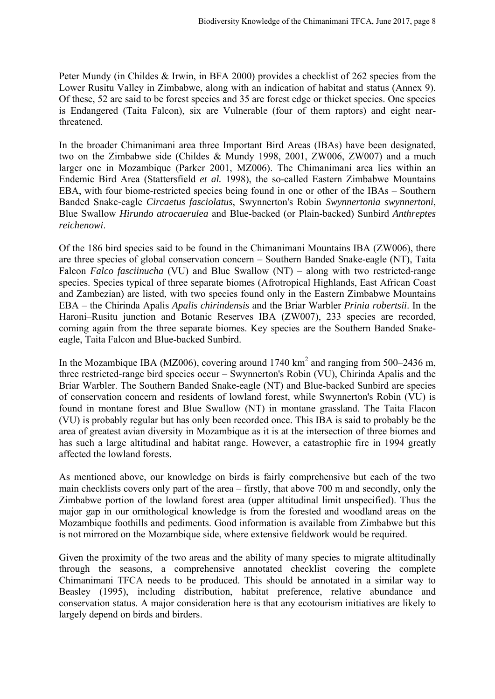Peter Mundy (in Childes & Irwin, in BFA 2000) provides a checklist of 262 species from the Lower Rusitu Valley in Zimbabwe, along with an indication of habitat and status (Annex 9). Of these, 52 are said to be forest species and 35 are forest edge or thicket species. One species is Endangered (Taita Falcon), six are Vulnerable (four of them raptors) and eight nearthreatened.

In the broader Chimanimani area three Important Bird Areas (IBAs) have been designated, two on the Zimbabwe side (Childes & Mundy 1998, 2001, ZW006, ZW007) and a much larger one in Mozambique (Parker 2001, MZ006). The Chimanimani area lies within an Endemic Bird Area (Stattersfield *et al.* 1998), the so-called Eastern Zimbabwe Mountains EBA, with four biome-restricted species being found in one or other of the IBAs – Southern Banded Snake-eagle *Circaetus fasciolatus*, Swynnerton's Robin *Swynnertonia swynnertoni*, Blue Swallow *Hirundo atrocaerulea* and Blue-backed (or Plain-backed) Sunbird *Anthreptes reichenowi*.

Of the 186 bird species said to be found in the Chimanimani Mountains IBA (ZW006), there are three species of global conservation concern – Southern Banded Snake-eagle (NT), Taita Falcon *Falco fasciinucha* (VU) and Blue Swallow (NT) – along with two restricted-range species. Species typical of three separate biomes (Afrotropical Highlands, East African Coast and Zambezian) are listed, with two species found only in the Eastern Zimbabwe Mountains EBA ‒ the Chirinda Apalis *Apalis chirindensis* and the Briar Warbler *Prinia robertsii*. In the Haroni-Rusitu junction and Botanic Reserves IBA (ZW007), 233 species are recorded, coming again from the three separate biomes. Key species are the Southern Banded Snakeeagle, Taita Falcon and Blue-backed Sunbird.

In the Mozambique IBA (MZ006), covering around 1740  $km^2$  and ranging from 500–2436 m, three restricted-range bird species occur – Swynnerton's Robin (VU), Chirinda Apalis and the Briar Warbler. The Southern Banded Snake-eagle (NT) and Blue-backed Sunbird are species of conservation concern and residents of lowland forest, while Swynnerton's Robin (VU) is found in montane forest and Blue Swallow (NT) in montane grassland. The Taita Flacon (VU) is probably regular but has only been recorded once. This IBA is said to probably be the area of greatest avian diversity in Mozambique as it is at the intersection of three biomes and has such a large altitudinal and habitat range. However, a catastrophic fire in 1994 greatly affected the lowland forests.

As mentioned above, our knowledge on birds is fairly comprehensive but each of the two main checklists covers only part of the area – firstly, that above 700 m and secondly, only the Zimbabwe portion of the lowland forest area (upper altitudinal limit unspecified). Thus the major gap in our ornithological knowledge is from the forested and woodland areas on the Mozambique foothills and pediments. Good information is available from Zimbabwe but this is not mirrored on the Mozambique side, where extensive fieldwork would be required.

Given the proximity of the two areas and the ability of many species to migrate altitudinally through the seasons, a comprehensive annotated checklist covering the complete Chimanimani TFCA needs to be produced. This should be annotated in a similar way to Beasley (1995), including distribution, habitat preference, relative abundance and conservation status. A major consideration here is that any ecotourism initiatives are likely to largely depend on birds and birders.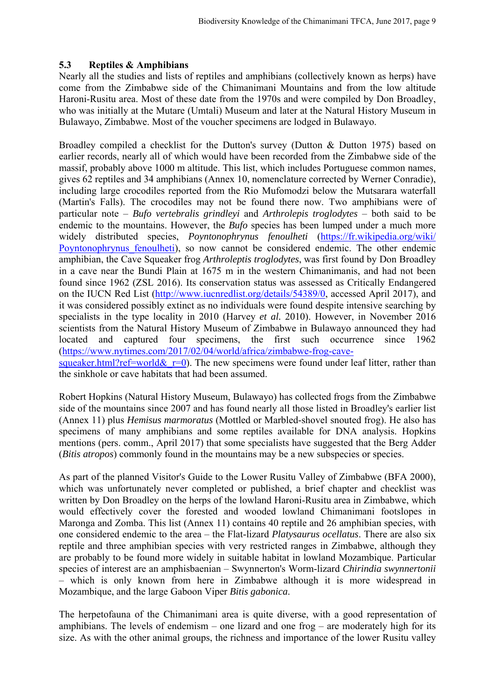### **5.3 Reptiles & Amphibians**

Nearly all the studies and lists of reptiles and amphibians (collectively known as herps) have come from the Zimbabwe side of the Chimanimani Mountains and from the low altitude Haroni-Rusitu area. Most of these date from the 1970s and were compiled by Don Broadley, who was initially at the Mutare (Umtali) Museum and later at the Natural History Museum in Bulawayo, Zimbabwe. Most of the voucher specimens are lodged in Bulawayo.

Broadley compiled a checklist for the Dutton's survey (Dutton & Dutton 1975) based on earlier records, nearly all of which would have been recorded from the Zimbabwe side of the massif, probably above 1000 m altitude. This list, which includes Portuguese common names, gives 62 reptiles and 34 amphibians (Annex 10, nomenclature corrected by Werner Conradie), including large crocodiles reported from the Rio Mufomodzi below the Mutsarara waterfall (Martin's Falls). The crocodiles may not be found there now. Two amphibians were of particular note ‒ *Bufo vertebralis grindleyi* and *Arthrolepis troglodytes* ‒ both said to be endemic to the mountains. However, the *Bufo* species has been lumped under a much more widely distributed species, *Poyntonophrynus fenoulheti* (https://fr.wikipedia.org/wiki/ Poyntonophrynus fenoulheti), so now cannot be considered endemic. The other endemic amphibian, the Cave Squeaker frog *Arthroleptis troglodytes*, was first found by Don Broadley in a cave near the Bundi Plain at 1675 m in the western Chimanimanis, and had not been found since 1962 (ZSL 2016). Its conservation status was assessed as Critically Endangered on the IUCN Red List (http://www.iucnredlist.org/details/54389/0, accessed April 2017), and it was considered possibly extinct as no individuals were found despite intensive searching by specialists in the type locality in 2010 (Harvey *et al.* 2010). However, in November 2016 scientists from the Natural History Museum of Zimbabwe in Bulawayo announced they had located and captured four specimens, the first such occurrence since 1962 (https://www.nytimes.com/2017/02/04/world/africa/zimbabwe-frog-cavesqueaker.html?ref=world& $r=0$ . The new specimens were found under leaf litter, rather than the sinkhole or cave habitats that had been assumed.

Robert Hopkins (Natural History Museum, Bulawayo) has collected frogs from the Zimbabwe side of the mountains since 2007 and has found nearly all those listed in Broadley's earlier list (Annex 11) plus *Hemisus marmoratus* (Mottled or Marbled-shovel snouted frog). He also has specimens of many amphibians and some reptiles available for DNA analysis. Hopkins mentions (pers. comm., April 2017) that some specialists have suggested that the Berg Adder (*Bitis atropos*) commonly found in the mountains may be a new subspecies or species.

As part of the planned Visitor's Guide to the Lower Rusitu Valley of Zimbabwe (BFA 2000), which was unfortunately never completed or published, a brief chapter and checklist was written by Don Broadley on the herps of the lowland Haroni-Rusitu area in Zimbabwe, which would effectively cover the forested and wooded lowland Chimanimani footslopes in Maronga and Zomba. This list (Annex 11) contains 40 reptile and 26 amphibian species, with one considered endemic to the area – the Flat-lizard *Platysaurus ocellatus*. There are also six reptile and three amphibian species with very restricted ranges in Zimbabwe, although they are probably to be found more widely in suitable habitat in lowland Mozambique. Particular species of interest are an amphisbaenian ‒ Swynnerton's Worm-lizard *Chirindia swynnertonii* ‒ which is only known from here in Zimbabwe although it is more widespread in Mozambique, and the large Gaboon Viper *Bitis gabonica*.

The herpetofauna of the Chimanimani area is quite diverse, with a good representation of amphibians. The levels of endemism  $-$  one lizard and one frog  $-$  are moderately high for its size. As with the other animal groups, the richness and importance of the lower Rusitu valley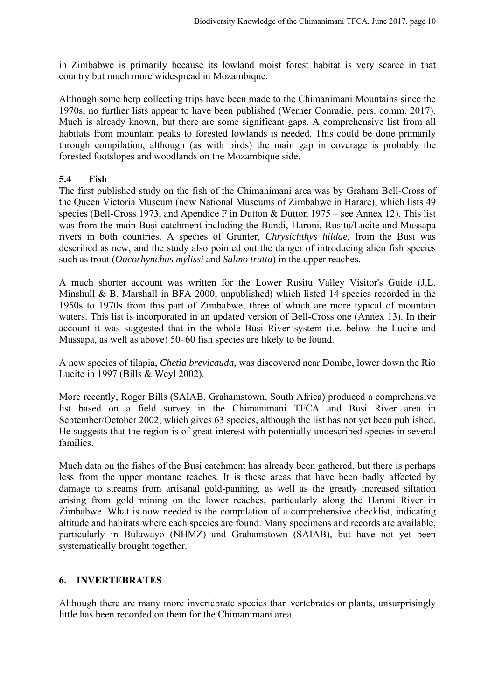in Zimbabwe is primarily because its lowland moist forest habitat is very scarce in that country but much more widespread in Mozambique.

Although some herp collecting trips have been made to the Chimanimani Mountains since the 1970s, no further lists appear to have been published (Werner Conradie, pers. comm. 2017). Much is already known, but there are some significant gaps. A comprehensive list from all habitats from mountain peaks to forested lowlands is needed. This could be done primarily through compilation, although (as with birds) the main gap in coverage is probably the forested footslopes and woodlands on the Mozambique side.

#### **5.4 Fish**

The first published study on the fish of the Chimanimani area was by Graham Bell-Cross of the Queen Victoria Museum (now National Museums of Zimbabwe in Harare), which lists 49 species (Bell-Cross 1973, and Apendice F in Dutton & Dutton 1975 – see Annex 12). This list was from the main Busi catchment including the Bundi, Haroni, Rusitu/Lucite and Mussapa rivers in both countries. A species of Grunter, *Chrysichthys hildae*, from the Busi was described as new, and the study also pointed out the danger of introducing alien fish species such as trout (*Oncorhynchus mylissi* and *Salmo trutta*) in the upper reaches.

A much shorter account was written for the Lower Rusitu Valley Visitor's Guide (J.L. Minshull & B. Marshall in BFA 2000, unpublished) which listed 14 species recorded in the 1950s to 1970s from this part of Zimbabwe, three of which are more typical of mountain waters. This list is incorporated in an updated version of Bell-Cross one (Annex 13). In their account it was suggested that in the whole Busi River system (i.e. below the Lucite and Mussapa, as well as above) 50–60 fish species are likely to be found.

A new species of tilapia, *Chetia brevicauda*, was discovered near Dombe, lower down the Rio Lucite in 1997 (Bills & Weyl 2002).

More recently, Roger Bills (SAIAB, Grahamstown, South Africa) produced a comprehensive list based on a field survey in the Chimanimani TFCA and Busi River area in September/October 2002, which gives 63 species, although the list has not yet been published. He suggests that the region is of great interest with potentially undescribed species in several families.

Much data on the fishes of the Busi catchment has already been gathered, but there is perhaps less from the upper montane reaches. It is these areas that have been badly affected by damage to streams from artisanal gold-panning, as well as the greatly increased siltation arising from gold mining on the lower reaches, particularly along the Haroni River in Zimbabwe. What is now needed is the compilation of a comprehensive checklist, indicating altitude and habitats where each species are found. Many specimens and records are available, particularly in Bulawayo (NHMZ) and Grahamstown (SAIAB), but have not yet been systematically brought together.

#### **6. INVERTEBRATES**

Although there are many more invertebrate species than vertebrates or plants, unsurprisingly little has been recorded on them for the Chimanimani area.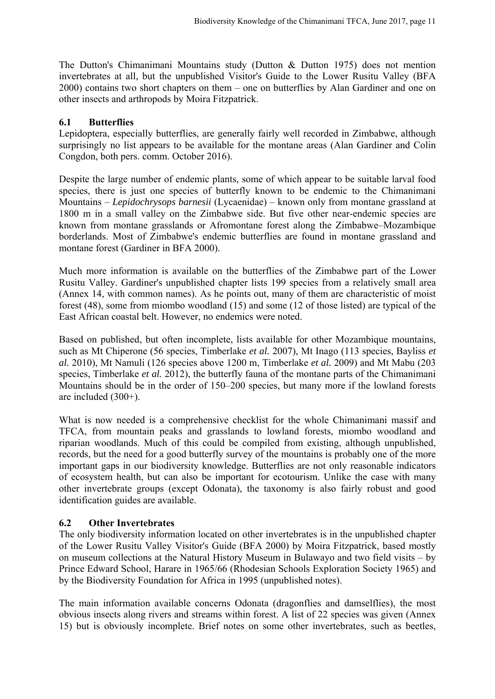The Dutton's Chimanimani Mountains study (Dutton & Dutton 1975) does not mention invertebrates at all, but the unpublished Visitor's Guide to the Lower Rusitu Valley (BFA 2000) contains two short chapters on them – one on butterflies by Alan Gardiner and one on other insects and arthropods by Moira Fitzpatrick.

#### **6.1 Butterflies**

Lepidoptera, especially butterflies, are generally fairly well recorded in Zimbabwe, although surprisingly no list appears to be available for the montane areas (Alan Gardiner and Colin Congdon, both pers. comm. October 2016).

Despite the large number of endemic plants, some of which appear to be suitable larval food species, there is just one species of butterfly known to be endemic to the Chimanimani Mountains ‒ *Lepidochrysops barnesii* (Lycaenidae) ‒ known only from montane grassland at 1800 m in a small valley on the Zimbabwe side. But five other near-endemic species are known from montane grasslands or Afromontane forest along the Zimbabwe–Mozambique borderlands. Most of Zimbabwe's endemic butterflies are found in montane grassland and montane forest (Gardiner in BFA 2000).

Much more information is available on the butterflies of the Zimbabwe part of the Lower Rusitu Valley. Gardiner's unpublished chapter lists 199 species from a relatively small area (Annex 14, with common names). As he points out, many of them are characteristic of moist forest (48), some from miombo woodland (15) and some (12 of those listed) are typical of the East African coastal belt. However, no endemics were noted.

Based on published, but often incomplete, lists available for other Mozambique mountains, such as Mt Chiperone (56 species, Timberlake *et al.* 2007), Mt Inago (113 species, Bayliss *et al.* 2010), Mt Namuli (126 species above 1200 m, Timberlake *et al.* 2009) and Mt Mabu (203 species, Timberlake *et al.* 2012), the butterfly fauna of the montane parts of the Chimanimani Mountains should be in the order of 150–200 species, but many more if the lowland forests are included (300+).

What is now needed is a comprehensive checklist for the whole Chimanimani massif and TFCA, from mountain peaks and grasslands to lowland forests, miombo woodland and riparian woodlands. Much of this could be compiled from existing, although unpublished, records, but the need for a good butterfly survey of the mountains is probably one of the more important gaps in our biodiversity knowledge. Butterflies are not only reasonable indicators of ecosystem health, but can also be important for ecotourism. Unlike the case with many other invertebrate groups (except Odonata), the taxonomy is also fairly robust and good identification guides are available.

#### **6.2 Other Invertebrates**

The only biodiversity information located on other invertebrates is in the unpublished chapter of the Lower Rusitu Valley Visitor's Guide (BFA 2000) by Moira Fitzpatrick, based mostly on museum collections at the Natural History Museum in Bulawayo and two field visits - by Prince Edward School, Harare in 1965/66 (Rhodesian Schools Exploration Society 1965) and by the Biodiversity Foundation for Africa in 1995 (unpublished notes).

The main information available concerns Odonata (dragonflies and damselflies), the most obvious insects along rivers and streams within forest. A list of 22 species was given (Annex 15) but is obviously incomplete. Brief notes on some other invertebrates, such as beetles,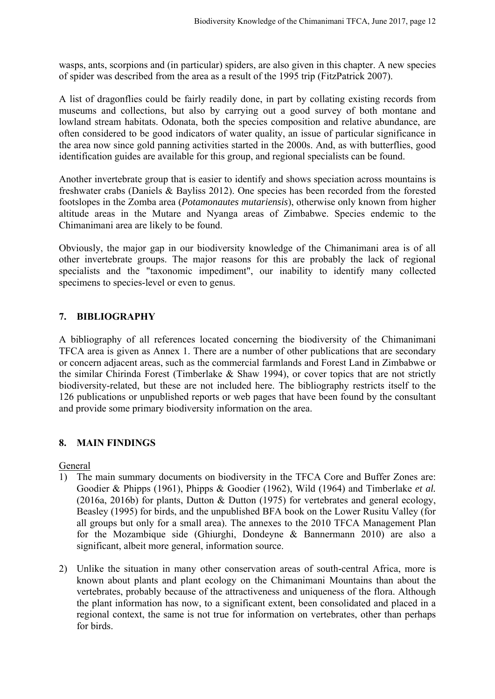wasps, ants, scorpions and (in particular) spiders, are also given in this chapter. A new species of spider was described from the area as a result of the 1995 trip (FitzPatrick 2007).

A list of dragonflies could be fairly readily done, in part by collating existing records from museums and collections, but also by carrying out a good survey of both montane and lowland stream habitats. Odonata, both the species composition and relative abundance, are often considered to be good indicators of water quality, an issue of particular significance in the area now since gold panning activities started in the 2000s. And, as with butterflies, good identification guides are available for this group, and regional specialists can be found.

Another invertebrate group that is easier to identify and shows speciation across mountains is freshwater crabs (Daniels & Bayliss 2012). One species has been recorded from the forested footslopes in the Zomba area (*Potamonautes mutariensis*), otherwise only known from higher altitude areas in the Mutare and Nyanga areas of Zimbabwe. Species endemic to the Chimanimani area are likely to be found.

Obviously, the major gap in our biodiversity knowledge of the Chimanimani area is of all other invertebrate groups. The major reasons for this are probably the lack of regional specialists and the "taxonomic impediment", our inability to identify many collected specimens to species-level or even to genus.

## **7. BIBLIOGRAPHY**

A bibliography of all references located concerning the biodiversity of the Chimanimani TFCA area is given as Annex 1. There are a number of other publications that are secondary or concern adjacent areas, such as the commercial farmlands and Forest Land in Zimbabwe or the similar Chirinda Forest (Timberlake & Shaw 1994), or cover topics that are not strictly biodiversity-related, but these are not included here. The bibliography restricts itself to the 126 publications or unpublished reports or web pages that have been found by the consultant and provide some primary biodiversity information on the area.

#### **8. MAIN FINDINGS**

General

- 1) The main summary documents on biodiversity in the TFCA Core and Buffer Zones are: Goodier & Phipps (1961), Phipps & Goodier (1962), Wild (1964) and Timberlake *et al.* (2016a, 2016b) for plants, Dutton & Dutton (1975) for vertebrates and general ecology, Beasley (1995) for birds, and the unpublished BFA book on the Lower Rusitu Valley (for all groups but only for a small area). The annexes to the 2010 TFCA Management Plan for the Mozambique side (Ghiurghi, Dondeyne & Bannermann 2010) are also a significant, albeit more general, information source.
- 2) Unlike the situation in many other conservation areas of south-central Africa, more is known about plants and plant ecology on the Chimanimani Mountains than about the vertebrates, probably because of the attractiveness and uniqueness of the flora. Although the plant information has now, to a significant extent, been consolidated and placed in a regional context, the same is not true for information on vertebrates, other than perhaps for birds.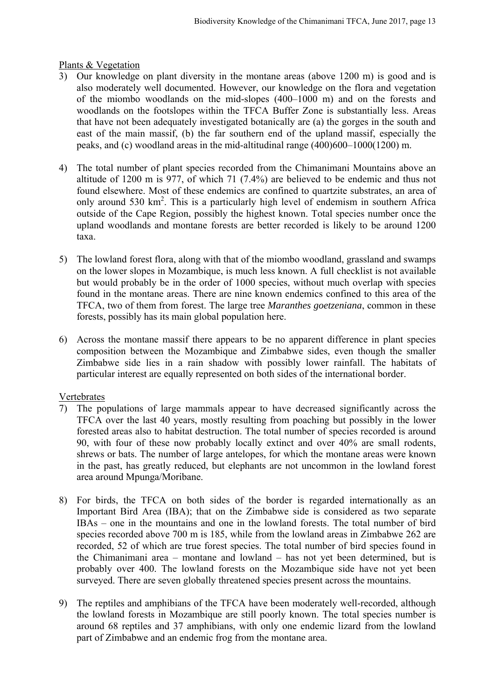#### Plants & Vegetation

- 3) Our knowledge on plant diversity in the montane areas (above 1200 m) is good and is also moderately well documented. However, our knowledge on the flora and vegetation of the miombo woodlands on the mid-slopes (400–1000 m) and on the forests and woodlands on the footslopes within the TFCA Buffer Zone is substantially less. Areas that have not been adequately investigated botanically are (a) the gorges in the south and east of the main massif, (b) the far southern end of the upland massif, especially the peaks, and (c) woodland areas in the mid-altitudinal range  $(400)600-1000(1200)$  m.
- 4) The total number of plant species recorded from the Chimanimani Mountains above an altitude of 1200 m is 977, of which 71 (7.4%) are believed to be endemic and thus not found elsewhere. Most of these endemics are confined to quartzite substrates, an area of only around 530 km<sup>2</sup>. This is a particularly high level of endemism in southern Africa outside of the Cape Region, possibly the highest known. Total species number once the upland woodlands and montane forests are better recorded is likely to be around 1200 taxa.
- 5) The lowland forest flora, along with that of the miombo woodland, grassland and swamps on the lower slopes in Mozambique, is much less known. A full checklist is not available but would probably be in the order of 1000 species, without much overlap with species found in the montane areas. There are nine known endemics confined to this area of the TFCA, two of them from forest. The large tree *Maranthes goetzeniana*, common in these forests, possibly has its main global population here.
- 6) Across the montane massif there appears to be no apparent difference in plant species composition between the Mozambique and Zimbabwe sides, even though the smaller Zimbabwe side lies in a rain shadow with possibly lower rainfall. The habitats of particular interest are equally represented on both sides of the international border.

#### Vertebrates

- 7) The populations of large mammals appear to have decreased significantly across the TFCA over the last 40 years, mostly resulting from poaching but possibly in the lower forested areas also to habitat destruction. The total number of species recorded is around 90, with four of these now probably locally extinct and over 40% are small rodents, shrews or bats. The number of large antelopes, for which the montane areas were known in the past, has greatly reduced, but elephants are not uncommon in the lowland forest area around Mpunga/Moribane.
- 8) For birds, the TFCA on both sides of the border is regarded internationally as an Important Bird Area (IBA); that on the Zimbabwe side is considered as two separate IBAs ‒ one in the mountains and one in the lowland forests. The total number of bird species recorded above 700 m is 185, while from the lowland areas in Zimbabwe 262 are recorded, 52 of which are true forest species. The total number of bird species found in the Chimanimani area  $-$  montane and lowland  $-$  has not yet been determined, but is probably over 400. The lowland forests on the Mozambique side have not yet been surveyed. There are seven globally threatened species present across the mountains.
- 9) The reptiles and amphibians of the TFCA have been moderately well-recorded, although the lowland forests in Mozambique are still poorly known. The total species number is around 68 reptiles and 37 amphibians, with only one endemic lizard from the lowland part of Zimbabwe and an endemic frog from the montane area.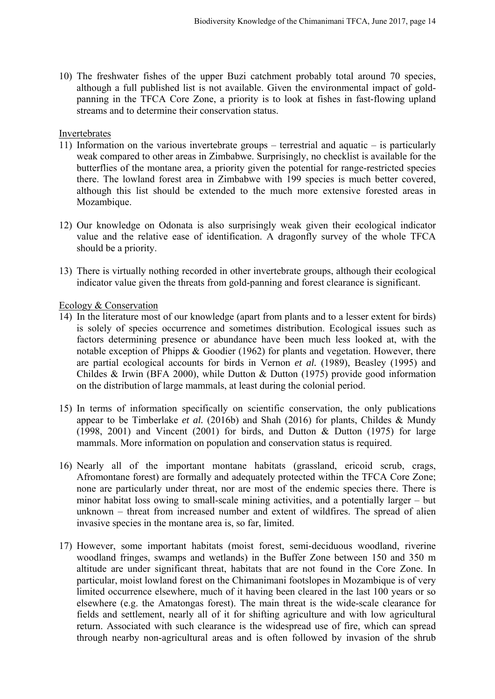10) The freshwater fishes of the upper Buzi catchment probably total around 70 species, although a full published list is not available. Given the environmental impact of goldpanning in the TFCA Core Zone, a priority is to look at fishes in fast-flowing upland streams and to determine their conservation status.

#### Invertebrates

- 11) Information on the various invertebrate groups terrestrial and aquatic is particularly weak compared to other areas in Zimbabwe. Surprisingly, no checklist is available for the butterflies of the montane area, a priority given the potential for range-restricted species there. The lowland forest area in Zimbabwe with 199 species is much better covered, although this list should be extended to the much more extensive forested areas in Mozambique.
- 12) Our knowledge on Odonata is also surprisingly weak given their ecological indicator value and the relative ease of identification. A dragonfly survey of the whole TFCA should be a priority.
- 13) There is virtually nothing recorded in other invertebrate groups, although their ecological indicator value given the threats from gold-panning and forest clearance is significant.

#### Ecology & Conservation

- 14) In the literature most of our knowledge (apart from plants and to a lesser extent for birds) is solely of species occurrence and sometimes distribution. Ecological issues such as factors determining presence or abundance have been much less looked at, with the notable exception of Phipps & Goodier (1962) for plants and vegetation. However, there are partial ecological accounts for birds in Vernon *et al.* (1989), Beasley (1995) and Childes & Irwin (BFA 2000), while Dutton & Dutton (1975) provide good information on the distribution of large mammals, at least during the colonial period.
- 15) In terms of information specifically on scientific conservation, the only publications appear to be Timberlake *et al.* (2016b) and Shah (2016) for plants, Childes & Mundy (1998, 2001) and Vincent (2001) for birds, and Dutton & Dutton (1975) for large mammals. More information on population and conservation status is required.
- 16) Nearly all of the important montane habitats (grassland, ericoid scrub, crags, Afromontane forest) are formally and adequately protected within the TFCA Core Zone; none are particularly under threat, nor are most of the endemic species there. There is minor habitat loss owing to small-scale mining activities, and a potentially larger  $-$  but unknown – threat from increased number and extent of wildfires. The spread of alien invasive species in the montane area is, so far, limited.
- 17) However, some important habitats (moist forest, semi-deciduous woodland, riverine woodland fringes, swamps and wetlands) in the Buffer Zone between 150 and 350 m altitude are under significant threat, habitats that are not found in the Core Zone. In particular, moist lowland forest on the Chimanimani footslopes in Mozambique is of very limited occurrence elsewhere, much of it having been cleared in the last 100 years or so elsewhere (e.g. the Amatongas forest). The main threat is the wide-scale clearance for fields and settlement, nearly all of it for shifting agriculture and with low agricultural return. Associated with such clearance is the widespread use of fire, which can spread through nearby non-agricultural areas and is often followed by invasion of the shrub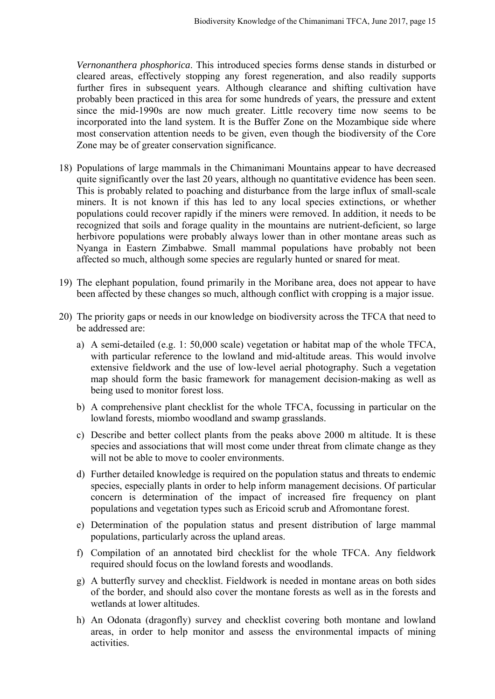*Vernonanthera phosphorica*. This introduced species forms dense stands in disturbed or cleared areas, effectively stopping any forest regeneration, and also readily supports further fires in subsequent years. Although clearance and shifting cultivation have probably been practiced in this area for some hundreds of years, the pressure and extent since the mid-1990s are now much greater. Little recovery time now seems to be incorporated into the land system. It is the Buffer Zone on the Mozambique side where most conservation attention needs to be given, even though the biodiversity of the Core Zone may be of greater conservation significance.

- 18) Populations of large mammals in the Chimanimani Mountains appear to have decreased quite significantly over the last 20 years, although no quantitative evidence has been seen. This is probably related to poaching and disturbance from the large influx of small-scale miners. It is not known if this has led to any local species extinctions, or whether populations could recover rapidly if the miners were removed. In addition, it needs to be recognized that soils and forage quality in the mountains are nutrient-deficient, so large herbivore populations were probably always lower than in other montane areas such as Nyanga in Eastern Zimbabwe. Small mammal populations have probably not been affected so much, although some species are regularly hunted or snared for meat.
- 19) The elephant population, found primarily in the Moribane area, does not appear to have been affected by these changes so much, although conflict with cropping is a major issue.
- 20) The priority gaps or needs in our knowledge on biodiversity across the TFCA that need to be addressed are:
	- a) A semi-detailed (e.g. 1: 50,000 scale) vegetation or habitat map of the whole TFCA, with particular reference to the lowland and mid-altitude areas. This would involve extensive fieldwork and the use of low-level aerial photography. Such a vegetation map should form the basic framework for management decision-making as well as being used to monitor forest loss.
	- b) A comprehensive plant checklist for the whole TFCA, focussing in particular on the lowland forests, miombo woodland and swamp grasslands.
	- c) Describe and better collect plants from the peaks above 2000 m altitude. It is these species and associations that will most come under threat from climate change as they will not be able to move to cooler environments.
	- d) Further detailed knowledge is required on the population status and threats to endemic species, especially plants in order to help inform management decisions. Of particular concern is determination of the impact of increased fire frequency on plant populations and vegetation types such as Ericoid scrub and Afromontane forest.
	- e) Determination of the population status and present distribution of large mammal populations, particularly across the upland areas.
	- f) Compilation of an annotated bird checklist for the whole TFCA. Any fieldwork required should focus on the lowland forests and woodlands.
	- g) A butterfly survey and checklist. Fieldwork is needed in montane areas on both sides of the border, and should also cover the montane forests as well as in the forests and wetlands at lower altitudes.
	- h) An Odonata (dragonfly) survey and checklist covering both montane and lowland areas, in order to help monitor and assess the environmental impacts of mining activities.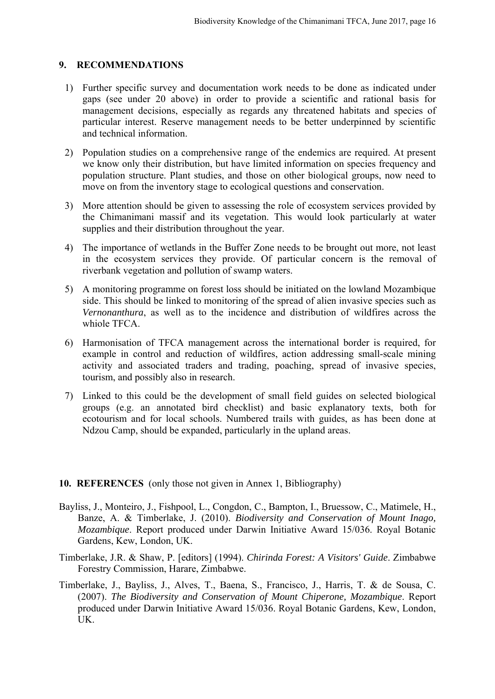#### **9. RECOMMENDATIONS**

- 1) Further specific survey and documentation work needs to be done as indicated under gaps (see under 20 above) in order to provide a scientific and rational basis for management decisions, especially as regards any threatened habitats and species of particular interest. Reserve management needs to be better underpinned by scientific and technical information.
- 2) Population studies on a comprehensive range of the endemics are required. At present we know only their distribution, but have limited information on species frequency and population structure. Plant studies, and those on other biological groups, now need to move on from the inventory stage to ecological questions and conservation.
- 3) More attention should be given to assessing the role of ecosystem services provided by the Chimanimani massif and its vegetation. This would look particularly at water supplies and their distribution throughout the year.
- 4) The importance of wetlands in the Buffer Zone needs to be brought out more, not least in the ecosystem services they provide. Of particular concern is the removal of riverbank vegetation and pollution of swamp waters.
- 5) A monitoring programme on forest loss should be initiated on the lowland Mozambique side. This should be linked to monitoring of the spread of alien invasive species such as *Vernonanthura*, as well as to the incidence and distribution of wildfires across the whiole TFCA.
- 6) Harmonisation of TFCA management across the international border is required, for example in control and reduction of wildfires, action addressing small-scale mining activity and associated traders and trading, poaching, spread of invasive species, tourism, and possibly also in research.
- 7) Linked to this could be the development of small field guides on selected biological groups (e.g. an annotated bird checklist) and basic explanatory texts, both for ecotourism and for local schools. Numbered trails with guides, as has been done at Ndzou Camp, should be expanded, particularly in the upland areas.

#### **10. REFERENCES** (only those not given in Annex 1, Bibliography)

- Bayliss, J., Monteiro, J., Fishpool, L., Congdon, C., Bampton, I., Bruessow, C., Matimele, H., Banze, A. & Timberlake, J. (2010). *Biodiversity and Conservation of Mount Inago, Mozambique*. Report produced under Darwin Initiative Award 15/036. Royal Botanic Gardens, Kew, London, UK.
- Timberlake, J.R. & Shaw, P. [editors] (1994). *Chirinda Forest: A Visitors' Guide*. Zimbabwe Forestry Commission, Harare, Zimbabwe.
- Timberlake, J., Bayliss, J., Alves, T., Baena, S., Francisco, J., Harris, T. & de Sousa, C. (2007). *The Biodiversity and Conservation of Mount Chiperone, Mozambique*. Report produced under Darwin Initiative Award 15/036. Royal Botanic Gardens, Kew, London, UK.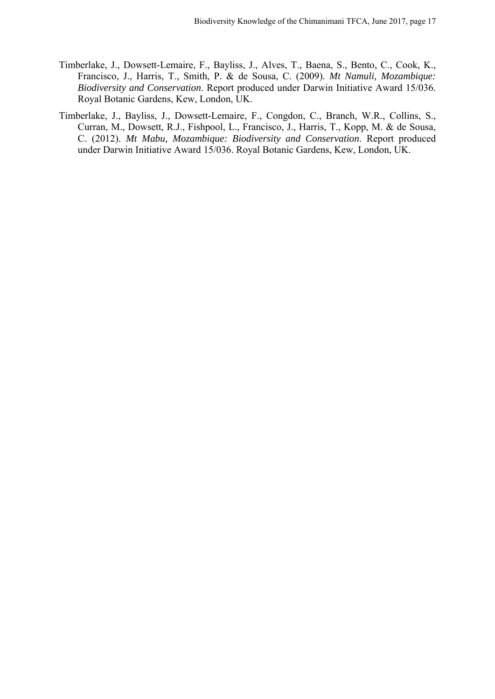- Timberlake, J., Dowsett-Lemaire, F., Bayliss, J., Alves, T., Baena, S., Bento, C., Cook, K., Francisco, J., Harris, T., Smith, P. & de Sousa, C. (2009). *Mt Namuli, Mozambique: Biodiversity and Conservation*. Report produced under Darwin Initiative Award 15/036. Royal Botanic Gardens, Kew, London, UK.
- Timberlake, J., Bayliss, J., Dowsett-Lemaire, F., Congdon, C., Branch, W.R., Collins, S., Curran, M., Dowsett, R.J., Fishpool, L., Francisco, J., Harris, T., Kopp, M. & de Sousa, C. (2012). *Mt Mabu, Mozambique: Biodiversity and Conservation*. Report produced under Darwin Initiative Award 15/036. Royal Botanic Gardens, Kew, London, UK.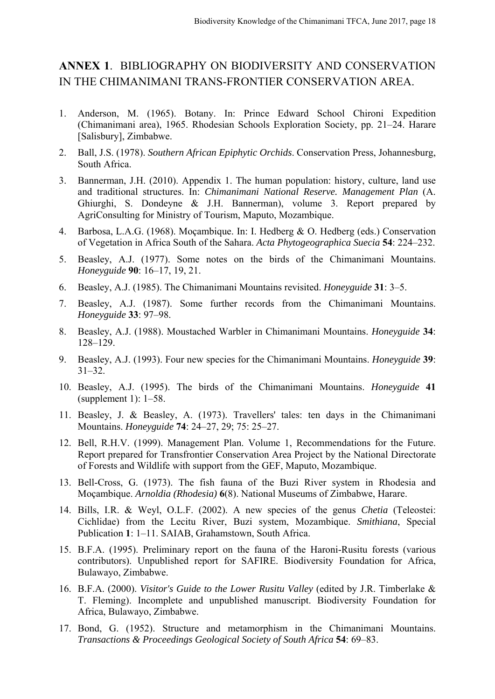## **ANNEX 1**. BIBLIOGRAPHY ON BIODIVERSITY AND CONSERVATION IN THE CHIMANIMANI TRANS-FRONTIER CONSERVATION AREA.

- 1. Anderson, M. (1965). Botany. In: Prince Edward School Chironi Expedition (Chimanimani area), 1965. Rhodesian Schools Exploration Society, pp. 21–24. Harare [Salisbury], Zimbabwe.
- 2. Ball, J.S. (1978). *Southern African Epiphytic Orchids*. Conservation Press, Johannesburg, South Africa.
- 3. Bannerman, J.H. (2010). Appendix 1. The human population: history, culture, land use and traditional structures. In: *Chimanimani National Reserve. Management Plan* (A. Ghiurghi, S. Dondeyne & J.H. Bannerman), volume 3. Report prepared by AgriConsulting for Ministry of Tourism, Maputo, Mozambique.
- 4. Barbosa, L.A.G. (1968). Moçambique. In: I. Hedberg & O. Hedberg (eds.) Conservation of Vegetation in Africa South of the Sahara. *Acta Phytogeographica Suecia* **54**: 224–232.
- 5. Beasley, A.J. (1977). Some notes on the birds of the Chimanimani Mountains. *Honeyguide* **90**: 16‒17, 19, 21.
- 6. Beasley, A.J. (1985). The Chimanimani Mountains revisited. *Honeyguide* **31**: 3‒5.
- 7. Beasley, A.J. (1987). Some further records from the Chimanimani Mountains. *Honeyguide* **33**: 97‒98.
- 8. Beasley, A.J. (1988). Moustached Warbler in Chimanimani Mountains. *Honeyguide* **34**: 128‒129.
- 9. Beasley, A.J. (1993). Four new species for the Chimanimani Mountains. *Honeyguide* **39**:  $31 - 32$ .
- 10. Beasley, A.J. (1995). The birds of the Chimanimani Mountains. *Honeyguide* **41** (supplement 1):  $1-58$ .
- 11. Beasley, J. & Beasley, A. (1973). Travellers' tales: ten days in the Chimanimani Mountains. *Honeyguide* **74**: 24‒27, 29; 75: 25‒27.
- 12. Bell, R.H.V. (1999). Management Plan. Volume 1, Recommendations for the Future. Report prepared for Transfrontier Conservation Area Project by the National Directorate of Forests and Wildlife with support from the GEF, Maputo, Mozambique.
- 13. Bell-Cross, G. (1973). The fish fauna of the Buzi River system in Rhodesia and Moçambique. *Arnoldia (Rhodesia)* **6**(8). National Museums of Zimbabwe, Harare.
- 14. Bills, I.R. & Weyl, O.L.F. (2002). A new species of the genus *Chetia* (Teleostei: Cichlidae) from the Lecitu River, Buzi system, Mozambique. *Smithiana*, Special Publication **1**: 1–11. SAIAB, Grahamstown, South Africa.
- 15. B.F.A. (1995). Preliminary report on the fauna of the Haroni-Rusitu forests (various contributors). Unpublished report for SAFIRE. Biodiversity Foundation for Africa, Bulawayo, Zimbabwe.
- 16. B.F.A. (2000). *Visitor's Guide to the Lower Rusitu Valley* (edited by J.R. Timberlake & T. Fleming). Incomplete and unpublished manuscript. Biodiversity Foundation for Africa, Bulawayo, Zimbabwe.
- 17. Bond, G. (1952). Structure and metamorphism in the Chimanimani Mountains. *Transactions & Proceedings Geological Society of South Africa* **54**: 69‒83.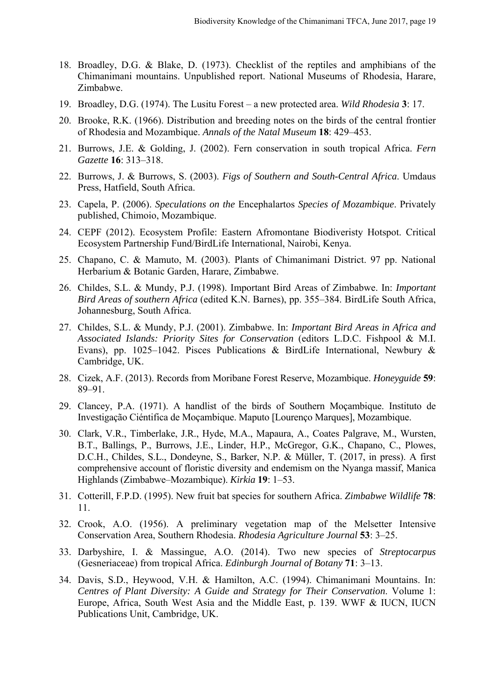- 18. Broadley, D.G. & Blake, D. (1973). Checklist of the reptiles and amphibians of the Chimanimani mountains. Unpublished report. National Museums of Rhodesia, Harare, Zimbabwe.
- 19. Broadley, D.G. (1974). The Lusitu Forest ‒ a new protected area. *Wild Rhodesia* **3**: 17.
- 20. Brooke, R.K. (1966). Distribution and breeding notes on the birds of the central frontier of Rhodesia and Mozambique. *Annals of the Natal Museum* **18**: 429‒453.
- 21. Burrows, J.E. & Golding, J. (2002). Fern conservation in south tropical Africa. *Fern Gazette* **16**: 313‒318.
- 22. Burrows, J. & Burrows, S. (2003). *Figs of Southern and South-Central Africa*. Umdaus Press, Hatfield, South Africa.
- 23. Capela, P. (2006). *Speculations on the* Encephalartos *Species of Mozambique*. Privately published, Chimoio, Mozambique.
- 24. CEPF (2012). Ecosystem Profile: Eastern Afromontane Biodiveristy Hotspot. Critical Ecosystem Partnership Fund/BirdLife International, Nairobi, Kenya.
- 25. Chapano, C. & Mamuto, M. (2003). Plants of Chimanimani District. 97 pp. National Herbarium & Botanic Garden, Harare, Zimbabwe.
- 26. Childes, S.L. & Mundy, P.J. (1998). Important Bird Areas of Zimbabwe. In: *Important Bird Areas of southern Africa* (edited K.N. Barnes), pp. 355‒384. BirdLife South Africa, Johannesburg, South Africa.
- 27. Childes, S.L. & Mundy, P.J. (2001). Zimbabwe. In: *Important Bird Areas in Africa and Associated Islands: Priority Sites for Conservation* (editors L.D.C. Fishpool & M.I. Evans), pp. 1025–1042. Pisces Publications & BirdLife International, Newbury & Cambridge, UK.
- 28. Cizek, A.F. (2013). Records from Moribane Forest Reserve, Mozambique. *Honeyguide* **59**: 89‒91.
- 29. Clancey, P.A. (1971). A handlist of the birds of Southern Moçambique. Instituto de Investigação Ciéntifica de Moçambique. Maputo [Lourenço Marques], Mozambique.
- 30. Clark, V.R., Timberlake, J.R., Hyde, M.A., Mapaura, A., Coates Palgrave, M., Wursten, B.T., Ballings, P., Burrows, J.E., Linder, H.P., McGregor, G.K., Chapano, C., Plowes, D.C.H., Childes, S.L., Dondeyne, S., Barker, N.P. & Müller, T. (2017, in press). A first comprehensive account of floristic diversity and endemism on the Nyanga massif, Manica Highlands (Zimbabwe‒Mozambique). *Kirkia* **19**: 1‒53.
- 31. Cotterill, F.P.D. (1995). New fruit bat species for southern Africa. *Zimbabwe Wildlife* **78**: 11.
- 32. Crook, A.O. (1956). A preliminary vegetation map of the Melsetter Intensive Conservation Area, Southern Rhodesia. *Rhodesia Agriculture Journal* **53**: 3‒25.
- 33. Darbyshire, I. & Massingue, A.O. (2014). Two new species of *Streptocarpus* (Gesneriaceae) from tropical Africa. *Edinburgh Journal of Botany* **71**: 3‒13.
- 34. Davis, S.D., Heywood, V.H. & Hamilton, A.C. (1994). Chimanimani Mountains. In: *Centres of Plant Diversity: A Guide and Strategy for Their Conservation*. Volume 1: Europe, Africa, South West Asia and the Middle East, p. 139. WWF & IUCN, IUCN Publications Unit, Cambridge, UK.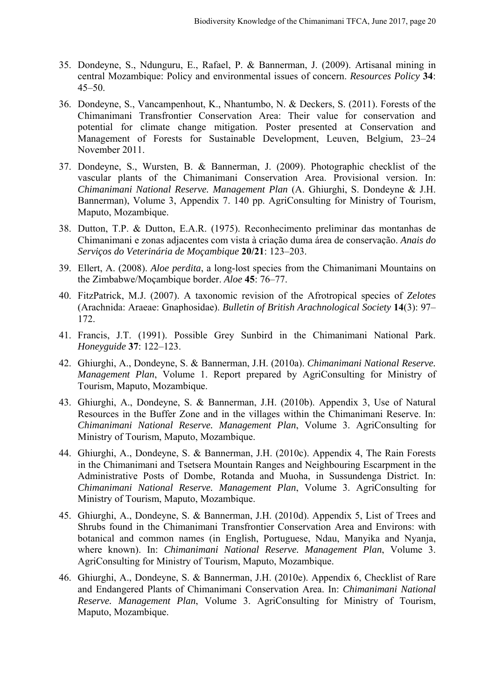- 35. Dondeyne, S., Ndunguru, E., Rafael, P. & Bannerman, J. (2009). Artisanal mining in central Mozambique: Policy and environmental issues of concern. *Resources Policy* **34**:  $45 - 50.$
- 36. Dondeyne, S., Vancampenhout, K., Nhantumbo, N. & Deckers, S. (2011). Forests of the Chimanimani Transfrontier Conservation Area: Their value for conservation and potential for climate change mitigation. Poster presented at Conservation and Management of Forests for Sustainable Development, Leuven, Belgium, 23-24 November 2011.
- 37. Dondeyne, S., Wursten, B. & Bannerman, J. (2009). Photographic checklist of the vascular plants of the Chimanimani Conservation Area. Provisional version. In: *Chimanimani National Reserve. Management Plan* (A. Ghiurghi, S. Dondeyne & J.H. Bannerman), Volume 3, Appendix 7. 140 pp. AgriConsulting for Ministry of Tourism, Maputo, Mozambique.
- 38. Dutton, T.P. & Dutton, E.A.R. (1975). Reconhecimento preliminar das montanhas de Chimanimani e zonas adjacentes com vista à criação duma área de conservação. *Anais do Serviços do Veterinária de Moçambique* **20/21**: 123‒203.
- 39. Ellert, A. (2008). *Aloe perdita*, a long-lost species from the Chimanimani Mountains on the Zimbabwe/Moçambique border. *Aloe* **45**: 76‒77.
- 40. FitzPatrick, M.J. (2007). A taxonomic revision of the Afrotropical species of *Zelotes* (Arachnida: Araeae: Gnaphosidae). *Bulletin of British Arachnological Society* **14**(3): 97‒ 172.
- 41. Francis, J.T. (1991). Possible Grey Sunbird in the Chimanimani National Park. *Honeyguide* **37**: 122‒123.
- 42. Ghiurghi, A., Dondeyne, S. & Bannerman, J.H. (2010a). *Chimanimani National Reserve. Management Plan*, Volume 1. Report prepared by AgriConsulting for Ministry of Tourism, Maputo, Mozambique.
- 43. Ghiurghi, A., Dondeyne, S. & Bannerman, J.H. (2010b). Appendix 3, Use of Natural Resources in the Buffer Zone and in the villages within the Chimanimani Reserve. In: *Chimanimani National Reserve. Management Plan*, Volume 3. AgriConsulting for Ministry of Tourism, Maputo, Mozambique.
- 44. Ghiurghi, A., Dondeyne, S. & Bannerman, J.H. (2010c). Appendix 4, The Rain Forests in the Chimanimani and Tsetsera Mountain Ranges and Neighbouring Escarpment in the Administrative Posts of Dombe, Rotanda and Muoha, in Sussundenga District. In: *Chimanimani National Reserve. Management Plan*, Volume 3. AgriConsulting for Ministry of Tourism, Maputo, Mozambique.
- 45. Ghiurghi, A., Dondeyne, S. & Bannerman, J.H. (2010d). Appendix 5, List of Trees and Shrubs found in the Chimanimani Transfrontier Conservation Area and Environs: with botanical and common names (in English, Portuguese, Ndau, Manyika and Nyanja, where known). In: *Chimanimani National Reserve. Management Plan*, Volume 3. AgriConsulting for Ministry of Tourism, Maputo, Mozambique.
- 46. Ghiurghi, A., Dondeyne, S. & Bannerman, J.H. (2010e). Appendix 6, Checklist of Rare and Endangered Plants of Chimanimani Conservation Area. In: *Chimanimani National Reserve. Management Plan*, Volume 3. AgriConsulting for Ministry of Tourism, Maputo, Mozambique.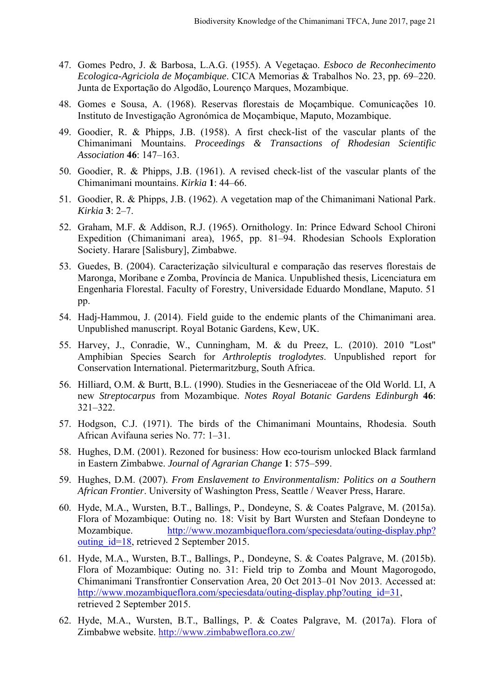- 47. Gomes Pedro, J. & Barbosa, L.A.G. (1955). A Vegetaçao. *Esboco de Reconhecimento Ecologica-Agriciola de Moçambique*. CICA Memorias & Trabalhos No. 23, pp. 69‒220. Junta de Exportaçāo do Algodāo, Lourenço Marques, Mozambique.
- 48. Gomes e Sousa, A. (1968). Reservas florestais de Moçambique. Comunicações 10. Instituto de Investigação Agronómica de Moçambique, Maputo, Mozambique.
- 49. Goodier, R. & Phipps, J.B. (1958). A first check-list of the vascular plants of the Chimanimani Mountains. *Proceedings & Transactions of Rhodesian Scientific Association* **46**: 147‒163.
- 50. Goodier, R. & Phipps, J.B. (1961). A revised check-list of the vascular plants of the Chimanimani mountains. *Kirkia* **1**: 44‒66.
- 51. Goodier, R. & Phipps, J.B. (1962). A vegetation map of the Chimanimani National Park. *Kirkia* **3**: 2‒7.
- 52. Graham, M.F. & Addison, R.J. (1965). Ornithology. In: Prince Edward School Chironi Expedition (Chimanimani area), 1965, pp. 81–94. Rhodesian Schools Exploration Society. Harare [Salisbury], Zimbabwe.
- 53. Guedes, B. (2004). Caracterização silvicultural e comparação das reserves florestais de Maronga, Moribane e Zomba, Província de Manica. Unpublished thesis, Licenciatura em Engenharia Florestal. Faculty of Forestry, Universidade Eduardo Mondlane, Maputo. 51 pp.
- 54. Hadj-Hammou, J. (2014). Field guide to the endemic plants of the Chimanimani area. Unpublished manuscript. Royal Botanic Gardens, Kew, UK.
- 55. Harvey, J., Conradie, W., Cunningham, M. & du Preez, L. (2010). 2010 "Lost" Amphibian Species Search for *Arthroleptis troglodytes*. Unpublished report for Conservation International. Pietermaritzburg, South Africa.
- 56. Hilliard, O.M. & Burtt, B.L. (1990). Studies in the Gesneriaceae of the Old World. LI, A new *Streptocarpus* from Mozambique. *Notes Royal Botanic Gardens Edinburgh* **46**: 321‒322.
- 57. Hodgson, C.J. (1971). The birds of the Chimanimani Mountains, Rhodesia. South African Avifauna series No. 77: 1-31.
- 58. Hughes, D.M. (2001). Rezoned for business: How eco-tourism unlocked Black farmland in Eastern Zimbabwe. *Journal of Agrarian Change* **1**: 575‒599.
- 59. Hughes, D.M. (2007). *From Enslavement to Environmentalism: Politics on a Southern African Frontier*. University of Washington Press, Seattle / Weaver Press, Harare.
- 60. Hyde, M.A., Wursten, B.T., Ballings, P., Dondeyne, S. & Coates Palgrave, M. (2015a). Flora of Mozambique: Outing no. 18: Visit by Bart Wursten and Stefaan Dondeyne to Mozambique. http://www.mozambiqueflora.com/speciesdata/outing-display.php? outing\_id=18, retrieved 2 September 2015.
- 61. Hyde, M.A., Wursten, B.T., Ballings, P., Dondeyne, S. & Coates Palgrave, M. (2015b). Flora of Mozambique: Outing no. 31: Field trip to Zomba and Mount Magorogodo, Chimanimani Transfrontier Conservation Area, 20 Oct 2013-01 Nov 2013. Accessed at: http://www.mozambiqueflora.com/speciesdata/outing-display.php?outing\_id=31, retrieved 2 September 2015.
- 62. Hyde, M.A., Wursten, B.T., Ballings, P. & Coates Palgrave, M. (2017a). Flora of Zimbabwe website. http://www.zimbabweflora.co.zw/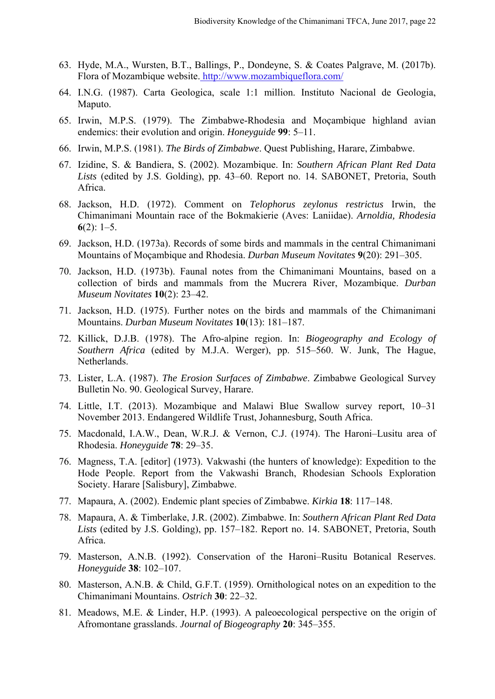- 63. Hyde, M.A., Wursten, B.T., Ballings, P., Dondeyne, S. & Coates Palgrave, M. (2017b). Flora of Mozambique website. http://www.mozambiqueflora.com/
- 64. I.N.G. (1987). Carta Geologica, scale 1:1 million. Instituto Nacional de Geologia, Maputo.
- 65. Irwin, M.P.S. (1979). The Zimbabwe-Rhodesia and Moçambique highland avian endemics: their evolution and origin. *Honeyguide* 99: 5–11.
- 66. Irwin, M.P.S. (1981). *The Birds of Zimbabwe*. Quest Publishing, Harare, Zimbabwe.
- 67. Izidine, S. & Bandiera, S. (2002). Mozambique. In: *Southern African Plant Red Data*  Lists (edited by J.S. Golding), pp. 43–60. Report no. 14. SABONET, Pretoria, South Africa.
- 68. Jackson, H.D. (1972). Comment on *Telophorus zeylonus restrictus* Irwin, the Chimanimani Mountain race of the Bokmakierie (Aves: Laniidae). *Arnoldia, Rhodesia*  **6** $(2)$ : 1–5.
- 69. Jackson, H.D. (1973a). Records of some birds and mammals in the central Chimanimani Mountains of Moçambique and Rhodesia. *Durban Museum Novitates* **9**(20): 291‒305.
- 70. Jackson, H.D. (1973b). Faunal notes from the Chimanimani Mountains, based on a collection of birds and mammals from the Mucrera River, Mozambique. *Durban Museum Novitates* **10**(2): 23‒42.
- 71. Jackson, H.D. (1975). Further notes on the birds and mammals of the Chimanimani Mountains. *Durban Museum Novitates* **10**(13): 181-187.
- 72. Killick, D.J.B. (1978). The Afro-alpine region. In: *Biogeography and Ecology of*  Southern Africa (edited by M.J.A. Werger), pp. 515–560. W. Junk, The Hague, Netherlands.
- 73. Lister, L.A. (1987). *The Erosion Surfaces of Zimbabwe*. Zimbabwe Geological Survey Bulletin No. 90. Geological Survey, Harare.
- 74. Little, I.T. (2013). Mozambique and Malawi Blue Swallow survey report, 10–31 November 2013. Endangered Wildlife Trust, Johannesburg, South Africa.
- 75. Macdonald, I.A.W., Dean, W.R.J. & Vernon, C.J. (1974). The Haroni-Lusitu area of Rhodesia. *Honeyguide* **78**: 29‒35.
- 76. Magness, T.A. [editor] (1973). Vakwashi (the hunters of knowledge): Expedition to the Hode People. Report from the Vakwashi Branch, Rhodesian Schools Exploration Society. Harare [Salisbury], Zimbabwe.
- 77. Mapaura, A. (2002). Endemic plant species of Zimbabwe. *Kirkia* **18**: 117‒148.
- 78. Mapaura, A. & Timberlake, J.R. (2002). Zimbabwe. In: *Southern African Plant Red Data*  Lists (edited by J.S. Golding), pp. 157-182. Report no. 14. SABONET, Pretoria, South Africa.
- 79. Masterson, A.N.B. (1992). Conservation of the Haroni-Rusitu Botanical Reserves. *Honeyguide* **38**: 102‒107.
- 80. Masterson, A.N.B. & Child, G.F.T. (1959). Ornithological notes on an expedition to the Chimanimani Mountains. *Ostrich* **30**: 22‒32.
- 81. Meadows, M.E. & Linder, H.P. (1993). A paleoecological perspective on the origin of Afromontane grasslands. *Journal of Biogeography* **20**: 345‒355.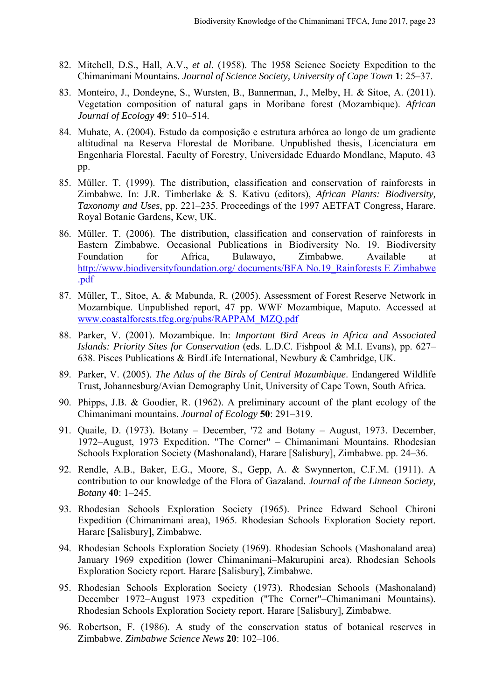- 82. Mitchell, D.S., Hall, A.V., *et al.* (1958). The 1958 Science Society Expedition to the Chimanimani Mountains. *Journal of Science Society, University of Cape Town* **1**: 25‒37.
- 83. Monteiro, J., Dondeyne, S., Wursten, B., Bannerman, J., Melby, H. & Sitoe, A. (2011). Vegetation composition of natural gaps in Moribane forest (Mozambique). *African Journal of Ecology* **49**: 510‒514.
- 84. Muhate, A. (2004). Estudo da composição e estrutura arbórea ao longo de um gradiente altitudinal na Reserva Florestal de Moribane. Unpublished thesis, Licenciatura em Engenharia Florestal. Faculty of Forestry, Universidade Eduardo Mondlane, Maputo. 43 pp.
- 85. Müller. T. (1999). The distribution, classification and conservation of rainforests in Zimbabwe. In: J.R. Timberlake & S. Kativu (editors), *African Plants: Biodiversity, Taxonomy and Uses*, pp. 221–235. Proceedings of the 1997 AETFAT Congress, Harare. Royal Botanic Gardens, Kew, UK.
- 86. Müller. T. (2006). The distribution, classification and conservation of rainforests in Eastern Zimbabwe. Occasional Publications in Biodiversity No. 19. Biodiversity Foundation for Africa, Bulawayo, Zimbabwe. Available at http://www.biodiversityfoundation.org/ documents/BFA No.19\_Rainforests E Zimbabwe .pdf
- 87. Müller, T., Sitoe, A. & Mabunda, R. (2005). Assessment of Forest Reserve Network in Mozambique. Unpublished report, 47 pp. WWF Mozambique, Maputo. Accessed at www.coastalforests.tfcg.org/pubs/RAPPAM\_MZQ.pdf
- 88. Parker, V. (2001). Mozambique. In: *Important Bird Areas in Africa and Associated Islands: Priority Sites for Conservation* (eds. L.D.C. Fishpool & M.I. Evans), pp. 627– 638. Pisces Publications & BirdLife International, Newbury & Cambridge, UK.
- 89. Parker, V. (2005). *The Atlas of the Birds of Central Mozambique*. Endangered Wildlife Trust, Johannesburg/Avian Demography Unit, University of Cape Town, South Africa.
- 90. Phipps, J.B. & Goodier, R. (1962). A preliminary account of the plant ecology of the Chimanimani mountains. *Journal of Ecology* **50**: 291‒319.
- 91. Quaile, D. (1973). Botany December, '72 and Botany August, 1973. December, 1972–August, 1973 Expedition. "The Corner" – Chimanimani Mountains. Rhodesian Schools Exploration Society (Mashonaland), Harare [Salisbury], Zimbabwe. pp. 24‒36.
- 92. Rendle, A.B., Baker, E.G., Moore, S., Gepp, A. & Swynnerton, C.F.M. (1911). A contribution to our knowledge of the Flora of Gazaland. *Journal of the Linnean Society, Botany* **40**: 1‒245.
- 93. Rhodesian Schools Exploration Society (1965). Prince Edward School Chironi Expedition (Chimanimani area), 1965. Rhodesian Schools Exploration Society report. Harare [Salisbury], Zimbabwe.
- 94. Rhodesian Schools Exploration Society (1969). Rhodesian Schools (Mashonaland area) January 1969 expedition (lower Chimanimani–Makurupini area). Rhodesian Schools Exploration Society report. Harare [Salisbury], Zimbabwe.
- 95. Rhodesian Schools Exploration Society (1973). Rhodesian Schools (Mashonaland) December 1972–August 1973 expedition ("The Corner"–Chimanimani Mountains). Rhodesian Schools Exploration Society report. Harare [Salisbury], Zimbabwe.
- 96. Robertson, F. (1986). A study of the conservation status of botanical reserves in Zimbabwe. *Zimbabwe Science News* **20**: 102‒106.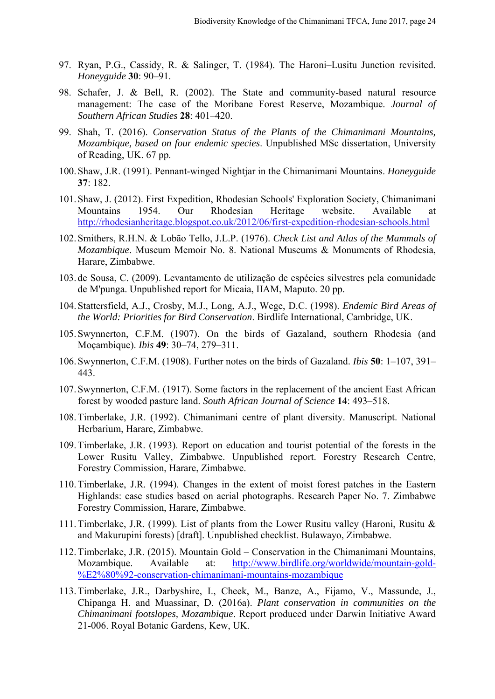- 97. Ryan, P.G., Cassidy, R. & Salinger, T. (1984). The Haroni-Lusitu Junction revisited. *Honeyguide* **30**: 90‒91.
- 98. Schafer, J. & Bell, R. (2002). The State and community-based natural resource management: The case of the Moribane Forest Reserve, Mozambique. *Journal of Southern African Studies* **28**: 401‒420.
- 99. Shah, T. (2016). *Conservation Status of the Plants of the Chimanimani Mountains, Mozambique, based on four endemic species*. Unpublished MSc dissertation, University of Reading, UK. 67 pp.
- 100. Shaw, J.R. (1991). Pennant-winged Nightjar in the Chimanimani Mountains. *Honeyguide*  **37**: 182.
- 101. Shaw, J. (2012). First Expedition, Rhodesian Schools' Exploration Society, Chimanimani Mountains 1954. Our Rhodesian Heritage website. Available at http://rhodesianheritage.blogspot.co.uk/2012/06/first-expedition-rhodesian-schools.html
- 102. Smithers, R.H.N. & Lobão Tello, J.L.P. (1976). *Check List and Atlas of the Mammals of Mozambique*. Museum Memoir No. 8. National Museums & Monuments of Rhodesia, Harare, Zimbabwe.
- 103. de Sousa, C. (2009). Levantamento de utilização de espécies silvestres pela comunidade de M'punga. Unpublished report for Micaia, IIAM, Maputo. 20 pp.
- 104. Stattersfield, A.J., Crosby, M.J., Long, A.J., Wege, D.C. (1998). *Endemic Bird Areas of the World: Priorities for Bird Conservation*. Birdlife International, Cambridge, UK.
- 105. Swynnerton, C.F.M. (1907). On the birds of Gazaland, southern Rhodesia (and Moçambique). *Ibis* **49**: 30‒74, 279‒311.
- 106. Swynnerton, C.F.M. (1908). Further notes on the birds of Gazaland. *Ibis* **50**: 1‒107, 391‒ 443.
- 107. Swynnerton, C.F.M. (1917). Some factors in the replacement of the ancient East African forest by wooded pasture land. *South African Journal of Science* 14: 493–518.
- 108.Timberlake, J.R. (1992). Chimanimani centre of plant diversity. Manuscript. National Herbarium, Harare, Zimbabwe.
- 109.Timberlake, J.R. (1993). Report on education and tourist potential of the forests in the Lower Rusitu Valley, Zimbabwe. Unpublished report. Forestry Research Centre, Forestry Commission, Harare, Zimbabwe.
- 110.Timberlake, J.R. (1994). Changes in the extent of moist forest patches in the Eastern Highlands: case studies based on aerial photographs. Research Paper No. 7. Zimbabwe Forestry Commission, Harare, Zimbabwe.
- 111.Timberlake, J.R. (1999). List of plants from the Lower Rusitu valley (Haroni, Rusitu & and Makurupini forests) [draft]. Unpublished checklist. Bulawayo, Zimbabwe.
- 112.Timberlake, J.R. (2015). Mountain Gold ‒ Conservation in the Chimanimani Mountains, Mozambique. Available at: http://www.birdlife.org/worldwide/mountain-gold- %E2%80%92-conservation-chimanimani-mountains-mozambique
- 113.Timberlake, J.R., Darbyshire, I., Cheek, M., Banze, A., Fijamo, V., Massunde, J., Chipanga H. and Muassinar, D. (2016a). *Plant conservation in communities on the Chimanimani footslopes, Mozambique*. Report produced under Darwin Initiative Award 21-006. Royal Botanic Gardens, Kew, UK.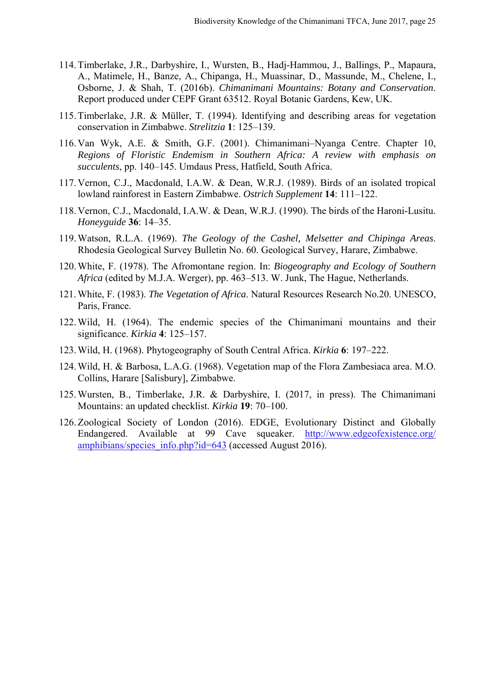- 114.Timberlake, J.R., Darbyshire, I., Wursten, B., Hadj-Hammou, J., Ballings, P., Mapaura, A., Matimele, H., Banze, A., Chipanga, H., Muassinar, D., Massunde, M., Chelene, I., Osborne, J. & Shah, T. (2016b). *Chimanimani Mountains: Botany and Conservation*. Report produced under CEPF Grant 63512. Royal Botanic Gardens, Kew, UK.
- 115.Timberlake, J.R. & Müller, T. (1994). Identifying and describing areas for vegetation conservation in Zimbabwe. *Strelitzia* **1**: 125‒139.
- 116.Van Wyk, A.E. & Smith, G.F. (2001). Chimanimani‒Nyanga Centre. Chapter 10, *Regions of Floristic Endemism in Southern Africa: A review with emphasis on succulents*, pp. 140‒145. Umdaus Press, Hatfield, South Africa.
- 117.Vernon, C.J., Macdonald, I.A.W. & Dean, W.R.J. (1989). Birds of an isolated tropical lowland rainforest in Eastern Zimbabwe. Ostrich Supplement 14: 111-122.
- 118.Vernon, C.J., Macdonald, I.A.W. & Dean, W.R.J. (1990). The birds of the Haroni-Lusitu. *Honeyguide* **36**: 14‒35.
- 119.Watson, R.L.A. (1969). *The Geology of the Cashel, Melsetter and Chipinga Areas*. Rhodesia Geological Survey Bulletin No. 60. Geological Survey, Harare, Zimbabwe.
- 120.White, F. (1978). The Afromontane region. In: *Biogeography and Ecology of Southern Africa* (edited by M.J.A. Werger), pp. 463–513. W. Junk, The Hague, Netherlands.
- 121. White, F. (1983). *The Vegetation of Africa*. Natural Resources Research No.20. UNESCO, Paris, France.
- 122.Wild, H. (1964). The endemic species of the Chimanimani mountains and their significance. *Kirkia* **4**: 125‒157.
- 123.Wild, H. (1968). Phytogeography of South Central Africa. *Kirkia* **6**: 197‒222.
- 124.Wild, H. & Barbosa, L.A.G. (1968). Vegetation map of the Flora Zambesiaca area. M.O. Collins, Harare [Salisbury], Zimbabwe.
- 125.Wursten, B., Timberlake, J.R. & Darbyshire, I. (2017, in press). The Chimanimani Mountains: an updated checklist. *Kirkia* 19: 70–100.
- 126.Zoological Society of London (2016). EDGE, Evolutionary Distinct and Globally Endangered. Available at 99 Cave squeaker. http://www.edgeofexistence.org/ amphibians/species\_info.php?id=643 (accessed August 2016).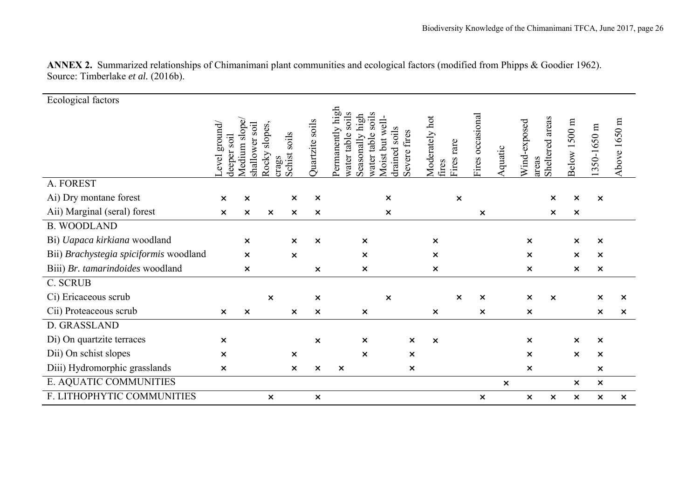| Ecological factors                     |                                    |                                       |                           |                           |                           |                                                                                                 |                                                              |                                                 |                           |         |                                             |                                                        |                           |                           |
|----------------------------------------|------------------------------------|---------------------------------------|---------------------------|---------------------------|---------------------------|-------------------------------------------------------------------------------------------------|--------------------------------------------------------------|-------------------------------------------------|---------------------------|---------|---------------------------------------------|--------------------------------------------------------|---------------------------|---------------------------|
|                                        | ground/<br>soil<br>deeper<br>_evel | slope/<br>soil<br>shallower<br>Medium | slopes,<br>Rocky<br>crags | soils<br>Schist           | Quartzite soils           | high<br>soils<br>soils<br>high<br>Permanently<br>table<br>table<br>Seasonally<br>water<br>water | well-<br>soils<br>fires<br>but<br>drained<br>Severe<br>Moist | Moderately hot<br>rare<br><b>Fires</b><br>fires | Fires occasional          | Aquatic | areas<br>Wind-exposed<br>Sheltered<br>areas | Below 1500 m                                           | 350-1650 m                | Above 1650 m              |
| A. FOREST                              |                                    |                                       |                           |                           |                           |                                                                                                 |                                                              |                                                 |                           |         |                                             |                                                        |                           |                           |
| Ai) Dry montane forest                 | $\boldsymbol{\mathsf{x}}$          | $\pmb{\times}$                        |                           | $\boldsymbol{\mathsf{x}}$ | $\boldsymbol{\mathsf{x}}$ |                                                                                                 | $\boldsymbol{\mathsf{x}}$                                    | $\boldsymbol{\mathsf{x}}$                       |                           |         |                                             | $\pmb{\times}$<br>$\boldsymbol{\mathsf{x}}$            | $\boldsymbol{\mathsf{x}}$ |                           |
| Aii) Marginal (seral) forest           | $\boldsymbol{\mathsf{x}}$          | $\boldsymbol{\mathsf{x}}$             | ×                         | ×                         | $\boldsymbol{\mathsf{x}}$ |                                                                                                 | $\boldsymbol{\mathsf{x}}$                                    |                                                 | ×                         |         |                                             | $\boldsymbol{\mathsf{x}}$<br>$\boldsymbol{\mathsf{x}}$ |                           |                           |
| <b>B. WOODLAND</b>                     |                                    |                                       |                           |                           |                           |                                                                                                 |                                                              |                                                 |                           |         |                                             |                                                        |                           |                           |
| Bi) Uapaca kirkiana woodland           |                                    | $\boldsymbol{\mathsf{x}}$             |                           | $\boldsymbol{\mathsf{x}}$ | $\boldsymbol{\mathsf{x}}$ | $\boldsymbol{\mathsf{x}}$                                                                       |                                                              | $\times$                                        |                           |         | $\boldsymbol{\mathsf{x}}$                   | $\boldsymbol{\mathsf{x}}$                              | $\boldsymbol{\mathsf{x}}$ |                           |
| Bii) Brachystegia spiciformis woodland |                                    | $\boldsymbol{\mathsf{x}}$             |                           | ×                         |                           | $\boldsymbol{\mathsf{x}}$                                                                       |                                                              | $\boldsymbol{\mathsf{x}}$                       |                           |         | $\boldsymbol{\mathsf{x}}$                   | $\boldsymbol{\mathsf{x}}$                              | $\boldsymbol{\mathsf{x}}$ |                           |
| Biii) Br. tamarindoides woodland       |                                    | $\boldsymbol{\mathsf{x}}$             |                           |                           | $\boldsymbol{\mathsf{x}}$ | $\boldsymbol{\mathsf{x}}$                                                                       |                                                              | $\times$                                        |                           |         | $\boldsymbol{\mathsf{x}}$                   | ×                                                      | $\boldsymbol{\mathsf{x}}$ |                           |
| C. SCRUB                               |                                    |                                       |                           |                           |                           |                                                                                                 |                                                              |                                                 |                           |         |                                             |                                                        |                           |                           |
| Ci) Ericaceous scrub                   |                                    |                                       | $\boldsymbol{\mathsf{x}}$ |                           | $\boldsymbol{\mathsf{x}}$ |                                                                                                 | $\boldsymbol{\mathsf{x}}$                                    | $\boldsymbol{\mathsf{x}}$                       | $\boldsymbol{\mathsf{x}}$ |         | $\boldsymbol{\mathsf{x}}$                   | $\boldsymbol{\mathsf{x}}$                              | $\boldsymbol{\mathsf{x}}$ | $\boldsymbol{\mathsf{x}}$ |
| Cii) Proteaceous scrub                 | $\boldsymbol{\mathsf{x}}$          | $\boldsymbol{\mathsf{x}}$             |                           | $\times$                  | $\pmb{\times}$            | $\boldsymbol{\mathsf{x}}$                                                                       |                                                              | $\boldsymbol{\mathsf{x}}$                       | $\boldsymbol{\mathsf{x}}$ |         | $\boldsymbol{\mathsf{x}}$                   |                                                        | $\boldsymbol{\mathsf{x}}$ | $\boldsymbol{\mathsf{x}}$ |
| D. GRASSLAND                           |                                    |                                       |                           |                           |                           |                                                                                                 |                                                              |                                                 |                           |         |                                             |                                                        |                           |                           |
| Di) On quartzite terraces              | $\boldsymbol{\mathsf{x}}$          |                                       |                           |                           | $\boldsymbol{\mathsf{x}}$ | $\times$                                                                                        | $\boldsymbol{\mathsf{x}}$                                    | $\boldsymbol{\mathsf{x}}$                       |                           |         | $\boldsymbol{\mathsf{x}}$                   | ×                                                      | $\boldsymbol{\mathsf{x}}$ |                           |
| Dii) On schist slopes                  | $\boldsymbol{\mathsf{x}}$          |                                       |                           | ×                         |                           | $\times$                                                                                        | $\boldsymbol{\mathsf{x}}$                                    |                                                 |                           |         | $\boldsymbol{\mathsf{x}}$                   | $\boldsymbol{\mathsf{x}}$                              | ×                         |                           |
| Diii) Hydromorphic grasslands          | $\boldsymbol{\mathsf{x}}$          |                                       |                           | $\boldsymbol{\mathsf{x}}$ | $\boldsymbol{\mathsf{x}}$ | $\boldsymbol{\mathsf{x}}$                                                                       | $\boldsymbol{\mathsf{x}}$                                    |                                                 |                           |         | $\boldsymbol{\mathsf{x}}$                   |                                                        | $\times$                  |                           |
| E. AQUATIC COMMUNITIES                 |                                    |                                       |                           |                           |                           |                                                                                                 |                                                              |                                                 |                           | ×       |                                             | ×                                                      | $\boldsymbol{\mathsf{x}}$ |                           |
| F. LITHOPHYTIC COMMUNITIES             |                                    |                                       | $\boldsymbol{\mathsf{x}}$ |                           | $\pmb{\times}$            |                                                                                                 |                                                              |                                                 | $\pmb{\times}$            |         | $\boldsymbol{\mathsf{x}}$                   | $\pmb{\times}$<br>×                                    | $\pmb{\times}$            | $\boldsymbol{\mathsf{x}}$ |

**ANNEX 2.** Summarized relationships of Chimanimani plant communities and ecological factors (modified from Phipps & Goodier 1962). Source: Timberlake *et al.* (2016b).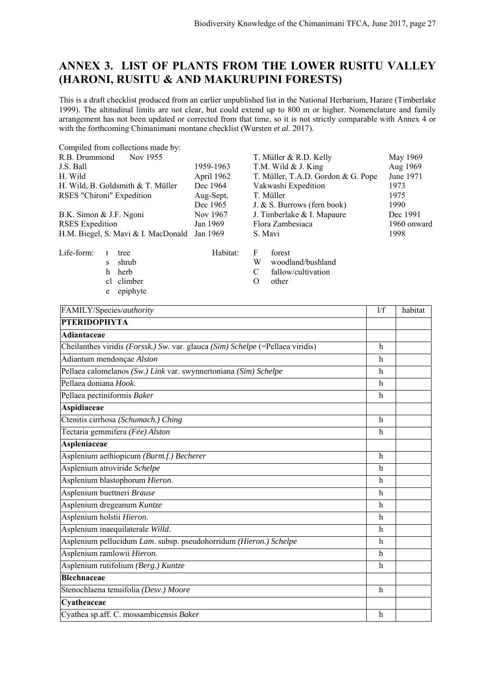## **ANNEX 3. LIST OF PLANTS FROM THE LOWER RUSITU VALLEY (HARONI, RUSITU & AND MAKURUPINI FORESTS)**

This is a draft checklist produced from an earlier unpublished list in the National Herbarium, Harare (Timberlake 1999). The altitudinal limits are not clear, but could extend up to 800 m or higher. Nomenclature and family arrangement has not been updated or corrected from that time, so it is not strictly comparable with Annex 4 or with the forthcoming Chimanimani montane checklist (Wursten *et al.* 2017).

| Compiled from collections made by:           |            |                                    |             |
|----------------------------------------------|------------|------------------------------------|-------------|
| R.B. Drummond<br>Nov 1955                    |            | T. Müller & R.D. Kelly             | May 1969    |
| J.S. Ball                                    | 1959-1963  | T.M. Wild & J. King                | Aug 1969    |
| H. Wild                                      | April 1962 | T. Müller, T.A.D. Gordon & G. Pope | June 1971   |
| H. Wild, B. Goldsmith & T. Müller            | Dec 1964   | Vakwashi Expedition                | 1973        |
| RSES "Chironi" Expedition                    | Aug-Sept,  | T. Müller                          | 1975        |
|                                              | Dec 1965   | J. & S. Burrows (fern book)        | 1990        |
| B.K. Simon & J.F. Ngoni                      | Nov 1967   | J. Timberlake & I. Mapaure         | Dec 1991    |
| <b>RSES</b> Expedition                       | Jan 1969   | Flora Zambesiaca                   | 1960 onward |
| H.M. Biegel, S. Mavi & I. MacDonald Jan 1969 |            | S. Mavi                            | 1998        |
|                                              |            |                                    |             |

Life-form: t tree Habitat: F forest<br>s shrub W wood

- -
	- e epiphyte

- s shrub W woodland/bushland
- h herb C fallow/cultivation
- cl climber O other

| FAMILY/Species/authority                                                       | 1/f          | habitat |
|--------------------------------------------------------------------------------|--------------|---------|
| <b>PTERIDOPHYTA</b>                                                            |              |         |
| Adiantaceae                                                                    |              |         |
| Cheilanthes viridis (Forssk.) Sw. var. glauca (Sim) Schelpe (=Pellaea viridis) | h            |         |
| Adiantum mendonçae Alston                                                      | h            |         |
| Pellaea calomelanos (Sw.) Link var. swynnertoniana (Sim) Schelpe               | $\mathbf{h}$ |         |
| Pellaea doniana Hook.                                                          | $\mathbf{h}$ |         |
| Pellaea pectiniformis Baker                                                    | h            |         |
| Aspidiaceae                                                                    |              |         |
| Ctenitis cirrhosa (Schumach.) Ching                                            | $\mathbf h$  |         |
| Tectaria gemmifera (Fée) Alston                                                | $\mathbf{h}$ |         |
| Aspleniaceae                                                                   |              |         |
| Asplenium aethiopicum (Burm.f.) Becherer                                       | $\mathbf{h}$ |         |
| Asplenium atroviride Schelpe                                                   | h            |         |
| Asplenium blastophorum Hieron.                                                 | $\mathbf{h}$ |         |
| Asplenium buettneri Brause                                                     | h            |         |
| Asplenium dregeanum Kuntze                                                     | $\mathbf{h}$ |         |
| Asplenium holstii Hieron.                                                      | $\mathbf{h}$ |         |
| Asplenium inaequilaterale Willd.                                               | $\mathbf{h}$ |         |
| Asplenium pellucidum Lam. subsp. pseudohorridum (Hieron.) Schelpe              | $\mathbf{h}$ |         |
| Asplenium ramlowii Hieron.                                                     | $\mathbf{h}$ |         |
| Asplenium rutifolium (Berg.) Kuntze                                            | $\mathbf{h}$ |         |
| <b>Blechnaceae</b>                                                             |              |         |
| Stenochlaena tenuifolia (Desv.) Moore                                          | $\mathbf h$  |         |
| Cyatheaceae                                                                    |              |         |
| Cyathea sp.aff. C. mossambicensis Baker                                        | $\mathbf{h}$ |         |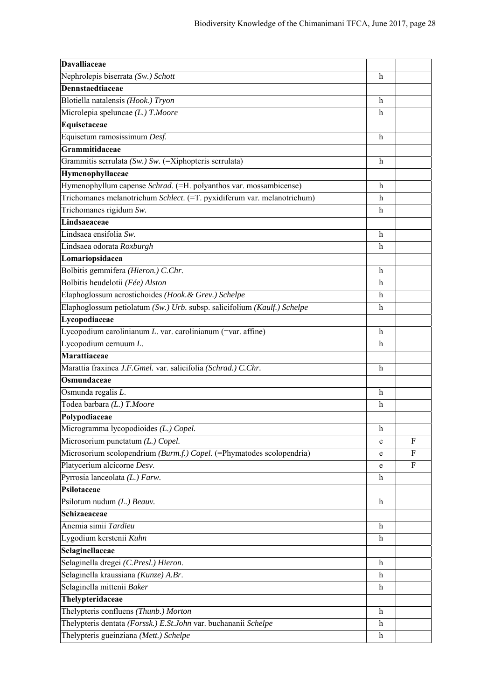| <b>Davalliaceae</b>                                                      |                           |              |
|--------------------------------------------------------------------------|---------------------------|--------------|
| Nephrolepis biserrata (Sw.) Schott                                       | h                         |              |
| Dennstaedtiaceae                                                         |                           |              |
| Blotiella natalensis (Hook.) Tryon                                       | h                         |              |
| Microlepia speluncae (L.) T.Moore                                        | h                         |              |
| Equisetaceae                                                             |                           |              |
| Equisetum ramosissimum Desf.                                             | $\mathbf h$               |              |
| Grammitidaceae                                                           |                           |              |
| Grammitis serrulata (Sw.) Sw. (=Xiphopteris serrulata)                   | $\mathbf h$               |              |
| Hymenophyllaceae                                                         |                           |              |
| Hymenophyllum capense Schrad. (=H. polyanthos var. mossambicense)        | h                         |              |
| Trichomanes melanotrichum Schlect. (=T. pyxidiferum var. melanotrichum)  | $\boldsymbol{\mathrm{h}}$ |              |
| Trichomanes rigidum Sw.                                                  | h                         |              |
| Lindsaeaceae                                                             |                           |              |
| Lindsaea ensifolia Sw.                                                   | h                         |              |
| Lindsaea odorata Roxburgh                                                | h                         |              |
| Lomariopsidacea                                                          |                           |              |
| Bolbitis gemmifera (Hieron.) C.Chr.                                      | $\mathbf h$               |              |
| Bolbitis heudelotii (Fée) Alston                                         | h                         |              |
| Elaphoglossum acrostichoides (Hook. & Grev.) Schelpe                     | $\mathbf h$               |              |
| Elaphoglossum petiolatum (Sw.) Urb. subsp. salicifolium (Kaulf.) Schelpe | $\boldsymbol{\mathrm{h}}$ |              |
| Lycopodiaceae                                                            |                           |              |
| Lycopodium carolinianum L. var. carolinianum (=var. affine)              | $\mathbf h$               |              |
| Lycopodium cernuum L.                                                    | $\mathbf h$               |              |
| <b>Marattiaceae</b>                                                      |                           |              |
| Marattia fraxinea J.F.Gmel. var. salicifolia (Schrad.) C.Chr.            | $\mathbf h$               |              |
| Osmundaceae                                                              |                           |              |
| Osmunda regalis L.                                                       | h                         |              |
| Todea barbara (L.) T.Moore                                               | h                         |              |
| Polypodiaceae                                                            |                           |              |
| Microgramma lycopodioides (L.) Copel.                                    | $\boldsymbol{\mathrm{h}}$ |              |
| Microsorium punctatum (L.) Copel.                                        | e                         | $\mathbf{F}$ |
| Microsorium scolopendrium (Burm.f.) Copel. (=Phymatodes scolopendria)    | e                         | F            |
| Platycerium alcicorne Desv.                                              | e                         | $\mathbf{F}$ |
| Pyrrosia lanceolata $(L.)$ Farw.                                         | $\mathbf h$               |              |
| Psilotaceae                                                              |                           |              |
| Psilotum nudum $(L)$ Beauv.                                              | h                         |              |
| Schizaeaceae                                                             |                           |              |
| Anemia simii Tardieu                                                     | $\mathbf h$               |              |
| Lygodium kerstenii Kuhn                                                  | h                         |              |
| Selaginellaceae                                                          |                           |              |
| Selaginella dregei (C.Presl.) Hieron.                                    | $\boldsymbol{h}$          |              |
| Selaginella kraussiana (Kunze) A.Br.                                     | $\boldsymbol{h}$          |              |
| Selaginella mittenii Baker                                               | h                         |              |
| Thelypteridaceae                                                         |                           |              |
| Thelypteris confluens (Thunb.) Morton                                    | $\mathbf h$               |              |
| Thelypteris dentata (Forssk.) E.St.John var. buchananii Schelpe          | $\boldsymbol{h}$          |              |
| Thelypteris gueinziana (Mett.) Schelpe                                   | $\mathbf h$               |              |
|                                                                          |                           |              |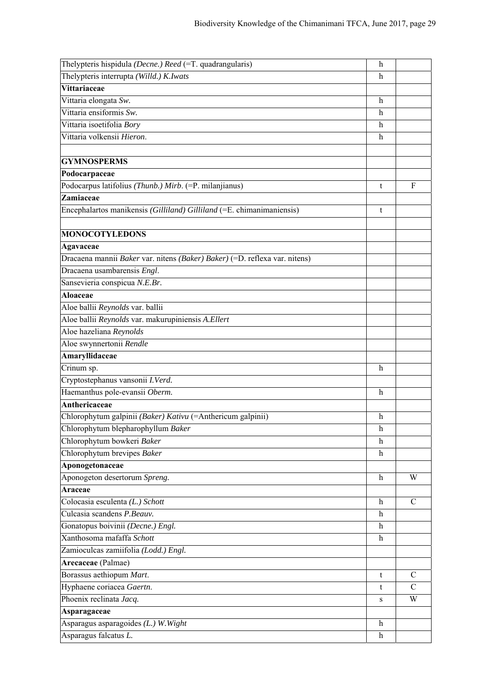| Thelypteris hispidula (Decne.) Reed (=T. quadrangularis)                   | $\mathbf h$               |               |
|----------------------------------------------------------------------------|---------------------------|---------------|
| Thelypteris interrupta (Willd.) K.Iwats                                    | h                         |               |
| Vittariaceae                                                               |                           |               |
| Vittaria elongata Sw.                                                      | h                         |               |
| Vittaria ensiformis Sw.                                                    | h                         |               |
| Vittaria isoetifolia Bory                                                  | h                         |               |
| Vittaria volkensii Hieron.                                                 | h                         |               |
|                                                                            |                           |               |
| <b>GYMNOSPERMS</b>                                                         |                           |               |
| Podocarpaceae                                                              |                           |               |
| Podocarpus latifolius (Thunb.) Mirb. (=P. milanjianus)                     | t                         | $\mathbf{F}$  |
| Zamiaceae                                                                  |                           |               |
| Encephalartos manikensis (Gilliland) Gilliland (=E. chimanimaniensis)      | t                         |               |
|                                                                            |                           |               |
| <b>MONOCOTYLEDONS</b>                                                      |                           |               |
| Agavaceae                                                                  |                           |               |
| Dracaena mannii Baker var. nitens (Baker) Baker) (=D. reflexa var. nitens) |                           |               |
| Dracaena usambarensis Engl.                                                |                           |               |
| Sansevieria conspicua N.E.Br.                                              |                           |               |
| Aloaceae                                                                   |                           |               |
| Aloe ballii Reynolds var. ballii                                           |                           |               |
| Aloe ballii Reynolds var. makurupiniensis A.Ellert                         |                           |               |
| Aloe hazeliana Reynolds                                                    |                           |               |
| Aloe swynnertonii Rendle                                                   |                           |               |
| Amaryllidaceae                                                             |                           |               |
| Crinum sp.                                                                 | $\mathbf h$               |               |
| Cryptostephanus vansonii I.Verd.                                           |                           |               |
| Haemanthus pole-evansii Oberm.                                             | h                         |               |
| Anthericaceae                                                              |                           |               |
| Chlorophytum galpinii (Baker) Kativu (=Anthericum galpinii)                | h                         |               |
| Chlorophytum blepharophyllum Baker                                         | $\boldsymbol{\mathrm{h}}$ |               |
| Chlorophytum bowkeri Baker                                                 | h                         |               |
| Chlorophytum brevipes Baker                                                | h                         |               |
| Aponogetonaceae                                                            |                           |               |
| Aponogeton desertorum Spreng.                                              | h                         | W             |
| Araceae                                                                    |                           |               |
| Colocasia esculenta (L.) Schott                                            | $\mathbf h$               | $\mathcal{C}$ |
| Culcasia scandens P.Beauv.                                                 | h                         |               |
| Gonatopus boivinii (Decne.) Engl.                                          | $\mathbf h$               |               |
| Xanthosoma mafaffa Schott                                                  | $\boldsymbol{\mathrm{h}}$ |               |
| Zamioculcas zamiifolia (Lodd.) Engl.                                       |                           |               |
| Arecaceae (Palmae)                                                         |                           |               |
| Borassus aethiopum Mart.                                                   | t                         | $\mathcal{C}$ |
| Hyphaene coriacea Gaertn.                                                  | t                         | $\mathbf C$   |
| Phoenix reclinata Jacq.                                                    | ${\bf S}$                 | W             |
| Asparagaceae                                                               |                           |               |
| Asparagus asparagoides (L.) W. Wight                                       | $\,h$                     |               |
| Asparagus falcatus L.                                                      | $\mathbf{h}$              |               |
|                                                                            |                           |               |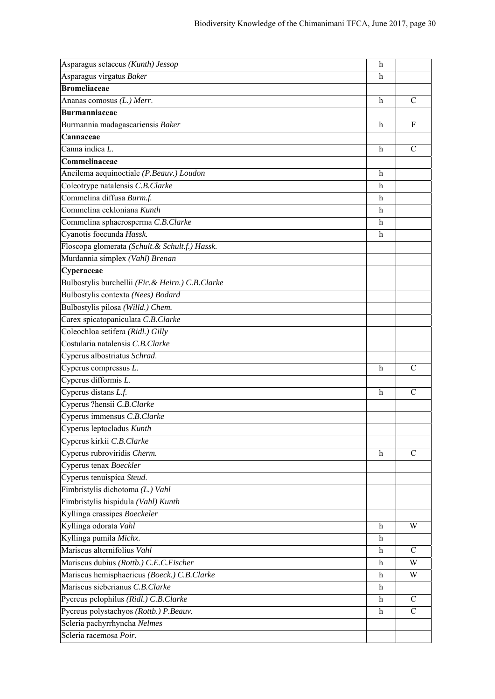| Asparagus setaceus (Kunth) Jessop                         | $\mathbf h$               |               |
|-----------------------------------------------------------|---------------------------|---------------|
| Asparagus virgatus Baker                                  | h                         |               |
| <b>Bromeliaceae</b>                                       |                           |               |
| Ananas comosus (L.) Merr.                                 | h                         | C             |
| <b>Burmanniaceae</b>                                      |                           |               |
| Burmannia madagascariensis Baker                          | h                         | F             |
| Cannaceae                                                 |                           |               |
| Canna indica L.                                           | h                         | C             |
| Commelinaceae                                             |                           |               |
| Aneilema aequinoctiale (P.Beauv.) Loudon                  | h                         |               |
| Coleotrype natalensis C.B.Clarke                          | h                         |               |
| Commelina diffusa Burm.f.                                 | h                         |               |
| Commelina eckloniana Kunth                                | h                         |               |
| Commelina sphaerosperma C.B.Clarke                        | h                         |               |
| Cyanotis foecunda Hassk.                                  | h                         |               |
| Floscopa glomerata (Schult. & Schult.f.) Hassk.           |                           |               |
| Murdannia simplex (Vahl) Brenan                           |                           |               |
| Cyperaceae                                                |                           |               |
| Bulbostylis burchellii (Fic. & Heirn.) C.B.Clarke         |                           |               |
| Bulbostylis contexta (Nees) Bodard                        |                           |               |
| Bulbostylis pilosa (Willd.) Chem.                         |                           |               |
| Carex spicatopaniculata C.B.Clarke                        |                           |               |
| Coleochloa setifera (Ridl.) Gilly                         |                           |               |
| Costularia natalensis C.B.Clarke                          |                           |               |
| Cyperus albostriatus Schrad.                              |                           |               |
| Cyperus compressus L.                                     | h                         | C             |
|                                                           |                           |               |
|                                                           |                           |               |
| Cyperus difformis L.                                      | h                         | $\mathcal{C}$ |
| Cyperus distans L.f.                                      |                           |               |
| Cyperus ?hensii C.B.Clarke<br>Cyperus immensus C.B.Clarke |                           |               |
| Cyperus leptocladus Kunth                                 |                           |               |
| Cyperus kirkii C.B.Clarke                                 |                           |               |
| Cyperus rubroviridis Cherm.                               | h                         | C             |
| Cyperus tenax Boeckler                                    |                           |               |
| Cyperus tenuispica Steud.                                 |                           |               |
| Fimbristylis dichotoma (L.) Vahl                          |                           |               |
| Fimbristylis hispidula (Vahl) Kunth                       |                           |               |
| Kyllinga crassipes Boeckeler                              |                           |               |
| Kyllinga odorata Vahl                                     | h                         | W             |
| Kyllinga pumila Michx.                                    | h                         |               |
| Mariscus alternifolius Vahl                               | h                         | C             |
| Mariscus dubius (Rottb.) C.E.C.Fischer                    | h                         | W             |
| Mariscus hemisphaericus (Boeck.) C.B.Clarke               | h                         | W             |
| Mariscus sieberianus C.B.Clarke                           | $\boldsymbol{\mathrm{h}}$ |               |
| Pycreus pelophilus (Ridl.) C.B.Clarke                     | h                         | C             |
| Pycreus polystachyos (Rottb.) P.Beauv.                    | h                         | $\mathcal{C}$ |
| Scleria pachyrrhyncha Nelmes                              |                           |               |
| Scleria racemosa Poir.                                    |                           |               |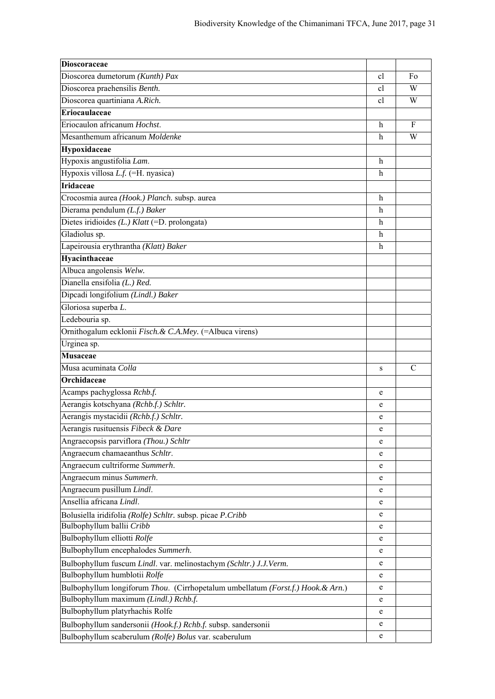| Dioscoraceae                                                                                                           |              |    |
|------------------------------------------------------------------------------------------------------------------------|--------------|----|
| Dioscorea dumetorum (Kunth) Pax                                                                                        | cl           | Fo |
| Dioscorea praehensilis Benth.                                                                                          | cl           | W  |
| Dioscorea quartiniana A.Rich.                                                                                          | cl           | W  |
| Eriocaulaceae                                                                                                          |              |    |
| Eriocaulon africanum Hochst.                                                                                           | $\mathbf h$  | F  |
| Mesanthemum africanum Moldenke                                                                                         | $\mathbf h$  | W  |
| Hypoxidaceae                                                                                                           |              |    |
| Hypoxis angustifolia Lam.                                                                                              | $\mathbf h$  |    |
| Hypoxis villosa L.f. (=H. nyasica)                                                                                     | h            |    |
| <b>Iridaceae</b>                                                                                                       |              |    |
| Crocosmia aurea (Hook.) Planch. subsp. aurea                                                                           | $\mathbf{h}$ |    |
| Dierama pendulum (L.f.) Baker                                                                                          | $\mathbf h$  |    |
| Dietes iridioides $(L)$ Klatt (=D. prolongata)                                                                         | $\mathbf h$  |    |
| Gladiolus sp.                                                                                                          | h            |    |
| Lapeirousia erythrantha (Klatt) Baker                                                                                  | h            |    |
| Hyacinthaceae                                                                                                          |              |    |
| Albuca angolensis Welw.                                                                                                |              |    |
| Dianella ensifolia (L.) Red.                                                                                           |              |    |
| Dipcadi longifolium (Lindl.) Baker                                                                                     |              |    |
| Gloriosa superba L.                                                                                                    |              |    |
| Ledebouria sp.                                                                                                         |              |    |
| Ornithogalum ecklonii Fisch. & C.A.Mey. (=Albuca virens)                                                               |              |    |
| Urginea sp.                                                                                                            |              |    |
| <b>Musaceae</b>                                                                                                        |              |    |
| Musa acuminata Colla                                                                                                   | S            | C  |
| Orchidaceae                                                                                                            |              |    |
|                                                                                                                        |              |    |
| Acamps pachyglossa Rchb.f.                                                                                             | e            |    |
| Aerangis kotschyana (Rchb.f.) Schltr.                                                                                  | e            |    |
| Aerangis mystacidii (Rchb.f.) Schltr.                                                                                  | e            |    |
| Aerangis rusituensis Fibeck & Dare                                                                                     | e            |    |
| Angraecopsis parviflora (Thou.) Schltr                                                                                 | e            |    |
| Angraecum chamaeanthus Schltr.                                                                                         | e            |    |
| Angraecum cultriforme Summerh.                                                                                         | e            |    |
| Angraecum minus Summerh.                                                                                               | e            |    |
| Angraecum pusillum Lindl.                                                                                              | e            |    |
| Ansellia africana Lindl.                                                                                               | e            |    |
| Bolusiella iridifolia (Rolfe) Schltr. subsp. picae P. Cribb                                                            | e            |    |
| Bulbophyllum ballii Cribb                                                                                              | e            |    |
| Bulbophyllum elliotti Rolfe                                                                                            | e            |    |
| Bulbophyllum encephalodes Summerh.                                                                                     | e            |    |
| Bulbophyllum fuscum Lindl. var. melinostachym (Schltr.) J.J.Verm.                                                      | e            |    |
| Bulbophyllum humblotii Rolfe                                                                                           | e            |    |
| Bulbophyllum longiforum Thou. (Cirrhopetalum umbellatum (Forst.f.) Hook. & Arn.)                                       | e            |    |
| Bulbophyllum maximum (Lindl.) Rchb.f.                                                                                  | e            |    |
| Bulbophyllum platyrhachis Rolfe                                                                                        | e            |    |
| Bulbophyllum sandersonii (Hook.f.) Rchb.f. subsp. sandersonii<br>Bulbophyllum scaberulum (Rolfe) Bolus var. scaberulum | e            |    |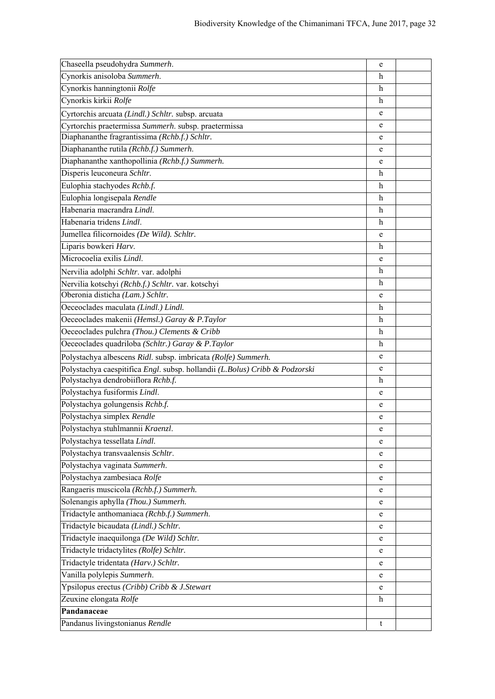| Chaseella pseudohydra Summerh.                                              | e |  |
|-----------------------------------------------------------------------------|---|--|
| Cynorkis anisoloba Summerh.                                                 | h |  |
| Cynorkis hanningtonii Rolfe                                                 | h |  |
| Cynorkis kirkii Rolfe                                                       | h |  |
| Cyrtorchis arcuata (Lindl.) Schltr. subsp. arcuata                          | e |  |
| Cyrtorchis praetermissa Summerh. subsp. praetermissa                        | e |  |
| Diaphananthe fragrantissima (Rchb.f.) Schltr.                               | e |  |
| Diaphananthe rutila (Rchb.f.) Summerh.                                      | e |  |
| Diaphananthe xanthopollinia (Rchb.f.) Summerh.                              | e |  |
| Disperis leuconeura Schltr.                                                 | h |  |
| Eulophia stachyodes Rchb.f.                                                 | h |  |
| Eulophia longisepala Rendle                                                 | h |  |
| Habenaria macrandra Lindl.                                                  | h |  |
| Habenaria tridens Lindl.                                                    | h |  |
| Jumellea filicornoides (De Wild). Schltr.                                   | e |  |
| Liparis bowkeri Harv.                                                       | h |  |
| Microcoelia exilis Lindl.                                                   | e |  |
| Nervilia adolphi Schltr. var. adolphi                                       | h |  |
| Nervilia kotschyi (Rchb.f.) Schltr. var. kotschyi                           | h |  |
| Oberonia disticha (Lam.) Schltr.                                            | e |  |
| Oeceoclades maculata (Lindl.) Lindl.                                        | h |  |
| Oeceoclades makenii (Hemsl.) Garay & P.Taylor                               | h |  |
| Oeceoclades pulchra (Thou.) Clements & Cribb                                | h |  |
| Oeceoclades quadriloba (Schltr.) Garay & P.Taylor                           | h |  |
| Polystachya albescens Ridl. subsp. imbricata (Rolfe) Summerh.               | e |  |
| Polystachya caespitifica Engl. subsp. hollandii (L.Bolus) Cribb & Podzorski | e |  |
| Polystachya dendrobiiflora Rchb.f.                                          | h |  |
| Polystachya fusiformis Lindl.                                               | e |  |
| Polystachya golungensis Rchb.f.                                             | e |  |
| Polystachya simplex Rendle                                                  | e |  |
| Polystachya stuhlmannii Kraenzl.                                            | e |  |
| Polystachya tessellata Lindl.                                               | e |  |
| Polystachya transvaalensis Schltr.                                          | e |  |
| Polystachya vaginata Summerh.                                               | e |  |
| Polystachya zambesiaca Rolfe                                                | e |  |
| Rangaeris muscicola (Rchb.f.) Summerh.                                      | e |  |
| Solenangis aphylla (Thou.) Summerh.                                         | e |  |
| Tridactyle anthomaniaca (Rchb.f.) Summerh.                                  | e |  |
| Tridactyle bicaudata (Lindl.) Schltr.                                       | e |  |
| Tridactyle inaequilonga (De Wild) Schltr.                                   | e |  |
| Tridactyle tridactylites (Rolfe) Schltr.                                    | e |  |
| Tridactyle tridentata (Harv.) Schltr.                                       | e |  |
| Vanilla polylepis Summerh.                                                  | e |  |
| Ypsilopus erectus (Cribb) Cribb & J.Stewart                                 | e |  |
| Zeuxine elongata Rolfe                                                      | h |  |
| Pandanaceae                                                                 |   |  |
| Pandanus livingstonianus Rendle                                             | t |  |
|                                                                             |   |  |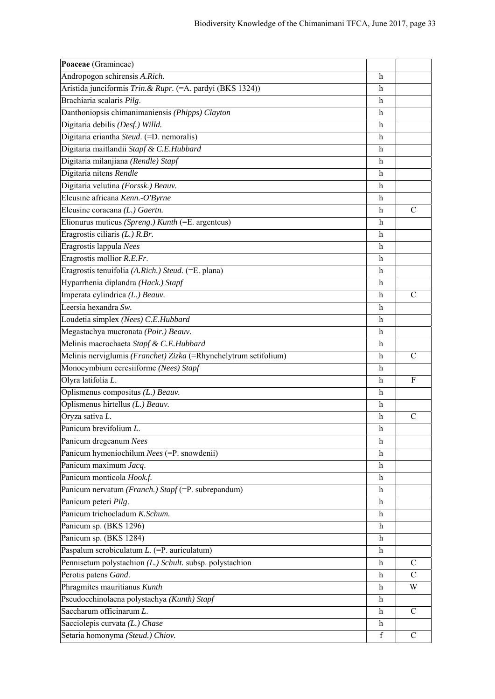| Poaceae (Gramineae)                                              |              |               |
|------------------------------------------------------------------|--------------|---------------|
| Andropogon schirensis A.Rich.                                    | h            |               |
| Aristida junciformis Trin. & Rupr. (=A. pardyi (BKS 1324))       | h            |               |
| Brachiaria scalaris Pilg.                                        | h            |               |
| Danthoniopsis chimanimaniensis (Phipps) Clayton                  | h            |               |
| Digitaria debilis (Desf.) Willd.                                 | h            |               |
| Digitaria eriantha Steud. (=D. nemoralis)                        | h            |               |
| Digitaria maitlandii Stapf & C.E.Hubbard                         | h            |               |
| Digitaria milanjiana (Rendle) Stapf                              | h            |               |
| Digitaria nitens Rendle                                          | h            |               |
| Digitaria velutina (Forssk.) Beauv.                              | h            |               |
| Eleusine africana Kenn.-O'Byrne                                  | h            |               |
| Eleusine coracana (L.) Gaertn.                                   | h            | C             |
| Elionurus muticus (Spreng.) Kunth (=E. argenteus)                | h            |               |
| Eragrostis ciliaris $(L)$ R.Br.                                  | h            |               |
| Eragrostis lappula Nees                                          | h            |               |
| Eragrostis mollior R.E.Fr.                                       | h            |               |
| Eragrostis tenuifolia (A.Rich.) Steud. (=E. plana)               | h            |               |
| Hyparrhenia diplandra (Hack.) Stapf                              | h            |               |
| Imperata cylindrica (L.) Beauv.                                  | h            | $\mathcal{C}$ |
| Leersia hexandra Sw.                                             | h            |               |
| Loudetia simplex (Nees) C.E.Hubbard                              | h            |               |
| Megastachya mucronata (Poir.) Beauv.                             | h            |               |
| Melinis macrochaeta Stapf & C.E.Hubbard                          | h            |               |
| Melinis nerviglumis (Franchet) Zizka (=Rhynchelytrum setifolium) | h            | C             |
| Monocymbium ceresiiforme (Nees) Stapf                            | h            |               |
| Olyra latifolia L.                                               | h            | F             |
| Oplismenus compositus (L.) Beauv.                                | h            |               |
| Oplismenus hirtellus (L.) Beauv.                                 | h            |               |
| Oryza sativa L.                                                  | h            | $\mathcal{C}$ |
| Panicum brevifolium $L$ .                                        | h            |               |
| Panicum dregeanum Nees                                           | h            |               |
| Panicum hymeniochilum Nees (=P. snowdenii)                       | h            |               |
| Panicum maximum Jacq.                                            | h            |               |
| Panicum monticola Hook.f.                                        | h            |               |
| Panicum nervatum (Franch.) Stapf (=P. subrepandum)               | h            |               |
| Panicum peteri Pilg.                                             | h            |               |
| Panicum trichocladum K.Schum.                                    | h            |               |
| Panicum sp. (BKS 1296)                                           | h            |               |
| Panicum sp. (BKS 1284)                                           | h            |               |
| Paspalum scrobiculatum $L$ . (=P. auriculatum)                   | h            |               |
| Pennisetum polystachion (L.) Schult. subsp. polystachion         | h            | C             |
| Perotis patens Gand.                                             | h            | $\mathcal{C}$ |
| Phragmites mauritianus Kunth                                     | h            | W             |
| Pseudoechinolaena polystachya (Kunth) Stapf                      | $\mathbf{h}$ |               |
| Saccharum officinarum L.                                         | h            | $\mathcal{C}$ |
| Sacciolepis curvata (L.) Chase                                   | h            |               |
| Setaria homonyma (Steud.) Chiov.                                 | f            | $\mathcal{C}$ |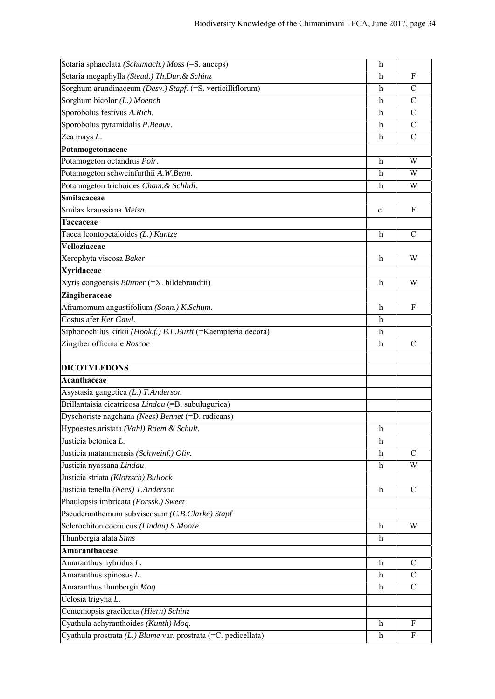| Setaria sphacelata (Schumach.) Moss (=S. anceps)                                                       | h                         |               |
|--------------------------------------------------------------------------------------------------------|---------------------------|---------------|
| Setaria megaphylla (Steud.) Th.Dur. & Schinz                                                           | h                         | F             |
| Sorghum arundinaceum (Desv.) Stapf. (=S. verticilliflorum)                                             | h                         | C             |
| Sorghum bicolor (L.) Moench                                                                            | h                         | $\mathcal{C}$ |
| Sporobolus festivus A.Rich.                                                                            | h                         | $\mathsf{C}$  |
| Sporobolus pyramidalis P.Beauv.                                                                        | h                         | C             |
| Zea mays L.                                                                                            | h                         | $\mathcal{C}$ |
| Potamogetonaceae                                                                                       |                           |               |
| Potamogeton octandrus Poir.                                                                            | h                         | W             |
| Potamogeton schweinfurthii A.W.Benn.                                                                   | h                         | W             |
| Potamogeton trichoides Cham. & Schltdl.                                                                | h                         | W             |
| Smilacaceae                                                                                            |                           |               |
| Smilax kraussiana Meisn.                                                                               | cl                        | F             |
| Taccaceae                                                                                              |                           |               |
| Tacca leontopetaloides (L.) Kuntze                                                                     | $\mathbf h$               | C             |
| Velloziaceae                                                                                           |                           |               |
| Xerophyta viscosa Baker                                                                                | $\mathbf h$               | W             |
| <b>Xyridaceae</b>                                                                                      |                           |               |
| Xyris congoensis Büttner (=X. hildebrandtii)                                                           | h                         | W             |
| Zingiberaceae                                                                                          |                           |               |
| Aframomum angustifolium (Sonn.) K.Schum.                                                               | h                         | F             |
| Costus afer Ker Gawl.                                                                                  | h                         |               |
| Siphonochilus kirkii (Hook.f.) B.L.Burtt (=Kaempferia decora)                                          | h                         |               |
| Zingiber officinale Roscoe                                                                             | h                         | C             |
|                                                                                                        |                           |               |
|                                                                                                        |                           |               |
| <b>DICOTYLEDONS</b>                                                                                    |                           |               |
| Acanthaceae                                                                                            |                           |               |
| Asystasia gangetica (L.) T.Anderson                                                                    |                           |               |
| Brillantaisia cicatricosa Lindau (=B. subulugurica)                                                    |                           |               |
| Dyschoriste nagchana (Nees) Bennet (=D. radicans)                                                      |                           |               |
| Hypoestes aristata (Vahl) Roem. & Schult.                                                              | h                         |               |
| Justicia betonica L.                                                                                   | $\boldsymbol{\mathrm{h}}$ |               |
| Justicia matammensis (Schweinf.) Oliv.                                                                 | h                         | C             |
| Justicia nyassana Lindau                                                                               | h                         | W             |
| Justicia striata (Klotzsch) Bullock                                                                    |                           |               |
| Justicia tenella (Nees) T.Anderson                                                                     | h                         | $\mathcal{C}$ |
| Phaulopsis imbricata (Forssk.) Sweet                                                                   |                           |               |
| Pseuderanthemum subviscosum (C.B.Clarke) Stapf                                                         |                           |               |
| Sclerochiton coeruleus (Lindau) S.Moore                                                                | h                         | W             |
| Thunbergia alata Sims                                                                                  | h                         |               |
| Amaranthaceae                                                                                          |                           |               |
| Amaranthus hybridus L.                                                                                 | h                         | C             |
| Amaranthus spinosus L.                                                                                 | h                         | С             |
| Amaranthus thunbergii Moq.                                                                             | h                         | $\mathbf C$   |
| Celosia trigyna L.                                                                                     |                           |               |
| Centemopsis gracilenta (Hiern) Schinz                                                                  |                           |               |
| Cyathula achyranthoides (Kunth) Moq.<br>Cyathula prostrata (L.) Blume var. prostrata (=C. pedicellata) | h                         | F<br>F        |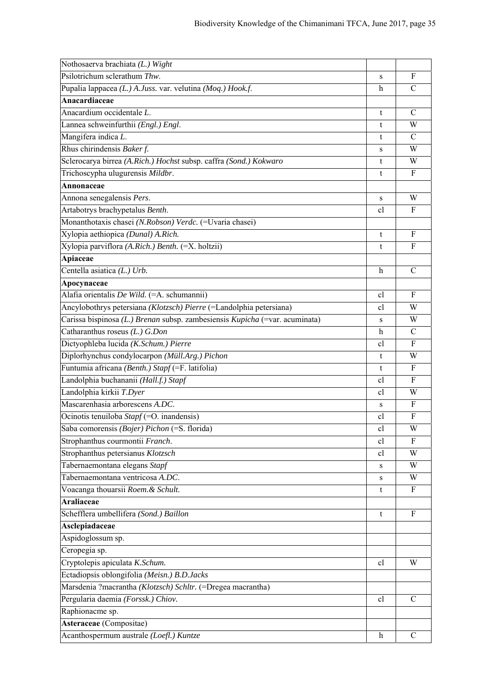| Nothosaerva brachiata (L.) Wight                                            |    |               |
|-----------------------------------------------------------------------------|----|---------------|
| Psilotrichum sclerathum Thw.                                                | S  | F             |
| Pupalia lappacea (L.) A.Juss. var. velutina (Moq.) Hook.f.                  | h  | $\mathcal{C}$ |
| Anacardiaceae                                                               |    |               |
| Anacardium occidentale L.                                                   | t  | $\mathcal{C}$ |
| Lannea schweinfurthii (Engl.) Engl.                                         | t  | W             |
| Mangifera indica L.                                                         | t  | C             |
| Rhus chirindensis Baker f.                                                  | s  | W             |
| Sclerocarya birrea (A.Rich.) Hochst subsp. caffra (Sond.) Kokwaro           | t  | W             |
| Trichoscypha ulugurensis Mildbr.                                            | t  | F             |
| Annonaceae                                                                  |    |               |
| Annona senegalensis Pers.                                                   | S  | W             |
| Artabotrys brachypetalus Benth.                                             | cl | F             |
| Monanthotaxis chasei (N.Robson) Verdc. (=Uvaria chasei)                     |    |               |
| Xylopia aethiopica (Dunal) A.Rich.                                          | t  | F             |
| Xylopia parviflora (A.Rich.) Benth. (=X. holtzii)                           | t  | F             |
| Apiaceae                                                                    |    |               |
| Centella asiatica (L.) Urb.                                                 | h  | C             |
| Apocynaceae                                                                 |    |               |
| Alafia orientalis De Wild. (=A. schumannii)                                 | cl | F             |
| Ancylobothrys petersiana (Klotzsch) Pierre (=Landolphia petersiana)         | cl | W             |
| Carissa bispinosa (L.) Brenan subsp. zambesiensis Kupicha (=var. acuminata) | S  | W             |
| Catharanthus roseus $(L)$ G.Don                                             | h  | $\mathcal{C}$ |
| Dictyophleba lucida (K.Schum.) Pierre                                       | cl | F             |
| Diplorhynchus condylocarpon (Müll.Arg.) Pichon                              | t  | W             |
| Funtumia africana (Benth.) Stapf (=F. latifolia)                            | t  | F             |
| Landolphia buchananii (Hall.f.) Stapf                                       | cl | F             |
| Landolphia kirkii T.Dyer                                                    | cl | W             |
| Mascarenhasia arborescens A.DC.                                             | s  | F             |
| Ocinotis tenuiloba Stapf (=O. inandensis)                                   | cl | $\mathbf F$   |
| Saba comorensis (Bojer) Pichon (=S. florida)                                | cl | W             |
| Strophanthus courmontii Franch.                                             | cl | F             |
| Strophanthus petersianus Klotzsch                                           | cl | W             |
| Tabernaemontana elegans Stapf                                               | S  | W             |
| Tabernaemontana ventricosa A.DC.                                            | s  | W             |
| Voacanga thouarsii Roem. & Schult.                                          | t  | F             |
| <b>Araliaceae</b>                                                           |    |               |
| Schefflera umbellifera (Sond.) Baillon                                      | t  | F             |
| Asclepiadaceae                                                              |    |               |
| Aspidoglossum sp.                                                           |    |               |
| Ceropegia sp.                                                               |    |               |
| Cryptolepis apiculata K.Schum.                                              | cl | W             |
| Ectadiopsis oblongifolia (Meisn.) B.D.Jacks                                 |    |               |
| Marsdenia ?macrantha (Klotzsch) Schltr. (=Dregea macrantha)                 |    |               |
| Pergularia daemia (Forssk.) Chiov.                                          | cl | $\mathcal{C}$ |
| Raphionacme sp.                                                             |    |               |
| Asteraceae (Compositae)                                                     |    |               |
| Acanthospermum australe (Loefl.) Kuntze                                     | h  | $\mathcal{C}$ |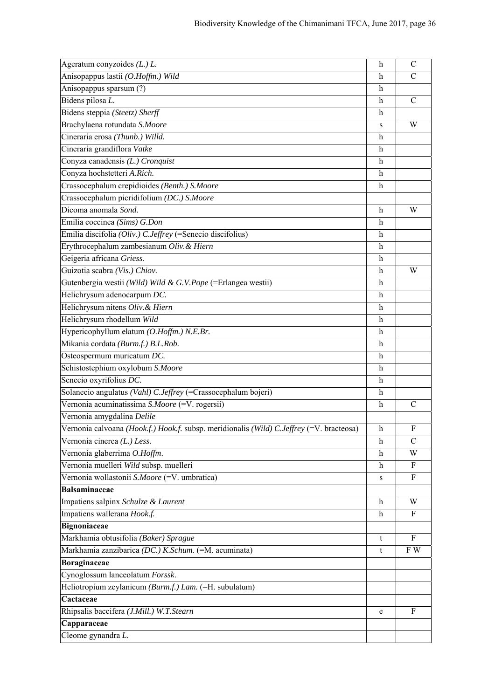| Ageratum conyzoides $(L)$ .                                                              | $\boldsymbol{\mathrm{h}}$ | $\mathsf{C}$  |
|------------------------------------------------------------------------------------------|---------------------------|---------------|
| Anisopappus lastii (O.Hoffm.) Wild                                                       | h                         | C             |
| Anisopappus sparsum (?)                                                                  | h                         |               |
| Bidens pilosa L.                                                                         | h                         | $\mathcal{C}$ |
| Bidens steppia (Steetz) Sherff                                                           | h                         |               |
| Brachylaena rotundata S.Moore                                                            | s                         | W             |
| Cineraria erosa (Thunb.) Willd.                                                          | h                         |               |
| Cineraria grandiflora Vatke                                                              | h                         |               |
| Conyza canadensis (L.) Cronquist                                                         | $\mathbf h$               |               |
| Conyza hochstetteri A.Rich.                                                              | h                         |               |
| Crassocephalum crepidioides (Benth.) S.Moore                                             | h                         |               |
| Crassocephalum picridifolium (DC.) S.Moore                                               |                           |               |
| Dicoma anomala Sond.                                                                     | h                         | W             |
| Emilia coccinea (Sims) G.Don                                                             | h                         |               |
| Emilia discifolia (Oliv.) C.Jeffrey (=Senecio discifolius)                               | h                         |               |
| Erythrocephalum zambesianum Oliv. & Hiern                                                | h                         |               |
| Geigeria africana Griess.                                                                | h                         |               |
| Guizotia scabra (Vis.) Chiov.                                                            | h                         | W             |
| Gutenbergia westii (Wild) Wild & G.V.Pope (=Erlangea westii)                             | h                         |               |
| Helichrysum adenocarpum DC.                                                              | h                         |               |
| Helichrysum nitens Oliv. & Hiern                                                         | $\mathbf h$               |               |
| Helichrysum rhodellum Wild                                                               | h                         |               |
| Hypericophyllum elatum (O.Hoffm.) N.E.Br.                                                | h                         |               |
| Mikania cordata (Burm.f.) B.L.Rob.                                                       | h                         |               |
| Osteospermum muricatum DC.                                                               | h                         |               |
| Schistostephium oxylobum S.Moore                                                         | h                         |               |
| Senecio oxyrifolius DC.                                                                  | h                         |               |
| Solanecio angulatus (Vahl) C.Jeffrey (=Crassocephalum bojeri)                            | h                         |               |
| Vernonia acuminatissima S.Moore (=V. rogersii)                                           | h                         | $\mathcal{C}$ |
| Vernonia amygdalina Delile                                                               |                           |               |
| Vernonia calvoana (Hook.f.) Hook.f. subsp. meridionalis (Wild) C.Jeffrey (=V. bracteosa) | h                         | F             |
| Vernonia cinerea (L.) Less.                                                              | h                         | $\mathcal{C}$ |
| Vernonia glaberrima O.Hoffm.                                                             | h                         | W             |
| Vernonia muelleri Wild subsp. muelleri                                                   | h                         | F             |
| Vernonia wollastonii S.Moore (=V. umbratica)                                             | s                         | F             |
| <b>Balsaminaceae</b>                                                                     |                           |               |
| Impatiens salpinx Schulze & Laurent                                                      | h                         | W             |
| Impatiens wallerana Hook.f.                                                              | h                         | F             |
| <b>Bignoniaceae</b>                                                                      |                           |               |
| Markhamia obtusifolia (Baker) Sprague                                                    | t                         | F             |
| Markhamia zanzibarica (DC.) K.Schum. (=M. acuminata)                                     | t                         | F W           |
| Boraginaceae                                                                             |                           |               |
| Cynoglossum lanceolatum Forssk.                                                          |                           |               |
| Heliotropium zeylanicum (Burm.f.) Lam. (=H. subulatum)                                   |                           |               |
| Cactaceae                                                                                |                           |               |
| Rhipsalis baccifera (J.Mill.) W.T.Stearn                                                 | e                         | F             |
| Capparaceae                                                                              |                           |               |
| Cleome gynandra L.                                                                       |                           |               |
|                                                                                          |                           |               |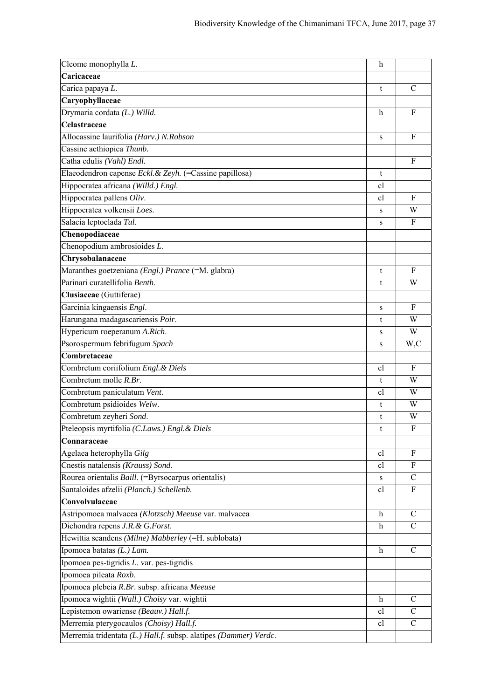| Cleome monophylla L.                                             | $\mathbf h$               |                  |
|------------------------------------------------------------------|---------------------------|------------------|
| Caricaceae                                                       |                           |                  |
| Carica papaya L.                                                 | t                         | $\mathcal{C}$    |
| Caryophyllaceae                                                  |                           |                  |
| Drymaria cordata (L.) Willd.                                     | h                         | $\mathbf{F}$     |
| Celastraceae                                                     |                           |                  |
| Allocassine laurifolia (Harv.) N.Robson                          | S                         | F                |
| Cassine aethiopica Thunb.                                        |                           |                  |
| Catha edulis (Vahl) Endl.                                        |                           | $\mathbf F$      |
| Elaeodendron capense Eckl. & Zeyh. (=Cassine papillosa)          | t                         |                  |
| Hippocratea africana (Willd.) Engl.                              | cl                        |                  |
| Hippocratea pallens Oliv.                                        | cl                        | F                |
| Hippocratea volkensii Loes.                                      | S                         | W                |
| Salacia leptoclada Tul.                                          | S                         | F                |
| Chenopodiaceae                                                   |                           |                  |
| Chenopodium ambrosioides L.                                      |                           |                  |
| Chrysobalanaceae                                                 |                           |                  |
| Maranthes goetzeniana (Engl.) Prance (=M. glabra)                | t                         | $\boldsymbol{F}$ |
| Parinari curatellifolia Benth.                                   | t                         | W                |
| Clusiaceae (Guttiferae)                                          |                           |                  |
| Garcinia kingaensis Engl.                                        | S                         | $\mathbf F$      |
| Harungana madagascariensis Poir.                                 | t                         | W                |
| Hypericum roeperanum A.Rich.                                     | ${\bf S}$                 | W                |
| Psorospermum febrifugum Spach                                    | S                         | W,C              |
| Combretaceae                                                     |                           |                  |
| Combretum coriifolium Engl. & Diels                              | <sub>c</sub>              | $\mathbf{F}$     |
| Combretum molle R.Br.                                            | t                         | W                |
| Combretum paniculatum Vent.                                      | cl                        | W                |
| Combretum psidioides Welw.                                       | t                         | W                |
| Combretum zeyheri Sond.                                          | t                         | W                |
| Pteleopsis myrtifolia (C.Laws.) Engl. & Diels                    | t                         | F                |
| Connaraceae                                                      |                           |                  |
| Agelaea heterophylla Gilg                                        | cl                        | F                |
| Cnestis natalensis (Krauss) Sond.                                | cl                        | F                |
| Rourea orientalis Baill. (=Byrsocarpus orientalis)               | ${\bf S}$                 | $\mathcal{C}$    |
| Santaloides afzelii (Planch.) Schellenb.                         | cl                        | F                |
| Convolvulaceae                                                   |                           |                  |
| Astripomoea malvacea (Klotzsch) Meeuse var. malvacea             | $\boldsymbol{\mathrm{h}}$ | $\mathcal{C}$    |
| Dichondra repens J.R. & G.Forst.                                 | $\mathbf h$               | $\mathsf{C}$     |
| Hewittia scandens (Milne) Mabberley (=H. sublobata)              |                           |                  |
| Ipomoea batatas (L.) Lam.                                        | $\boldsymbol{h}$          | $\mathcal{C}$    |
| Ipomoea pes-tigridis L. var. pes-tigridis                        |                           |                  |
| Ipomoea pileata Roxb.                                            |                           |                  |
| Ipomoea plebeia R.Br. subsp. africana Meeuse                     |                           |                  |
| Ipomoea wightii (Wall.) Choisy var. wightii                      | $\mathbf h$               | $\mathcal{C}$    |
| Lepistemon owariense (Beauv.) Hall.f.                            |                           |                  |
|                                                                  | cl                        | $\mathbf C$      |
| Merremia pterygocaulos (Choisy) Hall.f.                          | cl                        | $\mathcal{C}$    |
| Merremia tridentata (L.) Hall.f. subsp. alatipes (Dammer) Verdc. |                           |                  |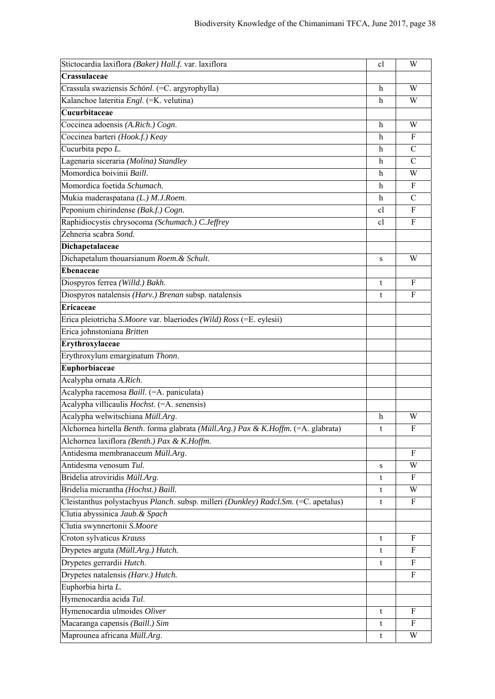| Crassulaceae<br>Crassula swaziensis Schönl. (=C. argyrophylla)<br>W<br>h<br>Kalanchoe lateritia Engl. (=K. velutina)<br>W<br>h<br>Cucurbitaceae<br>Coccinea adoensis (A.Rich.) Cogn.<br>W<br>h<br>Coccinea barteri (Hook.f.) Keay<br>F<br>h<br>Cucurbita pepo L.<br>$\mathsf{C}$<br>h<br>Lagenaria siceraria (Molina) Standley<br>$\mathcal{C}$<br>h<br>Momordica boivinii Baill.<br>W<br>h<br>Momordica foetida Schumach.<br>F<br>h<br>Mukia maderaspatana (L.) M.J.Roem.<br>$\mathcal{C}$<br>h<br>Peponium chirindense (Bak.f.) Cogn.<br>F<br>cl<br>Raphidiocystis chrysocoma (Schumach.) C.Jeffrey<br>F<br>cl<br>Zehneria scabra Sond.<br>Dichapetalaceae<br>Dichapetalum thouarsianum Roem. & Schult.<br>W<br>S<br><b>Ebenaceae</b><br>Diospyros ferrea (Willd.) Bakh.<br>F<br>t<br>Diospyros natalensis (Harv.) Brenan subsp. natalensis<br>F<br>t<br><b>Ericaceae</b><br>Erica pleiotricha S.Moore var. blaeriodes (Wild) Ross (=E. eylesii)<br>Erica johnstoniana Britten<br>Erythroxylaceae<br>Erythroxylum emarginatum Thonn.<br>Euphorbiaceae<br>Acalypha ornata A.Rich.<br>Acalypha racemosa Baill. (=A. paniculata)<br>Acalypha villicaulis Hochst. (=A. senensis)<br>Acalypha welwitschiana Müll.Arg.<br>$\mathbf h$<br>W<br>Alchornea hirtella Benth. forma glabrata (Müll.Arg.) Pax & K.Hoffm. (=A. glabrata)<br>F<br>t<br>Alchornea laxiflora (Benth.) Pax & K.Hoffm.<br>Antidesma membranaceum Müll.Arg.<br>F<br>Antidesma venosum Tul.<br>W<br>s<br>Bridelia atroviridis Müll.Arg.<br>F<br>t<br>Bridelia micrantha (Hochst.) Baill.<br>W<br>t<br>Cleistanthus polystachyus Planch. subsp. milleri (Dunkley) Radcl.Sm. (=C. apetalus)<br>F<br>t<br>Clutia abyssinica Jaub. & Spach<br>Clutia swynnertonii S.Moore<br>Croton sylvaticus Krauss<br>F<br>t<br>Drypetes arguta (Müll.Arg.) Hutch.<br>F<br>t<br>Drypetes gerrardii Hutch.<br>F<br>t<br>Drypetes natalensis (Harv.) Hutch.<br>F<br>Euphorbia hirta L.<br>Hymenocardia acida Tul.<br>Hymenocardia ulmoides Oliver<br>F<br>t<br>Macaranga capensis (Baill.) Sim<br>F<br>t<br>Maprounea africana Müll.Arg.<br>W<br>t | Stictocardia laxiflora (Baker) Hall.f. var. laxiflora | cl | W |
|----------------------------------------------------------------------------------------------------------------------------------------------------------------------------------------------------------------------------------------------------------------------------------------------------------------------------------------------------------------------------------------------------------------------------------------------------------------------------------------------------------------------------------------------------------------------------------------------------------------------------------------------------------------------------------------------------------------------------------------------------------------------------------------------------------------------------------------------------------------------------------------------------------------------------------------------------------------------------------------------------------------------------------------------------------------------------------------------------------------------------------------------------------------------------------------------------------------------------------------------------------------------------------------------------------------------------------------------------------------------------------------------------------------------------------------------------------------------------------------------------------------------------------------------------------------------------------------------------------------------------------------------------------------------------------------------------------------------------------------------------------------------------------------------------------------------------------------------------------------------------------------------------------------------------------------------------------------------------------------------------------------------------------------------------------------------------------------------|-------------------------------------------------------|----|---|
|                                                                                                                                                                                                                                                                                                                                                                                                                                                                                                                                                                                                                                                                                                                                                                                                                                                                                                                                                                                                                                                                                                                                                                                                                                                                                                                                                                                                                                                                                                                                                                                                                                                                                                                                                                                                                                                                                                                                                                                                                                                                                              |                                                       |    |   |
|                                                                                                                                                                                                                                                                                                                                                                                                                                                                                                                                                                                                                                                                                                                                                                                                                                                                                                                                                                                                                                                                                                                                                                                                                                                                                                                                                                                                                                                                                                                                                                                                                                                                                                                                                                                                                                                                                                                                                                                                                                                                                              |                                                       |    |   |
|                                                                                                                                                                                                                                                                                                                                                                                                                                                                                                                                                                                                                                                                                                                                                                                                                                                                                                                                                                                                                                                                                                                                                                                                                                                                                                                                                                                                                                                                                                                                                                                                                                                                                                                                                                                                                                                                                                                                                                                                                                                                                              |                                                       |    |   |
|                                                                                                                                                                                                                                                                                                                                                                                                                                                                                                                                                                                                                                                                                                                                                                                                                                                                                                                                                                                                                                                                                                                                                                                                                                                                                                                                                                                                                                                                                                                                                                                                                                                                                                                                                                                                                                                                                                                                                                                                                                                                                              |                                                       |    |   |
|                                                                                                                                                                                                                                                                                                                                                                                                                                                                                                                                                                                                                                                                                                                                                                                                                                                                                                                                                                                                                                                                                                                                                                                                                                                                                                                                                                                                                                                                                                                                                                                                                                                                                                                                                                                                                                                                                                                                                                                                                                                                                              |                                                       |    |   |
|                                                                                                                                                                                                                                                                                                                                                                                                                                                                                                                                                                                                                                                                                                                                                                                                                                                                                                                                                                                                                                                                                                                                                                                                                                                                                                                                                                                                                                                                                                                                                                                                                                                                                                                                                                                                                                                                                                                                                                                                                                                                                              |                                                       |    |   |
|                                                                                                                                                                                                                                                                                                                                                                                                                                                                                                                                                                                                                                                                                                                                                                                                                                                                                                                                                                                                                                                                                                                                                                                                                                                                                                                                                                                                                                                                                                                                                                                                                                                                                                                                                                                                                                                                                                                                                                                                                                                                                              |                                                       |    |   |
|                                                                                                                                                                                                                                                                                                                                                                                                                                                                                                                                                                                                                                                                                                                                                                                                                                                                                                                                                                                                                                                                                                                                                                                                                                                                                                                                                                                                                                                                                                                                                                                                                                                                                                                                                                                                                                                                                                                                                                                                                                                                                              |                                                       |    |   |
|                                                                                                                                                                                                                                                                                                                                                                                                                                                                                                                                                                                                                                                                                                                                                                                                                                                                                                                                                                                                                                                                                                                                                                                                                                                                                                                                                                                                                                                                                                                                                                                                                                                                                                                                                                                                                                                                                                                                                                                                                                                                                              |                                                       |    |   |
|                                                                                                                                                                                                                                                                                                                                                                                                                                                                                                                                                                                                                                                                                                                                                                                                                                                                                                                                                                                                                                                                                                                                                                                                                                                                                                                                                                                                                                                                                                                                                                                                                                                                                                                                                                                                                                                                                                                                                                                                                                                                                              |                                                       |    |   |
|                                                                                                                                                                                                                                                                                                                                                                                                                                                                                                                                                                                                                                                                                                                                                                                                                                                                                                                                                                                                                                                                                                                                                                                                                                                                                                                                                                                                                                                                                                                                                                                                                                                                                                                                                                                                                                                                                                                                                                                                                                                                                              |                                                       |    |   |
|                                                                                                                                                                                                                                                                                                                                                                                                                                                                                                                                                                                                                                                                                                                                                                                                                                                                                                                                                                                                                                                                                                                                                                                                                                                                                                                                                                                                                                                                                                                                                                                                                                                                                                                                                                                                                                                                                                                                                                                                                                                                                              |                                                       |    |   |
|                                                                                                                                                                                                                                                                                                                                                                                                                                                                                                                                                                                                                                                                                                                                                                                                                                                                                                                                                                                                                                                                                                                                                                                                                                                                                                                                                                                                                                                                                                                                                                                                                                                                                                                                                                                                                                                                                                                                                                                                                                                                                              |                                                       |    |   |
|                                                                                                                                                                                                                                                                                                                                                                                                                                                                                                                                                                                                                                                                                                                                                                                                                                                                                                                                                                                                                                                                                                                                                                                                                                                                                                                                                                                                                                                                                                                                                                                                                                                                                                                                                                                                                                                                                                                                                                                                                                                                                              |                                                       |    |   |
|                                                                                                                                                                                                                                                                                                                                                                                                                                                                                                                                                                                                                                                                                                                                                                                                                                                                                                                                                                                                                                                                                                                                                                                                                                                                                                                                                                                                                                                                                                                                                                                                                                                                                                                                                                                                                                                                                                                                                                                                                                                                                              |                                                       |    |   |
|                                                                                                                                                                                                                                                                                                                                                                                                                                                                                                                                                                                                                                                                                                                                                                                                                                                                                                                                                                                                                                                                                                                                                                                                                                                                                                                                                                                                                                                                                                                                                                                                                                                                                                                                                                                                                                                                                                                                                                                                                                                                                              |                                                       |    |   |
|                                                                                                                                                                                                                                                                                                                                                                                                                                                                                                                                                                                                                                                                                                                                                                                                                                                                                                                                                                                                                                                                                                                                                                                                                                                                                                                                                                                                                                                                                                                                                                                                                                                                                                                                                                                                                                                                                                                                                                                                                                                                                              |                                                       |    |   |
|                                                                                                                                                                                                                                                                                                                                                                                                                                                                                                                                                                                                                                                                                                                                                                                                                                                                                                                                                                                                                                                                                                                                                                                                                                                                                                                                                                                                                                                                                                                                                                                                                                                                                                                                                                                                                                                                                                                                                                                                                                                                                              |                                                       |    |   |
|                                                                                                                                                                                                                                                                                                                                                                                                                                                                                                                                                                                                                                                                                                                                                                                                                                                                                                                                                                                                                                                                                                                                                                                                                                                                                                                                                                                                                                                                                                                                                                                                                                                                                                                                                                                                                                                                                                                                                                                                                                                                                              |                                                       |    |   |
|                                                                                                                                                                                                                                                                                                                                                                                                                                                                                                                                                                                                                                                                                                                                                                                                                                                                                                                                                                                                                                                                                                                                                                                                                                                                                                                                                                                                                                                                                                                                                                                                                                                                                                                                                                                                                                                                                                                                                                                                                                                                                              |                                                       |    |   |
|                                                                                                                                                                                                                                                                                                                                                                                                                                                                                                                                                                                                                                                                                                                                                                                                                                                                                                                                                                                                                                                                                                                                                                                                                                                                                                                                                                                                                                                                                                                                                                                                                                                                                                                                                                                                                                                                                                                                                                                                                                                                                              |                                                       |    |   |
|                                                                                                                                                                                                                                                                                                                                                                                                                                                                                                                                                                                                                                                                                                                                                                                                                                                                                                                                                                                                                                                                                                                                                                                                                                                                                                                                                                                                                                                                                                                                                                                                                                                                                                                                                                                                                                                                                                                                                                                                                                                                                              |                                                       |    |   |
|                                                                                                                                                                                                                                                                                                                                                                                                                                                                                                                                                                                                                                                                                                                                                                                                                                                                                                                                                                                                                                                                                                                                                                                                                                                                                                                                                                                                                                                                                                                                                                                                                                                                                                                                                                                                                                                                                                                                                                                                                                                                                              |                                                       |    |   |
|                                                                                                                                                                                                                                                                                                                                                                                                                                                                                                                                                                                                                                                                                                                                                                                                                                                                                                                                                                                                                                                                                                                                                                                                                                                                                                                                                                                                                                                                                                                                                                                                                                                                                                                                                                                                                                                                                                                                                                                                                                                                                              |                                                       |    |   |
|                                                                                                                                                                                                                                                                                                                                                                                                                                                                                                                                                                                                                                                                                                                                                                                                                                                                                                                                                                                                                                                                                                                                                                                                                                                                                                                                                                                                                                                                                                                                                                                                                                                                                                                                                                                                                                                                                                                                                                                                                                                                                              |                                                       |    |   |
|                                                                                                                                                                                                                                                                                                                                                                                                                                                                                                                                                                                                                                                                                                                                                                                                                                                                                                                                                                                                                                                                                                                                                                                                                                                                                                                                                                                                                                                                                                                                                                                                                                                                                                                                                                                                                                                                                                                                                                                                                                                                                              |                                                       |    |   |
|                                                                                                                                                                                                                                                                                                                                                                                                                                                                                                                                                                                                                                                                                                                                                                                                                                                                                                                                                                                                                                                                                                                                                                                                                                                                                                                                                                                                                                                                                                                                                                                                                                                                                                                                                                                                                                                                                                                                                                                                                                                                                              |                                                       |    |   |
|                                                                                                                                                                                                                                                                                                                                                                                                                                                                                                                                                                                                                                                                                                                                                                                                                                                                                                                                                                                                                                                                                                                                                                                                                                                                                                                                                                                                                                                                                                                                                                                                                                                                                                                                                                                                                                                                                                                                                                                                                                                                                              |                                                       |    |   |
|                                                                                                                                                                                                                                                                                                                                                                                                                                                                                                                                                                                                                                                                                                                                                                                                                                                                                                                                                                                                                                                                                                                                                                                                                                                                                                                                                                                                                                                                                                                                                                                                                                                                                                                                                                                                                                                                                                                                                                                                                                                                                              |                                                       |    |   |
|                                                                                                                                                                                                                                                                                                                                                                                                                                                                                                                                                                                                                                                                                                                                                                                                                                                                                                                                                                                                                                                                                                                                                                                                                                                                                                                                                                                                                                                                                                                                                                                                                                                                                                                                                                                                                                                                                                                                                                                                                                                                                              |                                                       |    |   |
|                                                                                                                                                                                                                                                                                                                                                                                                                                                                                                                                                                                                                                                                                                                                                                                                                                                                                                                                                                                                                                                                                                                                                                                                                                                                                                                                                                                                                                                                                                                                                                                                                                                                                                                                                                                                                                                                                                                                                                                                                                                                                              |                                                       |    |   |
|                                                                                                                                                                                                                                                                                                                                                                                                                                                                                                                                                                                                                                                                                                                                                                                                                                                                                                                                                                                                                                                                                                                                                                                                                                                                                                                                                                                                                                                                                                                                                                                                                                                                                                                                                                                                                                                                                                                                                                                                                                                                                              |                                                       |    |   |
|                                                                                                                                                                                                                                                                                                                                                                                                                                                                                                                                                                                                                                                                                                                                                                                                                                                                                                                                                                                                                                                                                                                                                                                                                                                                                                                                                                                                                                                                                                                                                                                                                                                                                                                                                                                                                                                                                                                                                                                                                                                                                              |                                                       |    |   |
|                                                                                                                                                                                                                                                                                                                                                                                                                                                                                                                                                                                                                                                                                                                                                                                                                                                                                                                                                                                                                                                                                                                                                                                                                                                                                                                                                                                                                                                                                                                                                                                                                                                                                                                                                                                                                                                                                                                                                                                                                                                                                              |                                                       |    |   |
|                                                                                                                                                                                                                                                                                                                                                                                                                                                                                                                                                                                                                                                                                                                                                                                                                                                                                                                                                                                                                                                                                                                                                                                                                                                                                                                                                                                                                                                                                                                                                                                                                                                                                                                                                                                                                                                                                                                                                                                                                                                                                              |                                                       |    |   |
|                                                                                                                                                                                                                                                                                                                                                                                                                                                                                                                                                                                                                                                                                                                                                                                                                                                                                                                                                                                                                                                                                                                                                                                                                                                                                                                                                                                                                                                                                                                                                                                                                                                                                                                                                                                                                                                                                                                                                                                                                                                                                              |                                                       |    |   |
|                                                                                                                                                                                                                                                                                                                                                                                                                                                                                                                                                                                                                                                                                                                                                                                                                                                                                                                                                                                                                                                                                                                                                                                                                                                                                                                                                                                                                                                                                                                                                                                                                                                                                                                                                                                                                                                                                                                                                                                                                                                                                              |                                                       |    |   |
|                                                                                                                                                                                                                                                                                                                                                                                                                                                                                                                                                                                                                                                                                                                                                                                                                                                                                                                                                                                                                                                                                                                                                                                                                                                                                                                                                                                                                                                                                                                                                                                                                                                                                                                                                                                                                                                                                                                                                                                                                                                                                              |                                                       |    |   |
|                                                                                                                                                                                                                                                                                                                                                                                                                                                                                                                                                                                                                                                                                                                                                                                                                                                                                                                                                                                                                                                                                                                                                                                                                                                                                                                                                                                                                                                                                                                                                                                                                                                                                                                                                                                                                                                                                                                                                                                                                                                                                              |                                                       |    |   |
|                                                                                                                                                                                                                                                                                                                                                                                                                                                                                                                                                                                                                                                                                                                                                                                                                                                                                                                                                                                                                                                                                                                                                                                                                                                                                                                                                                                                                                                                                                                                                                                                                                                                                                                                                                                                                                                                                                                                                                                                                                                                                              |                                                       |    |   |
|                                                                                                                                                                                                                                                                                                                                                                                                                                                                                                                                                                                                                                                                                                                                                                                                                                                                                                                                                                                                                                                                                                                                                                                                                                                                                                                                                                                                                                                                                                                                                                                                                                                                                                                                                                                                                                                                                                                                                                                                                                                                                              |                                                       |    |   |
|                                                                                                                                                                                                                                                                                                                                                                                                                                                                                                                                                                                                                                                                                                                                                                                                                                                                                                                                                                                                                                                                                                                                                                                                                                                                                                                                                                                                                                                                                                                                                                                                                                                                                                                                                                                                                                                                                                                                                                                                                                                                                              |                                                       |    |   |
|                                                                                                                                                                                                                                                                                                                                                                                                                                                                                                                                                                                                                                                                                                                                                                                                                                                                                                                                                                                                                                                                                                                                                                                                                                                                                                                                                                                                                                                                                                                                                                                                                                                                                                                                                                                                                                                                                                                                                                                                                                                                                              |                                                       |    |   |
|                                                                                                                                                                                                                                                                                                                                                                                                                                                                                                                                                                                                                                                                                                                                                                                                                                                                                                                                                                                                                                                                                                                                                                                                                                                                                                                                                                                                                                                                                                                                                                                                                                                                                                                                                                                                                                                                                                                                                                                                                                                                                              |                                                       |    |   |
|                                                                                                                                                                                                                                                                                                                                                                                                                                                                                                                                                                                                                                                                                                                                                                                                                                                                                                                                                                                                                                                                                                                                                                                                                                                                                                                                                                                                                                                                                                                                                                                                                                                                                                                                                                                                                                                                                                                                                                                                                                                                                              |                                                       |    |   |
|                                                                                                                                                                                                                                                                                                                                                                                                                                                                                                                                                                                                                                                                                                                                                                                                                                                                                                                                                                                                                                                                                                                                                                                                                                                                                                                                                                                                                                                                                                                                                                                                                                                                                                                                                                                                                                                                                                                                                                                                                                                                                              |                                                       |    |   |
|                                                                                                                                                                                                                                                                                                                                                                                                                                                                                                                                                                                                                                                                                                                                                                                                                                                                                                                                                                                                                                                                                                                                                                                                                                                                                                                                                                                                                                                                                                                                                                                                                                                                                                                                                                                                                                                                                                                                                                                                                                                                                              |                                                       |    |   |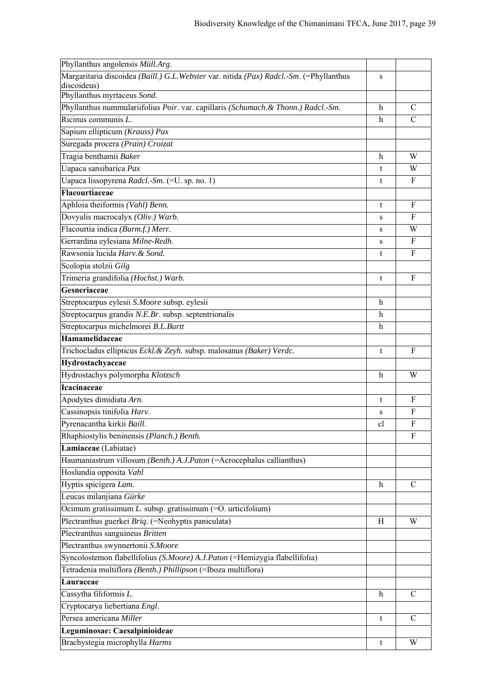| Phyllanthus angolensis Müll.Arg.                                                        |                           |               |
|-----------------------------------------------------------------------------------------|---------------------------|---------------|
| Margaritaria discoidea (Baill.) G.L. Webster var. nitida (Pax) Radcl.-Sm. (=Phyllanthus | S                         |               |
| discoideus)                                                                             |                           |               |
| Phyllanthus myrtaceus Sond.                                                             |                           |               |
| Phyllanthus nummulariifolius Poir. var. capillaris (Schumach. & Thonn.) Radcl.-Sm.      | $\mathbf h$               | $\mathcal{C}$ |
| Ricinus communis L.                                                                     | $\boldsymbol{\mathrm{h}}$ | $\mathcal{C}$ |
| Sapium ellipticum (Krauss) Pax                                                          |                           |               |
| Suregada procera (Prain) Croizat                                                        |                           |               |
| Tragia benthamii Baker                                                                  | $\mathbf h$               | W             |
| Uapaca sansibarica Pax                                                                  | t                         | W             |
| Uapaca lissopyrena Radcl.-Sm. (=U. sp. no. 1)                                           | t                         | $\mathbf{F}$  |
| Flacourtiaceae                                                                          |                           |               |
| Aphloia theiformis (Vahl) Benn.                                                         | t                         | F             |
| Dovyalis macrocalyx (Oliv.) Warb.                                                       | S                         | F             |
| Flacourtia indica (Burm.f.) Merr.                                                       | S                         | W             |
| Gerrardina eylesiana Milne-Redh.                                                        | S                         | $\mathbf F$   |
| Rawsonia lucida Harv. & Sond.                                                           | t                         | F             |
| Scolopia stolzii Gilg                                                                   |                           |               |
| Trimeria grandifolia (Hochst.) Warb.                                                    | t                         | F             |
| Gesneriaceae                                                                            |                           |               |
| Streptocarpus eylesii S.Moore subsp. eylesii                                            | h                         |               |
| Streptocarpus grandis N.E.Br. subsp. septentrionalis                                    | h                         |               |
| Streptocarpus michelmorei B.L.Burtt                                                     | $\mathbf h$               |               |
| Hamamelidaceae                                                                          |                           |               |
| Trichocladus ellipticus Eckl. & Zeyh. subsp. malosanus (Baker) Verdc.                   | t                         | $\mathbf{F}$  |
| Hydrostachyaceae                                                                        |                           |               |
| Hydrostachys polymorpha Klotzsch                                                        | h                         | W             |
| <b>Icacinaceae</b>                                                                      |                           |               |
| Apodytes dimidiata Arn.                                                                 | t                         | F             |
| Cassinopsis tinifolia Harv.                                                             | S                         | F             |
| Pyrenacantha kirkii Baill.                                                              | cl                        | F             |
| Rhaphiostylis beninensis (Planch.) Benth.                                               |                           | F             |
| Lamiaceae (Labiatae)                                                                    |                           |               |
| Haumaniastrum villosum (Benth.) A.J.Paton (=Acrocephalus callianthus)                   |                           |               |
| Hoslundia opposita Vahl                                                                 |                           |               |
| Hyptis spicigera Lam.                                                                   | $\boldsymbol{h}$          | $\mathcal{C}$ |
| Leucas milanjiana Gürke                                                                 |                           |               |
| Ocimum gratissimum $L$ . subsp. gratissimum $(=0.$ urticifolium)                        |                           |               |
| Plectranthus guerkei Briq. (=Neohyptis paniculata)                                      | H                         | W             |
| Plectranthus sanguineus Britten                                                         |                           |               |
| Plectranthus swynnertonii S.Moore                                                       |                           |               |
| Syncolostemon flabellifolius (S.Moore) A.J.Paton (=Hemizygia flabellifolia)             |                           |               |
| Tetradenia multiflora (Benth.) Phillipson (=Iboza multiflora)                           |                           |               |
| Lauraceae                                                                               |                           |               |
| Cassytha filiformis L.                                                                  | h                         | $\mathcal{C}$ |
| Cryptocarya liebertiana Engl.                                                           |                           |               |
| Persea americana Miller                                                                 | t                         | C             |
| Leguminosae: Caesalpinioideae                                                           |                           |               |
|                                                                                         |                           |               |
| Brachystegia microphylla Harms                                                          | t                         | W             |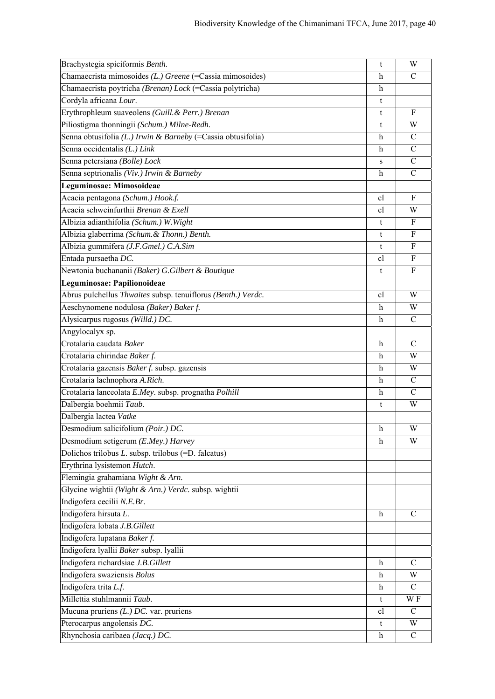| Brachystegia spiciformis Benth.                              | t            | W             |
|--------------------------------------------------------------|--------------|---------------|
| Chamaecrista mimosoides (L.) Greene (=Cassia mimosoides)     | h            | C             |
| Chamaecrista poytricha (Brenan) Lock (=Cassia polytricha)    | h            |               |
| Cordyla africana Lour.                                       | t            |               |
| Erythrophleum suaveolens (Guill. & Perr.) Brenan             | t            | $_{\rm F}$    |
| Piliostigma thonningii (Schum.) Milne-Redh.                  | t            | W             |
| Senna obtusifolia (L.) Irwin & Barneby (=Cassia obtusifolia) | h            | C             |
| Senna occidentalis (L.) Link                                 | h            | $\mathcal{C}$ |
| Senna petersiana (Bolle) Lock                                | S            | $\mathsf{C}$  |
| Senna septrionalis (Viv.) Irwin & Barneby                    | h            | $\mathcal{C}$ |
| Leguminosae: Mimosoideae                                     |              |               |
| Acacia pentagona (Schum.) Hook.f.                            | cl           | F             |
| Acacia schweinfurthii Brenan & Exell                         | cl           | W             |
| Albizia adianthifolia (Schum.) W. Wight                      | t            | F             |
| Albizia glaberrima (Schum. & Thonn.) Benth.                  | t            | F             |
| Albizia gummifera (J.F.Gmel.) C.A.Sim                        | t            | F             |
| Entada pursaetha DC.                                         | cl           | $\mathbf{F}$  |
| Newtonia buchananii (Baker) G.Gilbert & Boutique             | t            | F             |
| Leguminosae: Papilionoideae                                  |              |               |
| Abrus pulchellus Thwaites subsp. tenuiflorus (Benth.) Verdc. | cl           | W             |
| Aeschynomene nodulosa (Baker) Baker f.                       | h            | W             |
| Alysicarpus rugosus (Willd.) DC.                             | h            | $\mathcal{C}$ |
| Angylocalyx sp.                                              |              |               |
| Crotalaria caudata Baker                                     | h            | C             |
| Crotalaria chirindae Baker f.                                | h            | W             |
| Crotalaria gazensis Baker f. subsp. gazensis                 | h            | W             |
| Crotalaria lachnophora A.Rich.                               | h            | $\mathcal{C}$ |
| Crotalaria lanceolata E.Mey. subsp. prognatha Polhill        | $\mathbf h$  | $\mathcal{C}$ |
| Dalbergia boehmii Taub.                                      | t            | W             |
| Dalbergia lactea Vatke                                       |              |               |
| Desmodium salicifolium $(\overline{P}oir.)$ DC.              | h            | W             |
| Desmodium setigerum (E.Mey.) Harvey                          | $\mathbf h$  | W             |
| Dolichos trilobus L. subsp. trilobus (=D. falcatus)          |              |               |
| Erythrina lysistemon Hutch.                                  |              |               |
| Flemingia grahamiana Wight & Arn.                            |              |               |
| Glycine wightii (Wight & Arn.) Verdc. subsp. wightii         |              |               |
| Indigofera cecilii N.E.Br.                                   |              |               |
| Indigofera hirsuta L.                                        | h            | C             |
| Indigofera lobata J.B.Gillett                                |              |               |
| Indigofera lupatana Baker f.                                 |              |               |
| Indigofera lyallii Baker subsp. lyallii                      |              |               |
| Indigofera richardsiae J.B.Gillett                           | h            | C             |
| Indigofera swaziensis Bolus                                  | $\mathbf{h}$ | W             |
| Indigofera trita L.f.                                        | h            | $\mathsf{C}$  |
| Millettia stuhlmannii Taub.                                  | t            | W F           |
| Mucuna pruriens $(L)$ DC. var. pruriens                      | cl           | $\mathcal{C}$ |
| Pterocarpus angolensis DC.                                   | t            | W             |
| Rhynchosia caribaea (Jacq.) DC.                              | h            | $\mathcal{C}$ |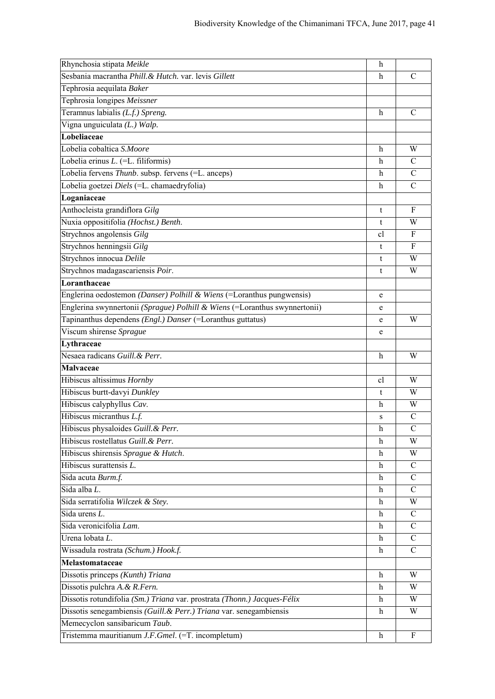| Rhynchosia stipata Meikle                                                  | h             |                |
|----------------------------------------------------------------------------|---------------|----------------|
| Sesbania macrantha Phill. & Hutch. var. levis Gillett                      | h             | $\mathcal{C}$  |
| Tephrosia aequilata Baker                                                  |               |                |
| Tephrosia longipes Meissner                                                |               |                |
| Teramnus labialis (L.f.) Spreng.                                           | h             | $\mathcal{C}$  |
| Vigna unguiculata (L.) Walp.                                               |               |                |
| Lobeliaceae                                                                |               |                |
| Lobelia cobaltica S.Moore                                                  | h             | W              |
| Lobelia erinus L. (=L. filiformis)                                         | h             | C              |
| Lobelia fervens Thunb. subsp. fervens (=L. anceps)                         | h             | $\mathcal{C}$  |
| Lobelia goetzei Diels (=L. chamaedryfolia)                                 | h             | C              |
| Loganiaceae                                                                |               |                |
| Anthocleista grandiflora Gilg                                              | t             | F              |
| Nuxia oppositifolia (Hochst.) Benth.                                       | t             | W              |
| Strychnos angolensis Gilg                                                  | <sub>c1</sub> | F              |
| Strychnos henningsii Gilg                                                  | t             | F              |
| Strychnos innocua Delile                                                   | t             | W              |
| Strychnos madagascariensis Poir.                                           | t             | W              |
| Loranthaceae                                                               |               |                |
| Englerina oedostemon (Danser) Polhill & Wiens (=Loranthus pungwensis)      | e             |                |
| Englerina swynnertonii (Sprague) Polhill & Wiens (=Loranthus swynnertonii) | e             |                |
| Tapinanthus dependens (Engl.) Danser (=Loranthus guttatus)                 | e             | W              |
| Viscum shirense Sprague                                                    | e             |                |
| Lythraceae                                                                 |               |                |
| Nesaea radicans Guill. & Perr.                                             | $\mathbf h$   | W              |
| <b>Malvaceae</b>                                                           |               |                |
| Hibiscus altissimus Hornby                                                 | <sub>c</sub>  | W              |
| Hibiscus burtt-davyi Dunkley                                               | t             | W              |
| Hibiscus calyphyllus Cav.                                                  | h             | W              |
| Hibiscus micranthus L.f.                                                   | S             | $\mathsf{C}$   |
| Hibiscus physaloides Guill. & Perr.                                        | h             | $\overline{C}$ |
| Hibiscus rostellatus Guill. & Perr.                                        | h             | W              |
| Hibiscus shirensis Sprague & Hutch.                                        | h             | W              |
| Hibiscus surattensis L.                                                    | $\mathbf h$   | $\mathcal{C}$  |
| Sida acuta Burm.f.                                                         | h             | C              |
| Sida alba L.                                                               | $\mathbf{h}$  | $\mathcal{C}$  |
| Sida serratifolia Wilczek & Stey.                                          | h             | W              |
| Sida urens L.                                                              | h             | $\mathcal{C}$  |
| Sida veronicifolia Lam.                                                    | h             | $\mathcal{C}$  |
| Urena lobata L.                                                            | h             | C              |
| Wissadula rostrata (Schum.) Hook.f.                                        | h             | C              |
| Melastomataceae                                                            |               |                |
| Dissotis princeps (Kunth) Triana                                           | h             | W              |
| Dissotis pulchra A. & R. Fern.                                             | h             | W              |
| Dissotis rotundifolia (Sm.) Triana var. prostrata (Thonn.) Jacques-Félix   | h             | W              |
| Dissotis senegambiensis (Guill. & Perr.) Triana var. senegambiensis        | h             | W              |
| Memecyclon sansibaricum Taub.                                              |               |                |
| Tristemma mauritianum J.F.Gmel. (=T. incompletum)                          | h             | F              |
|                                                                            |               |                |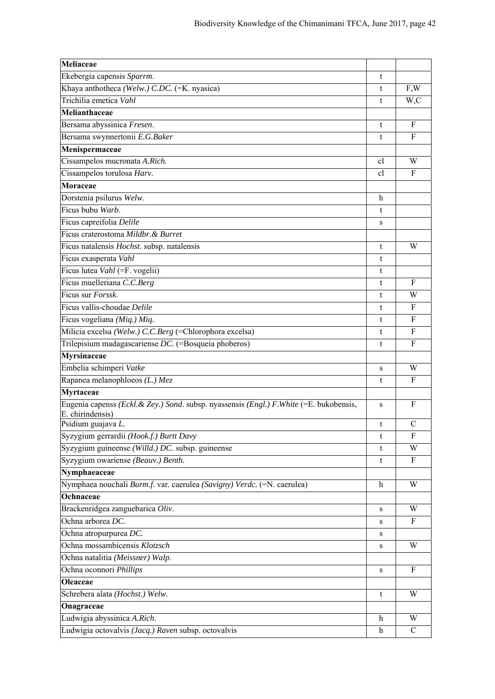| Meliaceae                                                                                                    |             |               |
|--------------------------------------------------------------------------------------------------------------|-------------|---------------|
| Ekebergia capensis Sparrm.                                                                                   | t           |               |
| Khaya anthotheca (Welw.) C.DC. (=K. nyasica)                                                                 | t           | F,W           |
| Trichilia emetica Vahl                                                                                       | t           | W,C           |
| Melianthaceae                                                                                                |             |               |
| Bersama abyssinica Fresen.                                                                                   | t           | F             |
| Bersama swynnertonii E.G.Baker                                                                               | t           | F             |
| Menispermaceae                                                                                               |             |               |
| Cissampelos mucronata A.Rich.                                                                                | cl          | W             |
| Cissampelos torulosa Harv.                                                                                   | cl          | F             |
| <b>Moraceae</b>                                                                                              |             |               |
| Dorstenia psilurus Welw.                                                                                     | h           |               |
| Ficus bubu Warb.                                                                                             | t           |               |
| Ficus capreifolia Delile                                                                                     | S           |               |
| Ficus craterostoma Mildbr. & Burret                                                                          |             |               |
| Ficus natalensis Hochst. subsp. natalensis                                                                   | t           | W             |
| Ficus exasperata Vahl                                                                                        | t           |               |
| Ficus lutea Vahl (=F. vogelii)                                                                               | t           |               |
| Ficus muelleriana C.C.Berg                                                                                   | t           | $\mathbf{F}$  |
| Ficus sur Forssk.                                                                                            | t           | W             |
| Ficus vallis-choudae Delile                                                                                  | t           | F             |
| Ficus vogeliana (Miq.) Miq.                                                                                  | t           | $\mathbf F$   |
| Milicia excelsa (Welw.) C.C.Berg (=Chlorophora excelsa)                                                      | t           | F             |
| Trilepisium madagascariense DC. (=Bosqueia phoberos)                                                         | t           | $\mathbf{F}$  |
| <b>Myrsinaceae</b>                                                                                           |             |               |
| Embelia schimperi Vatke                                                                                      | S           | W             |
| Rapanea melanophloeos (L.) Mez                                                                               | t           | F             |
| Myrtaceae                                                                                                    |             |               |
| Eugenia capenss (Eckl. & Zey.) Sond. subsp. nyassensis (Engl.) F. White (=E. bukobensis,<br>E. chirindensis) | S           | F             |
| Psidium guajava L.                                                                                           | t           | $\mathcal{C}$ |
| Syzygium gerrardii (Hook.f.) Burtt Davy                                                                      | t           | F             |
| Syzygium guineense (Willd.) DC. subsp. guineense                                                             | t           | W             |
| Syzygium owariense (Beauv.) Benth.                                                                           | t           | F             |
| Nymphaeaceae                                                                                                 |             |               |
| Nymphaea nouchali Burm.f. var. caerulea (Savigny) Verdc. (=N. caerulea)                                      | h           | W             |
| Ochnaceae                                                                                                    |             |               |
| Brackenridgea zanguebarica Oliv.                                                                             | S           | W             |
| Ochna arborea DC.                                                                                            | S           | F             |
| Ochna atropurpurea DC.                                                                                       | S           |               |
| Ochna mossambicensis Klotzsch                                                                                | S           | W             |
| Ochna natalitia (Meissner) Walp.                                                                             |             |               |
| Ochna oconnori Phillips                                                                                      | ${\bf S}$   | $\mathbf{F}$  |
| <b>Oleaceae</b>                                                                                              |             |               |
| Schrebera alata (Hochst.) Welw.                                                                              | t           | W             |
| Onagraceae                                                                                                   |             |               |
| Ludwigia abyssinica A.Rich.                                                                                  | h           | W             |
| Ludwigia octovalvis (Jacq.) Raven subsp. octovalvis                                                          | $\mathbf h$ | $\mathcal{C}$ |
|                                                                                                              |             |               |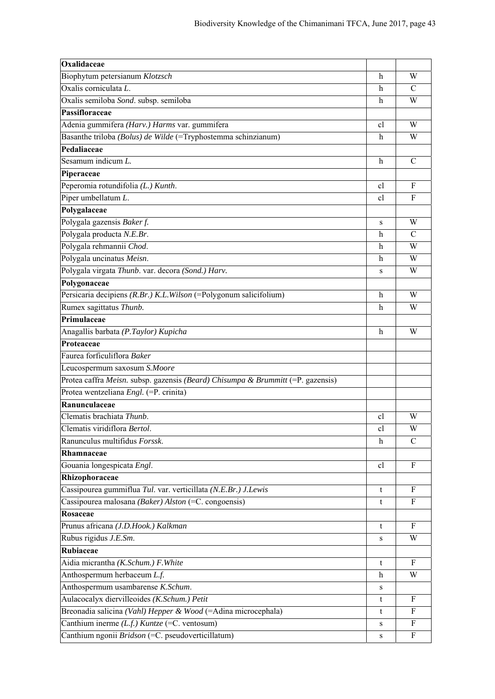| Biophytum petersianum Klotzsch<br>W<br>h<br>Oxalis corniculata L.<br>C<br>h<br>Oxalis semiloba Sond. subsp. semiloba<br>W<br>h<br>Passifloraceae<br>Adenia gummifera (Harv.) Harms var. gummifera<br>W<br><sub>c</sub><br>Basanthe triloba (Bolus) de Wilde (=Tryphostemma schinzianum)<br>h<br>W<br>Pedaliaceae<br>Sesamum indicum $L$ .<br>h<br>C |
|-----------------------------------------------------------------------------------------------------------------------------------------------------------------------------------------------------------------------------------------------------------------------------------------------------------------------------------------------------|
|                                                                                                                                                                                                                                                                                                                                                     |
|                                                                                                                                                                                                                                                                                                                                                     |
|                                                                                                                                                                                                                                                                                                                                                     |
|                                                                                                                                                                                                                                                                                                                                                     |
|                                                                                                                                                                                                                                                                                                                                                     |
|                                                                                                                                                                                                                                                                                                                                                     |
|                                                                                                                                                                                                                                                                                                                                                     |
|                                                                                                                                                                                                                                                                                                                                                     |
| Piperaceae                                                                                                                                                                                                                                                                                                                                          |
| Peperomia rotundifolia (L.) Kunth.<br>F<br><sub>c</sub>                                                                                                                                                                                                                                                                                             |
| Piper umbellatum L.<br>F<br>cl                                                                                                                                                                                                                                                                                                                      |
| Polygalaceae                                                                                                                                                                                                                                                                                                                                        |
| Polygala gazensis Baker f.<br>W<br>S                                                                                                                                                                                                                                                                                                                |
| Polygala producta N.E.Br.<br>C<br>h                                                                                                                                                                                                                                                                                                                 |
| Polygala rehmannii Chod.<br>W<br>h                                                                                                                                                                                                                                                                                                                  |
| Polygala uncinatus Meisn.<br>W<br>h                                                                                                                                                                                                                                                                                                                 |
| Polygala virgata Thunb. var. decora (Sond.) Harv.<br>W<br>S                                                                                                                                                                                                                                                                                         |
| Polygonaceae                                                                                                                                                                                                                                                                                                                                        |
| Persicaria decipiens (R.Br.) K.L. Wilson (=Polygonum salicifolium)<br>W<br>h                                                                                                                                                                                                                                                                        |
| Rumex sagittatus Thunb.<br>W<br>h                                                                                                                                                                                                                                                                                                                   |
| Primulaceae                                                                                                                                                                                                                                                                                                                                         |
| Anagallis barbata (P.Taylor) Kupicha<br>W<br>h                                                                                                                                                                                                                                                                                                      |
| Proteaceae                                                                                                                                                                                                                                                                                                                                          |
| Faurea forficuliflora Baker                                                                                                                                                                                                                                                                                                                         |
| Leucospermum saxosum S.Moore                                                                                                                                                                                                                                                                                                                        |
| Protea caffra Meisn. subsp. gazensis (Beard) Chisumpa & Brummitt (=P. gazensis)                                                                                                                                                                                                                                                                     |
| Protea wentzeliana Engl. (=P. crinita)                                                                                                                                                                                                                                                                                                              |
| Ranunculaceae                                                                                                                                                                                                                                                                                                                                       |
| Clematis brachiata Thunb.<br>cl<br>W                                                                                                                                                                                                                                                                                                                |
| Clematis viridiflora Bertol.<br>W<br>cl                                                                                                                                                                                                                                                                                                             |
| Ranunculus multifidus Forssk.<br>$\mathcal{C}$<br>h                                                                                                                                                                                                                                                                                                 |
| Rhamnaceae                                                                                                                                                                                                                                                                                                                                          |
| Gouania longespicata Engl.<br>F<br><sub>c</sub> l                                                                                                                                                                                                                                                                                                   |
| Rhizophoraceae                                                                                                                                                                                                                                                                                                                                      |
| Cassipourea gummiflua Tul. var. verticillata (N.E.Br.) J.Lewis<br>F<br>t                                                                                                                                                                                                                                                                            |
| Cassipourea malosana (Baker) Alston (=C. congoensis)<br>F<br>t                                                                                                                                                                                                                                                                                      |
| Rosaceae                                                                                                                                                                                                                                                                                                                                            |
| Prunus africana (J.D.Hook.) Kalkman<br>F<br>t                                                                                                                                                                                                                                                                                                       |
| Rubus rigidus J.E.Sm.<br>W<br>s                                                                                                                                                                                                                                                                                                                     |
| Rubiaceae                                                                                                                                                                                                                                                                                                                                           |
| Aidia micrantha (K.Schum.) F. White<br>F<br>t                                                                                                                                                                                                                                                                                                       |
| Anthospermum herbaceum L.f.<br>W<br>h                                                                                                                                                                                                                                                                                                               |
| Anthospermum usambarense K.Schum.<br>s                                                                                                                                                                                                                                                                                                              |
| Aulacocalyx diervilleoides (K.Schum.) Petit<br>F<br>t                                                                                                                                                                                                                                                                                               |
| Breonadia salicina (Vahl) Hepper & Wood (=Adina microcephala)<br>F<br>t                                                                                                                                                                                                                                                                             |
| Canthium inerme $(Lf)$ . Kuntze (=C. ventosum)<br>F<br>S                                                                                                                                                                                                                                                                                            |
| Canthium ngonii Bridson (=C. pseudoverticillatum)<br>F<br>S                                                                                                                                                                                                                                                                                         |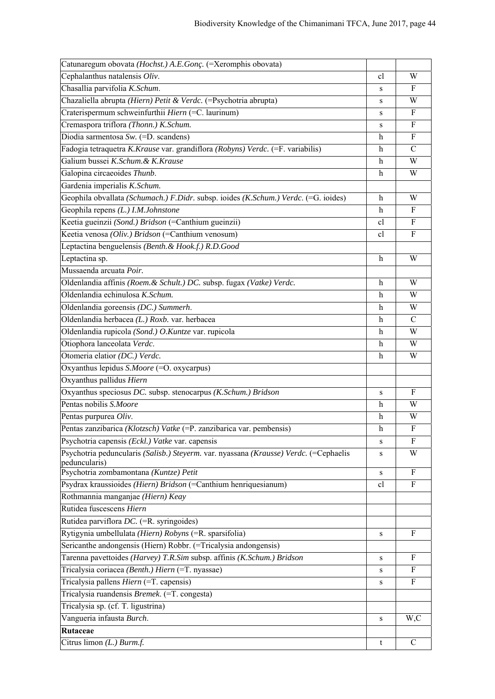| Catunaregum obovata (Hochst.) A.E.Gonç. (=Xeromphis obovata)                          |                           |                  |
|---------------------------------------------------------------------------------------|---------------------------|------------------|
| Cephalanthus natalensis Oliv.                                                         | cl                        | W                |
| Chasallia parvifolia K.Schum.                                                         | S                         | F                |
| Chazaliella abrupta (Hiern) Petit & Verdc. (=Psychotria abrupta)                      | S                         | W                |
| Craterispermum schweinfurthii Hiern (=C. laurinum)                                    | S                         | $\boldsymbol{F}$ |
| Cremaspora triflora (Thonn.) K.Schum.                                                 | S                         | F                |
| Diodia sarmentosa Sw. (=D. scandens)                                                  | h                         | F                |
| Fadogia tetraquetra K.Krause var. grandiflora (Robyns) Verdc. (=F. variabilis)        | $\mathbf h$               | $\mathcal{C}$    |
| Galium bussei K.Schum. & K.Krause                                                     | $\boldsymbol{\mathrm{h}}$ | W                |
| Galopina circaeoides Thunb.                                                           | $\mathbf h$               | W                |
| Gardenia imperialis K.Schum.                                                          |                           |                  |
| Geophila obvallata (Schumach.) F.Didr. subsp. ioides (K.Schum.) Verdc. (=G. ioides)   | h                         | W                |
| Geophila repens (L.) I.M.Johnstone                                                    | h                         | $\mathbf{F}$     |
| Keetia gueinzii (Sond.) Bridson (=Canthium gueinzii)                                  | cl                        | ${\bf F}$        |
| Keetia venosa (Oliv.) Bridson (=Canthium venosum)                                     | cl                        | $\mathbf{F}$     |
| Leptactina benguelensis (Benth. & Hook.f.) R.D.Good                                   |                           |                  |
| Leptactina sp.                                                                        | h                         | W                |
| Mussaenda arcuata Poir.                                                               |                           |                  |
| Oldenlandia affinis (Roem. & Schult.) DC. subsp. fugax (Vatke) Verdc.                 | $\boldsymbol{\mathrm{h}}$ | W                |
| Oldenlandia echinulosa K.Schum.                                                       | $\boldsymbol{\mathrm{h}}$ | W                |
| Oldenlandia goreensis (DC.) Summerh.                                                  | $\mathbf h$               | W                |
| Oldenlandia herbacea (L.) Roxb. var. herbacea                                         | $\mathbf h$               | $\mathcal{C}$    |
| Oldenlandia rupicola (Sond.) O. Kuntze var. rupicola                                  | $\mathbf h$               | W                |
| Otiophora lanceolata Verdc.                                                           | h                         | W                |
| Otomeria elatior (DC.) Verdc.                                                         | h                         | W                |
| Oxyanthus lepidus S.Moore (=O. oxycarpus)                                             |                           |                  |
| Oxyanthus pallidus Hiern                                                              |                           |                  |
| Oxyanthus speciosus DC. subsp. stenocarpus (K.Schum.) Bridson                         | S                         | $\mathbf{F}$     |
| Pentas nobilis S.Moore                                                                | h                         | W                |
| Pentas purpurea Oliv.                                                                 | h                         | W                |
| Pentas zanzibarica (Klotzsch) Vatke (=P. zanzibarica var. pembensis)                  | h                         | F                |
| Psychotria capensis (Eckl.) Vatke var. capensis                                       | S                         | $\mathbf{F}$     |
| Psychotria peduncularis (Salisb.) Steyerm. var. nyassana (Krausse) Verdc. (=Cephaelis | S                         | W                |
| peduncularis)<br>Psychotria zombamontana (Kuntze) Petit                               | S                         | F                |
| Psydrax kraussioides (Hiern) Bridson (=Canthium henriquesianum)                       | cl                        | F                |
| Rothmannia manganjae (Hiern) Keay                                                     |                           |                  |
| Rutidea fuscescens Hiern                                                              |                           |                  |
| Rutidea parviflora DC. (=R. syringoides)                                              |                           |                  |
| Rytigynia umbellulata (Hiern) Robyns (=R. sparsifolia)                                | S                         | F                |
| Sericanthe andongensis (Hiern) Robbr. (=Tricalysia andongensis)                       |                           |                  |
| Tarenna pavettoides (Harvey) T.R.Sim subsp. affinis (K.Schum.) Bridson                | S                         | F                |
| Tricalysia coriacea (Benth.) Hiern (=T. nyassae)                                      | S                         | F                |
| Tricalysia pallens Hiern (=T. capensis)                                               | S                         | $\mathbf{F}$     |
| Tricalysia ruandensis Bremek. (=T. congesta)                                          |                           |                  |
| Tricalysia sp. (cf. T. ligustrina)                                                    |                           |                  |
| Vangueria infausta Burch.                                                             | ${\bf S}$                 | W,C              |
| Rutaceae                                                                              |                           |                  |
| Citrus limon (L.) Burm.f.                                                             | t                         | $\mathbf C$      |
|                                                                                       |                           |                  |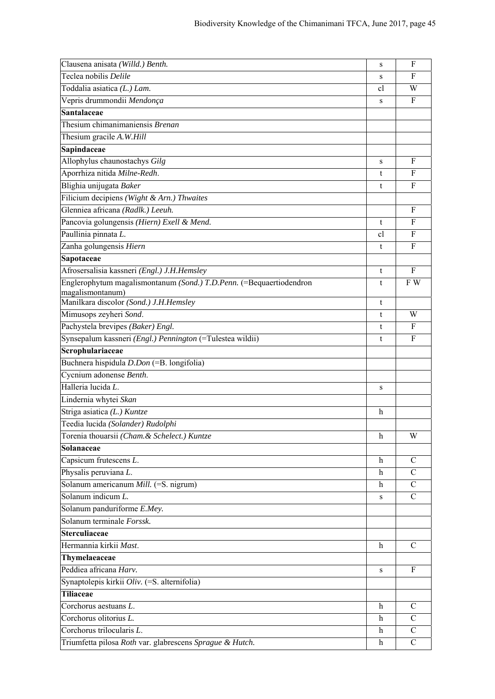| Clausena anisata (Willd.) Benth.                                    | S  | F             |
|---------------------------------------------------------------------|----|---------------|
| Teclea nobilis Delile                                               | S  | F             |
| Toddalia asiatica (L.) Lam.                                         | cl | W             |
| Vepris drummondii Mendonça                                          | S  | F             |
| Santalaceae                                                         |    |               |
| Thesium chimanimaniensis Brenan                                     |    |               |
| Thesium gracile A.W.Hill                                            |    |               |
| Sapindaceae                                                         |    |               |
| Allophylus chaunostachys Gilg                                       | S  | F             |
| Aporrhiza nitida Milne-Redh.                                        | t  | F             |
| Blighia unijugata Baker                                             | t  | F             |
| Filicium decipiens (Wight & Arn.) Thwaites                          |    |               |
| Glenniea africana (Radlk.) Leeuh.                                   |    | F             |
| Pancovia golungensis (Hiern) Exell & Mend.                          | t  | F             |
| Paullinia pinnata L.                                                | cl | $\mathbf{F}$  |
| Zanha golungensis Hiern                                             | t  | F             |
| Sapotaceae                                                          |    |               |
| Afrosersalisia kassneri (Engl.) J.H.Hemsley                         | t  | F             |
| Englerophytum magalismontanum (Sond.) T.D.Penn. (=Bequaertiodendron | t  | F W           |
| magalismontanum)<br>Manilkara discolor (Sond.) J.H.Hemsley          | t  |               |
| Mimusops zeyheri Sond.                                              | t  | W             |
| Pachystela brevipes (Baker) Engl.                                   | t  | F             |
| Synsepalum kassneri (Engl.) Pennington (=Tulestea wildii)           | t  | F             |
| Scrophulariaceae                                                    |    |               |
| Buchnera hispidula D.Don (=B. longifolia)                           |    |               |
| Cycnium adonense Benth.                                             |    |               |
| Halleria lucida L.                                                  | S  |               |
| Lindernia whytei Skan                                               |    |               |
| Striga asiatica (L.) Kuntze                                         | h  |               |
| Teedia lucida (Solander) Rudolphi                                   |    |               |
| Torenia thouarsii (Cham. & Schelect.) Kuntze                        | h  | W             |
| Solanaceae                                                          |    |               |
| Capsicum frutescens L.                                              | h  | $\mathcal{C}$ |
| Physalis peruviana L.                                               | h  | C             |
| Solanum americanum Mill. (=S. nigrum)                               | h  | $\mathcal{C}$ |
| Solanum indicum L.                                                  | S  | $\mathcal{C}$ |
| Solanum panduriforme E.Mey.                                         |    |               |
| Solanum terminale Forssk.                                           |    |               |
| <b>Sterculiaceae</b>                                                |    |               |
| Hermannia kirkii Mast.                                              | h  | $\mathcal{C}$ |
| Thymelaeaceae                                                       |    |               |
| Peddiea africana Harv.                                              | S  | F             |
| Synaptolepis kirkii Oliv. (=S. alternifolia)                        |    |               |
| <b>Tiliaceae</b>                                                    |    |               |
| Corchorus aestuans L.                                               | h  | $\mathcal{C}$ |
| Corchorus olitorius L.                                              | h  | С             |
| Corchorus trilocularis L.                                           | h  | $\mathsf{C}$  |
| Triumfetta pilosa Roth var. glabrescens Sprague & Hutch.            | h  | $\mathsf{C}$  |
|                                                                     |    |               |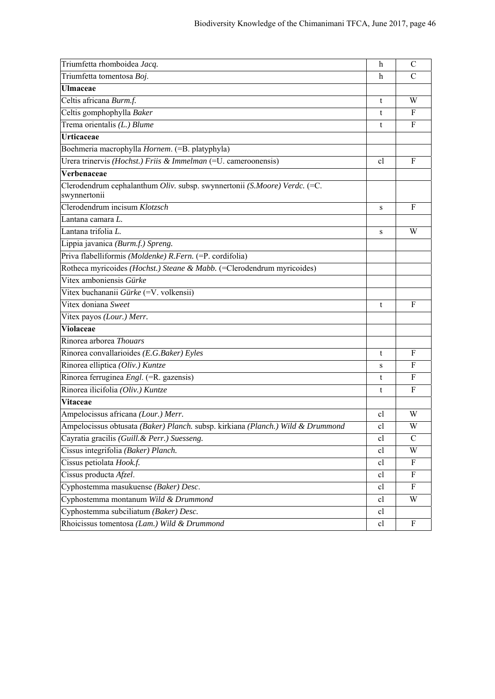| Triumfetta rhomboidea Jacq.                                                               | h            | C            |
|-------------------------------------------------------------------------------------------|--------------|--------------|
| Triumfetta tomentosa Boj.                                                                 | h            | C            |
| <b>Ulmaceae</b>                                                                           |              |              |
| Celtis africana Burm.f.                                                                   | t            | W            |
| Celtis gomphophylla Baker                                                                 | t            | $\mathbf{F}$ |
| Trema orientalis (L.) Blume                                                               | t            | F            |
| <b>Urticaceae</b>                                                                         |              |              |
| Boehmeria macrophylla Hornem. (=B. platyphyla)                                            |              |              |
| Urera trinervis (Hochst.) Friis & Immelman (=U. cameroonensis)                            | cl           | F            |
| Verbenaceae                                                                               |              |              |
| Clerodendrum cephalanthum Oliv. subsp. swynnertonii (S.Moore) Verdc. (=C.<br>swynnertonii |              |              |
| Clerodendrum incisum Klotzsch                                                             | S            | $\mathbf{F}$ |
| Lantana camara L.                                                                         |              |              |
| Lantana trifolia L.                                                                       | S            | W            |
| Lippia javanica (Burm.f.) Spreng.                                                         |              |              |
| Priva flabelliformis (Moldenke) R.Fern. (=P. cordifolia)                                  |              |              |
| Rotheca myricoides (Hochst.) Steane & Mabb. (=Clerodendrum myricoides)                    |              |              |
| Vitex amboniensis Gürke                                                                   |              |              |
| Vitex buchananii Gürke (=V. volkensii)                                                    |              |              |
| Vitex doniana Sweet                                                                       | t            | $\mathbf{F}$ |
| Vitex payos (Lour.) Merr.                                                                 |              |              |
| <b>Violaceae</b>                                                                          |              |              |
| Rinorea arborea Thouars                                                                   |              |              |
| Rinorea convallarioides (E.G.Baker) Eyles                                                 | t            | F            |
| Rinorea elliptica (Oliv.) Kuntze                                                          | S            | F            |
| Rinorea ferruginea Engl. (=R. gazensis)                                                   | t            | $\mathbf F$  |
| Rinorea ilicifolia (Oliv.) Kuntze                                                         | t            | F            |
| Vitaceae                                                                                  |              |              |
| Ampelocissus africana (Lour.) Merr.                                                       | <sub>c</sub> | W            |
| Ampelocissus obtusata (Baker) Planch. subsp. kirkiana (Planch.) Wild & Drummond           | cl           | W            |
| Cayratia gracilis (Guill. & Perr.) Suesseng.                                              | cl           | $\mathsf{C}$ |
| Cissus integrifolia (Baker) Planch.                                                       | cl           | W            |
| Cissus petiolata Hook.f.                                                                  | cl           | F            |
| Cissus producta Afzel.                                                                    | cl           | F            |
| Cyphostemma masukuense (Baker) Desc.                                                      | cl           | F            |
| Cyphostemma montanum Wild & Drummond                                                      | cl           | W            |
| Cyphostemma subciliatum (Baker) Desc.                                                     | cl           |              |
| Rhoicissus tomentosa (Lam.) Wild & Drummond                                               | cl           | F            |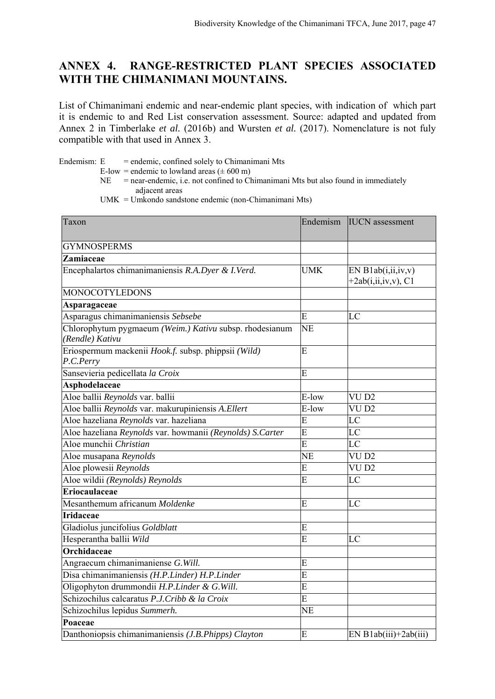### **ANNEX 4. RANGE-RESTRICTED PLANT SPECIES ASSOCIATED WITH THE CHIMANIMANI MOUNTAINS.**

List of Chimanimani endemic and near-endemic plant species, with indication of which part it is endemic to and Red List conservation assessment. Source: adapted and updated from Annex 2 in Timberlake *et al.* (2016b) and Wursten *et al.* (2017). Nomenclature is not fuly compatible with that used in Annex 3.

Endemism:  $E =$  endemic, confined solely to Chimanimani Mts

- E-low = endemic to lowland areas  $(\pm 600 \text{ m})$
- $NE$  = near-endemic, i.e. not confined to Chimanimani Mts but also found in immediately adjacent areas

UMK = Umkondo sandstone endemic (non-Chimanimani Mts)

| Taxon                                                                      | Endemism   | <b>IUCN</b> assessment   |
|----------------------------------------------------------------------------|------------|--------------------------|
| <b>GYMNOSPERMS</b>                                                         |            |                          |
| <b>Zamiaceae</b>                                                           |            |                          |
| Encephalartos chimanimaniensis R.A.Dyer & I.Verd.                          | <b>UMK</b> | EN Blab(i, ii, iv, v)    |
|                                                                            |            | $+2ab(i, ii, iv, v), C1$ |
| <b>MONOCOTYLEDONS</b>                                                      |            |                          |
| Asparagaceae                                                               |            |                          |
| Asparagus chimanimaniensis Sebsebe                                         | E          | LC                       |
| Chlorophytum pygmaeum (Weim.) Kativu subsp. rhodesianum<br>(Rendle) Kativu | <b>NE</b>  |                          |
| Eriospermum mackenii Hook.f. subsp. phippsii (Wild)<br>P.C.Perry           | E          |                          |
| Sansevieria pedicellata la Croix                                           | E          |                          |
| Asphodelaceae                                                              |            |                          |
| Aloe ballii Reynolds var. ballii                                           | E-low      | VU <sub>D2</sub>         |
| Aloe ballii Reynolds var. makurupiniensis A.Ellert                         | E-low      | VU <sub>D2</sub>         |
| Aloe hazeliana Reynolds var. hazeliana                                     | E          | LC                       |
| Aloe hazeliana Reynolds var. howmanii (Reynolds) S.Carter                  | E          | LC                       |
| Aloe munchii Christian                                                     | E          | LC                       |
| Aloe musapana Reynolds                                                     | <b>NE</b>  | VU <sub>D2</sub>         |
| Aloe plowesii Reynolds                                                     | E          | VU <sub>D2</sub>         |
| Aloe wildii (Reynolds) Reynolds                                            | E          | LC                       |
| Eriocaulaceae                                                              |            |                          |
| Mesanthemum africanum Moldenke                                             | E          | LC                       |
| <b>Iridaceae</b>                                                           |            |                          |
| Gladiolus juncifolius Goldblatt                                            | E          |                          |
| Hesperantha ballii Wild                                                    | E          | LC                       |
| Orchidaceae                                                                |            |                          |
| Angraecum chimanimaniense G. Will.                                         | E          |                          |
| Disa chimanimaniensis (H.P.Linder) H.P.Linder                              | E          |                          |
| Oligophyton drummondii H.P.Linder & G.Will.                                | E          |                          |
| Schizochilus calcaratus P.J.Cribb & la Croix                               | E          |                          |
| Schizochilus lepidus Summerh.                                              | <b>NE</b>  |                          |
| Poaceae                                                                    |            |                          |
| Danthoniopsis chimanimaniensis (J.B.Phipps) Clayton                        | E          | $EN Blab(iii)+2ab(iii)$  |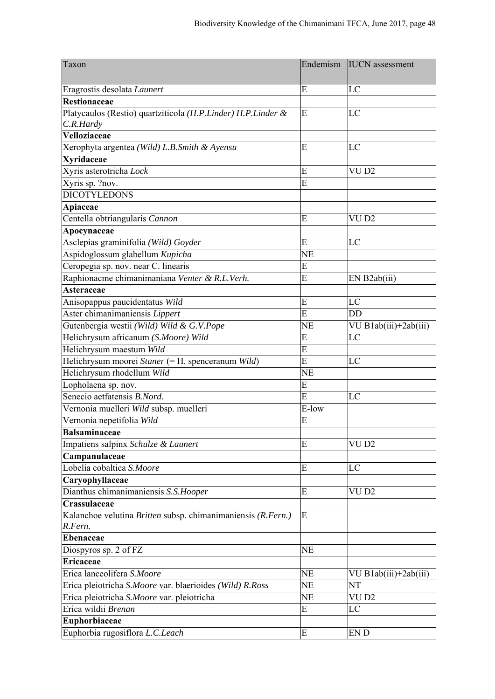| Taxon                                                                     | Endemism  | <b>IUCN</b> assessment |
|---------------------------------------------------------------------------|-----------|------------------------|
| Eragrostis desolata Launert                                               | E         | LC                     |
| <b>Restionaceae</b>                                                       |           |                        |
| Platycaulos (Restio) quartziticola (H.P.Linder) H.P.Linder &<br>C.R.Hardy | E         | LC                     |
| Velloziaceae                                                              |           |                        |
| Xerophyta argentea (Wild) L.B.Smith & Ayensu                              | E         | LC                     |
| <b>Xyridaceae</b>                                                         |           |                        |
| Xyris asterotricha Lock                                                   | E         | VU <sub>D2</sub>       |
| Xyris sp. ?nov.                                                           | E         |                        |
| <b>DICOTYLEDONS</b>                                                       |           |                        |
| Apiaceae                                                                  |           |                        |
| Centella obtriangularis Cannon                                            | E         | VU <sub>D2</sub>       |
| Apocynaceae                                                               |           |                        |
| Asclepias graminifolia (Wild) Goyder                                      | E         | LC                     |
| Aspidoglossum glabellum Kupicha                                           | <b>NE</b> |                        |
| Ceropegia sp. nov. near C. linearis                                       | E         |                        |
| Raphionacme chimanimaniana Venter & R.L.Verh.                             | E         | EN B2ab(iii)           |
| <b>Asteraceae</b>                                                         |           |                        |
| Anisopappus paucidentatus Wild                                            | E         | LC                     |
| Aster chimanimaniensis Lippert                                            | E         | DD                     |
| Gutenbergia westii (Wild) Wild & G.V.Pope                                 | <b>NE</b> | VU B1ab(iii)+2ab(iii)  |
| Helichrysum africanum (S.Moore) Wild                                      | E         | LC                     |
| Helichrysum maestum Wild                                                  | E         |                        |
| Helichrysum moorei Staner (= H. spenceranum Wild)                         | E         | LC                     |
| Helichrysum rhodellum Wild                                                | <b>NE</b> |                        |
| Lopholaena sp. nov.                                                       | E         |                        |
| Senecio aetfatensis B.Nord.                                               | E         | LC                     |
| Vernonia muelleri Wild subsp. muelleri                                    | E-low     |                        |
| Vernonia nepetifolia Wild                                                 | E         |                        |
| <b>Balsaminaceae</b>                                                      |           |                        |
| Impatiens salpinx Schulze & Launert                                       | E         | VU <sub>D2</sub>       |
| Campanulaceae                                                             |           |                        |
| Lobelia cobaltica S.Moore                                                 | E         | LC                     |
| Caryophyllaceae                                                           |           |                        |
| Dianthus chimanimaniensis S.S.Hooper                                      | E         | VU <sub>D2</sub>       |
| Crassulaceae                                                              |           |                        |
| Kalanchoe velutina Britten subsp. chimanimaniensis (R.Fern.)              | E         |                        |
| R.Fern.                                                                   |           |                        |
| <b>Ebenaceae</b><br>Diospyros sp. 2 of FZ                                 | <b>NE</b> |                        |
| <b>Ericaceae</b>                                                          |           |                        |
| Erica lanceolifera S.Moore                                                | <b>NE</b> | VU B1ab(iii)+2ab(iii)  |
| Erica pleiotricha S.Moore var. blaerioides (Wild) R.Ross                  | <b>NE</b> | NT                     |
| Erica pleiotricha S.Moore var. pleiotricha                                | <b>NE</b> | VU <sub>D2</sub>       |
| Erica wildii Brenan                                                       | E         | LC                     |
| Euphorbiaceae                                                             |           |                        |
| Euphorbia rugosiflora L.C.Leach                                           | E         | EN D                   |
|                                                                           |           |                        |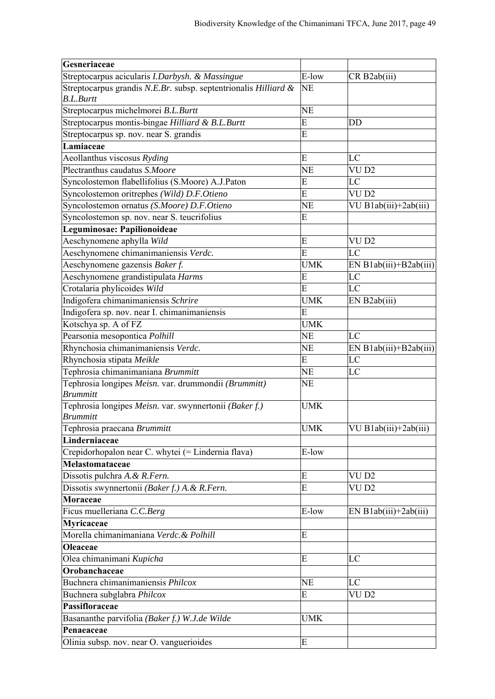| Gesneriaceae                                                    |            |                          |
|-----------------------------------------------------------------|------------|--------------------------|
| Streptocarpus acicularis I.Darbysh. & Massingue                 | E-low      | CR B2ab(iii)             |
| Streptocarpus grandis N.E.Br. subsp. septentrionalis Hilliard & | <b>NE</b>  |                          |
| <b>B.L.Burtt</b>                                                |            |                          |
| Streptocarpus michelmorei B.L.Burtt                             | <b>NE</b>  |                          |
| Streptocarpus montis-bingae Hilliard & B.L.Burtt                | E          | DD                       |
| Streptocarpus sp. nov. near S. grandis                          | E          |                          |
| Lamiaceae                                                       |            |                          |
| Aeollanthus viscosus Ryding                                     | E          | LC                       |
| Plectranthus caudatus S.Moore                                   | <b>NE</b>  | VU <sub>D2</sub>         |
| Syncolostemon flabellifolius (S.Moore) A.J.Paton                | E          | LC                       |
| Syncolostemon oritrephes (Wild) D.F.Otieno                      | E          | VU <sub>D2</sub>         |
| Syncolostemon ornatus (S.Moore) D.F.Otieno                      | <b>NE</b>  | VU B1ab(iii)+2ab(iii)    |
| Syncolostemon sp. nov. near S. teucrifolius                     | E          |                          |
| Leguminosae: Papilionoideae                                     |            |                          |
| Aeschynomene aphylla Wild                                       | E          | VU <sub>D2</sub>         |
| Aeschynomene chimanimaniensis Verdc.                            | E          | LC                       |
| Aeschynomene gazensis Baker f.                                  | <b>UMK</b> | EN $B1ab(iii)+B2ab(iii)$ |
| Aeschynomene grandistipulata Harms                              | E          | LC                       |
| Crotalaria phylicoides Wild                                     | E          | LC                       |
| Indigofera chimanimaniensis Schrire                             | <b>UMK</b> | EN B2ab(iii)             |
| Indigofera sp. nov. near I. chimanimaniensis                    | E          |                          |
| Kotschya sp. A of FZ                                            | <b>UMK</b> |                          |
| Pearsonia mesopontica Polhill                                   | <b>NE</b>  | LC                       |
| Rhynchosia chimanimaniensis Verdc.                              | <b>NE</b>  | $EN B1ab(iii)+B2ab(iii)$ |
| Rhynchosia stipata Meikle                                       | E          | LC                       |
| Tephrosia chimanimaniana Brummitt                               | <b>NE</b>  | LC                       |
| Tephrosia longipes Meisn. var. drummondii (Brummitt)            | <b>NE</b>  |                          |
| <b>Brummitt</b>                                                 |            |                          |
| Tephrosia longipes Meisn. var. swynnertonii (Baker f.)          | <b>UMK</b> |                          |
| <b>Brummitt</b>                                                 |            |                          |
| Tephrosia praecana Brummitt                                     | <b>UMK</b> | VU B1ab(iii)+2ab(iii)    |
| Linderniaceae                                                   |            |                          |
| Crepidorhopalon near C. whytei (= Lindernia flava)              | E-low      |                          |
| Melastomataceae                                                 |            |                          |
| Dissotis pulchra A. & R. Fern.                                  | E          | VU <sub>D2</sub>         |
| Dissotis swynnertonii (Baker f.) A. & R. Fern.                  | E          | VU <sub>D2</sub>         |
| Moraceae                                                        |            |                          |
| Ficus muelleriana C.C.Berg                                      | E-low      | EN B1ab(iii)+2ab(iii)    |
| Myricaceae                                                      |            |                          |
| Morella chimanimaniana Verdc. & Polhill                         | E          |                          |
|                                                                 |            |                          |
| <b>Oleaceae</b>                                                 |            |                          |
| Olea chimanimani Kupicha                                        | E          | LC                       |
| Orobanchaceae                                                   |            |                          |
| Buchnera chimanimaniensis Philcox                               | <b>NE</b>  | LC                       |
| Buchnera subglabra Philcox                                      | E          | VU D2                    |
| Passifloraceae                                                  |            |                          |
| Basananthe parvifolia (Baker f.) W.J.de Wilde                   | <b>UMK</b> |                          |
| Penaeaceae                                                      |            |                          |
| Olinia subsp. nov. near O. vanguerioides                        | E          |                          |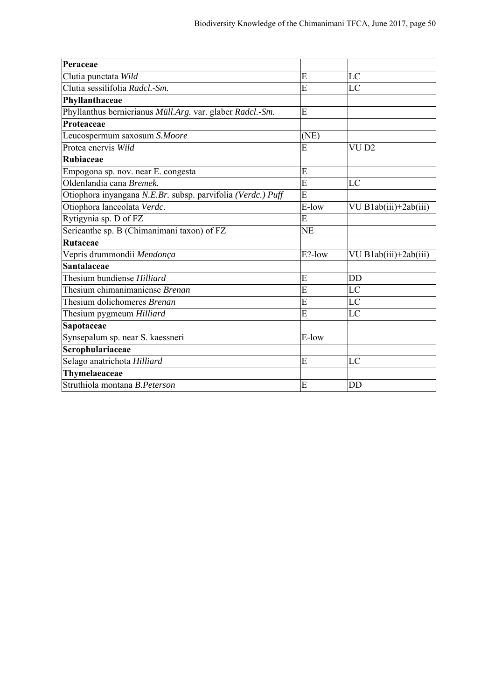| Peraceae                                                    |           |                       |
|-------------------------------------------------------------|-----------|-----------------------|
| Clutia punctata Wild                                        | E         | LC                    |
| Clutia sessilifolia Radcl.-Sm.                              | E         | LC                    |
| Phyllanthaceae                                              |           |                       |
| Phyllanthus bernierianus Müll.Arg. var. glaber Radcl.-Sm.   | E         |                       |
| Proteaceae                                                  |           |                       |
| Leucospermum saxosum S.Moore                                | (NE)      |                       |
| Protea enervis Wild                                         | E         | VU <sub>D2</sub>      |
| Rubiaceae                                                   |           |                       |
| Empogona sp. nov. near E. congesta                          | E         |                       |
| Oldenlandia cana Bremek.                                    | E         | LC                    |
| Otiophora inyangana N.E.Br. subsp. parvifolia (Verdc.) Puff | E         |                       |
| Otiophora lanceolata Verdc.                                 | E-low     | VU B1ab(iii)+2ab(iii) |
| Rytigynia sp. D of FZ                                       | E         |                       |
| Sericanthe sp. B (Chimanimani taxon) of FZ                  | <b>NE</b> |                       |
| Rutaceae                                                    |           |                       |
| Vepris drummondii Mendonça                                  | E?-low    | VU B1ab(iii)+2ab(iii) |
| <b>Santalaceae</b>                                          |           |                       |
| Thesium bundiense Hilliard                                  | E         | DD                    |
| Thesium chimanimaniense Brenan                              | E         | LC                    |
| Thesium dolichomeres Brenan                                 | E         | LC                    |
| Thesium pygmeum Hilliard                                    | E         | LC                    |
| Sapotaceae                                                  |           |                       |
| Synsepalum sp. near S. kaessneri                            | E-low     |                       |
| Scrophulariaceae                                            |           |                       |
| Selago anatrichota Hilliard                                 | E         | LC                    |
| Thymelaeaceae                                               |           |                       |
| Struthiola montana B. Peterson                              | E         | DD                    |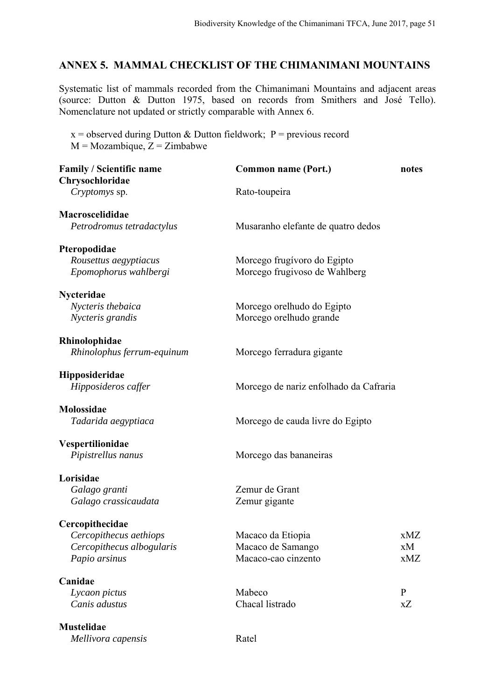#### **ANNEX 5. MAMMAL CHECKLIST OF THE CHIMANIMANI MOUNTAINS**

Systematic list of mammals recorded from the Chimanimani Mountains and adjacent areas (source: Dutton & Dutton 1975, based on records from Smithers and José Tello). Nomenclature not updated or strictly comparable with Annex 6.

 $x =$  observed during Dutton & Dutton fieldwork; P = previous record  $M = Mozambique, Z = Zimbabwe$ 

| <b>Family / Scientific name</b> | Common name (Port.)                    | notes |
|---------------------------------|----------------------------------------|-------|
| Chrysochloridae                 |                                        |       |
| Cryptomys sp.                   | Rato-toupeira                          |       |
| Macroscelididae                 |                                        |       |
| Petrodromus tetradactylus       | Musaranho elefante de quatro dedos     |       |
| Pteropodidae                    |                                        |       |
| Rousettus aegyptiacus           | Morcego frugívoro do Egipto            |       |
| Epomophorus wahlbergi           | Morcego frugivoso de Wahlberg          |       |
| Nycteridae                      |                                        |       |
| Nycteris thebaica               | Morcego orelhudo do Egipto             |       |
| Nycteris grandis                | Morcego orelhudo grande                |       |
| Rhinolophidae                   |                                        |       |
| Rhinolophus ferrum-equinum      | Morcego ferradura gigante              |       |
| Hipposideridae                  |                                        |       |
| Hipposideros caffer             | Morcego de nariz enfolhado da Cafraria |       |
| Molossidae                      |                                        |       |
| Tadarida aegyptiaca             | Morcego de cauda livre do Egipto       |       |
| Vespertilionidae                |                                        |       |
| Pipistrellus nanus              | Morcego das bananeiras                 |       |
| Lorisidae                       |                                        |       |
| Galago granti                   | Zemur de Grant                         |       |
| Galago crassicaudata            | Zemur gigante                          |       |
| Cercopithecidae                 |                                        |       |
| Cercopithecus aethiops          | Macaco da Etiopia                      | xMZ   |
| Cercopithecus albogularis       | Macaco de Samango                      | xМ    |
| Papio arsinus                   | Macaco-cao cinzento                    | xMZ   |
| Canidae                         |                                        |       |
| Lycaon pictus                   | Mabeco                                 | P     |
| Canis adustus                   | Chacal listrado                        | xZ    |
| <b>Mustelidae</b>               |                                        |       |
| Mellivora capensis              | Ratel                                  |       |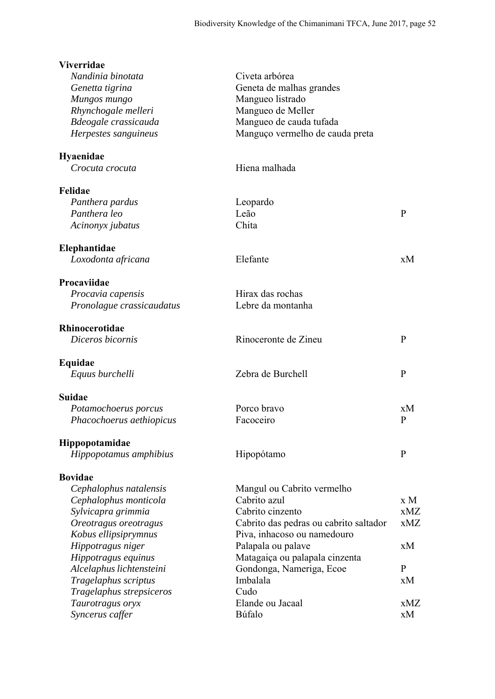| <b>Viverridae</b>         |                                        |              |
|---------------------------|----------------------------------------|--------------|
| Nandinia binotata         | Civeta arbórea                         |              |
| Genetta tigrina           | Geneta de malhas grandes               |              |
| Mungos mungo              | Mangueo listrado                       |              |
| Rhynchogale melleri       | Mangueo de Meller                      |              |
| Bdeogale crassicauda      | Mangueo de cauda tufada                |              |
| Herpestes sanguineus      | Manguço vermelho de cauda preta        |              |
| <b>Hyaenidae</b>          |                                        |              |
| Crocuta crocuta           | Hiena malhada                          |              |
| Felidae                   |                                        |              |
| Panthera pardus           | Leopardo                               |              |
| Panthera leo              | Leão                                   | P            |
| Acinonyx jubatus          | Chita                                  |              |
| Elephantidae              |                                        |              |
| Loxodonta africana        | Elefante                               | xM           |
| Procaviidae               |                                        |              |
| Procavia capensis         | Hirax das rochas                       |              |
| Pronolague crassicaudatus | Lebre da montanha                      |              |
| Rhinocerotidae            |                                        |              |
| Diceros bicornis          | Rinoceronte de Zineu                   | $\mathbf{P}$ |
| Equidae                   |                                        |              |
| Equus burchelli           | Zebra de Burchell                      | $\mathbf{P}$ |
| <b>Suidae</b>             |                                        |              |
| Potamochoerus porcus      | Porco bravo                            | xM           |
| Phacochoerus aethiopicus  | Facoceiro                              | P            |
| Hippopotamidae            |                                        |              |
| Hippopotamus amphibius    | Hipopótamo                             | $\mathbf{P}$ |
| <b>Bovidae</b>            |                                        |              |
| Cephalophus natalensis    | Mangul ou Cabrito vermelho             |              |
| Cephalophus monticola     | Cabrito azul                           | x M          |
| Sylvicapra grimmia        | Cabrito cinzento                       | xMZ          |
| Oreotragus oreotragus     | Cabrito das pedras ou cabrito saltador | xMZ          |
| Kobus ellipsiprymnus      | Piva, inhacoso ou namedouro            |              |
| Hippotragus niger         | Palapala ou palave                     | xM           |
| Hippotragus equinus       | Matagaiça ou palapala cinzenta         |              |
| Alcelaphus lichtensteini  | Gondonga, Nameriga, Ecoe               | $\mathbf{P}$ |
| Tragelaphus scriptus      | Imbalala                               | xM           |
| Tragelaphus strepsiceros  | Cudo                                   |              |
| Taurotragus oryx          | Elande ou Jacaal                       | xMZ          |
| Syncerus caffer           | Búfalo                                 | xM           |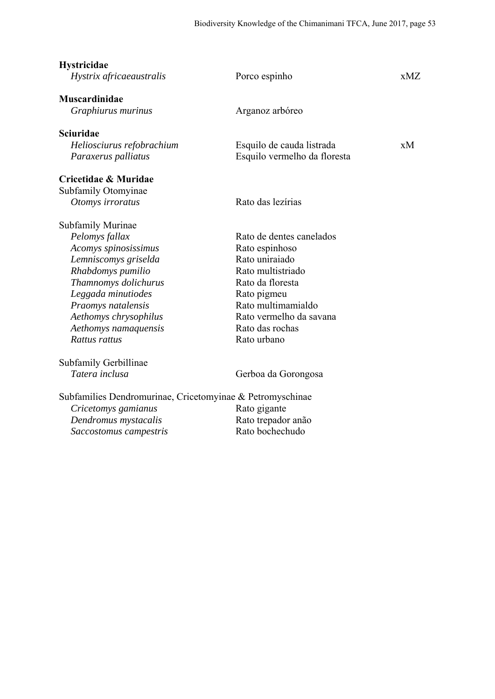| <b>Hystricidae</b><br>Hystrix africaeaustralis            | Porco espinho                | xMZ. |
|-----------------------------------------------------------|------------------------------|------|
| <b>Muscardinidae</b>                                      |                              |      |
| Graphiurus murinus                                        | Arganoz arbóreo              |      |
| <b>Sciuridae</b>                                          |                              |      |
| Heliosciurus refobrachium                                 | Esquilo de cauda listrada    | xМ   |
| Paraxerus palliatus                                       | Esquilo vermelho da floresta |      |
| Cricetidae & Muridae                                      |                              |      |
| Subfamily Otomyinae                                       |                              |      |
| Otomys irroratus                                          | Rato das lezírias            |      |
| Subfamily Murinae                                         |                              |      |
| Pelomys fallax                                            | Rato de dentes canelados     |      |
| Acomys spinosissimus                                      | Rato espinhoso               |      |
| Lemniscomys griselda                                      | Rato uniraiado               |      |
| Rhabdomys pumilio                                         | Rato multistriado            |      |
| Thamnomys dolichurus                                      | Rato da floresta             |      |
| Leggada minutiodes                                        | Rato pigmeu                  |      |
| Praomys natalensis                                        | Rato multimamialdo           |      |
| Aethomys chrysophilus                                     | Rato vermelho da savana      |      |
| Aethomys namaquensis                                      | Rato das rochas              |      |
| Rattus rattus                                             | Rato urbano                  |      |
| Subfamily Gerbillinae                                     |                              |      |
| Tatera inclusa                                            | Gerboa da Gorongosa          |      |
| Subfamilies Dendromurinae, Cricetomyinae & Petromyschinae |                              |      |
| Cricetomys gamianus                                       | Rato gigante                 |      |
| Dendromus mystacalis                                      | Rato trepador anão           |      |
| Saccostomus campestris                                    | Rato bochechudo              |      |
|                                                           |                              |      |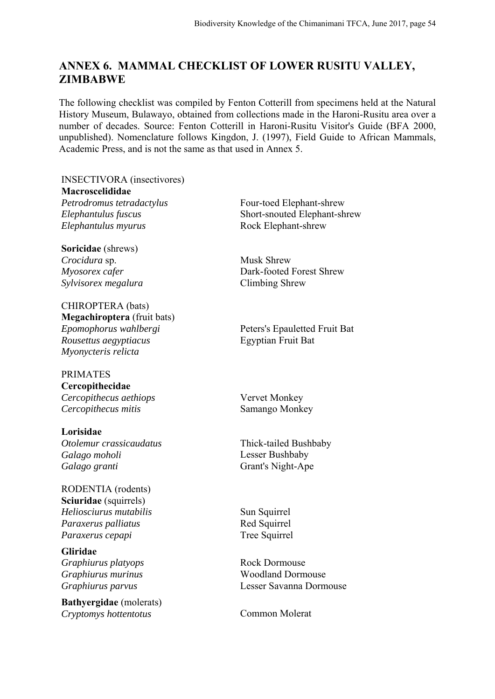## **ANNEX 6. MAMMAL CHECKLIST OF LOWER RUSITU VALLEY, ZIMBABWE**

The following checklist was compiled by Fenton Cotterill from specimens held at the Natural History Museum, Bulawayo, obtained from collections made in the Haroni-Rusitu area over a number of decades. Source: Fenton Cotterill in Haroni-Rusitu Visitor's Guide (BFA 2000, unpublished). Nomenclature follows Kingdon, J. (1997), Field Guide to African Mammals, Academic Press, and is not the same as that used in Annex 5.

INSECTIVORA (insectivores) **Macroscelididae** Petrodromus tetradactylus Four-toed Elephant-shrew *Elephantulus fuscus* Short-snouted Elephant-shrew *Elephantulus myurus* Rock Elephant-shrew

**Soricidae** (shrews) *Crocidura* sp. Musk Shrew *Sylvisorex megalura* Climbing Shrew

CHIROPTERA (bats) **Megachiroptera** (fruit bats) *Rousettus aegyptiacus* Egyptian Fruit Bat *Myonycteris relicta*

#### PRIMATES **Cercopithecidae** *Cercopithecus aethiops* Vervet Monkey *Cercopithecus mitis* Samango Monkey

**Lorisidae** *Otolemur crassicaudatus* Thick-tailed Bushbaby *Galago moholi* Lesser Bushbaby *Galago granti* Grant's Night-Ape

RODENTIA (rodents) **Sciuridae** (squirrels) *Heliosciurus mutabilis* Sun Squirrel *Paraxerus palliatus* Red Squirrel *Paraxerus cepapi* Tree Squirrel

**Gliridae** *Graphiurus platyops* Rock Dormouse

**Bathyergidae** (molerats) **Cryptomys hottentotus Common Molerat** 

*Myosorex cafer* Dark-footed Forest Shrew

*Epomophorus wahlbergi* Peters's Epauletted Fruit Bat

*Graphiurus murinus* Woodland Dormouse *Graphiurus parvus* Lesser Savanna Dormouse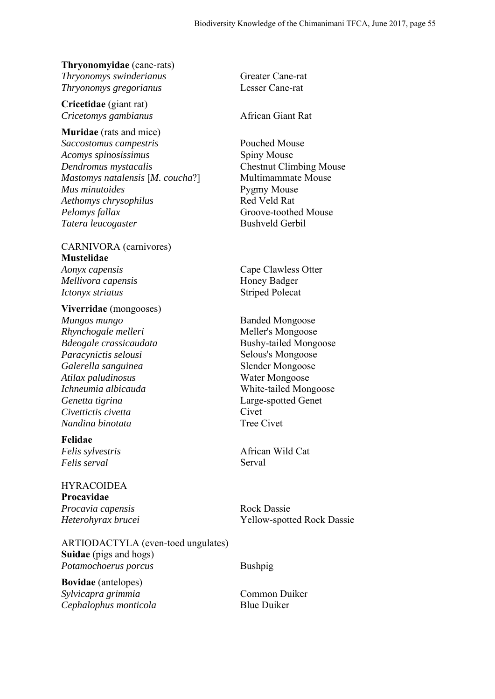# **Thryonomyidae** (cane-rats)

*Thryonomys swinderianus* Greater Cane-rat *Thryonomys gregorianus* Lesser Cane-rat

**Cricetidae** (giant rat) *Cricetomys gambianus* African Giant Rat

**Muridae** (rats and mice) *Saccostomus campestris* Pouched Mouse *Acomys spinosissimus* Spiny Mouse *Dendromus mystacalis* Chestnut Climbing Mouse *Mastomys natalensis* [*M. coucha*?] Multimammate Mouse *Mus minutoides* Pygmy Mouse *Aethomys chrysophilus* Red Veld Rat *Pelomys fallax* Groove-toothed Mouse *Tatera leucogaster* Bushveld Gerbil

#### CARNIVORA (carnivores) **Mustelidae** *Aonyx capensis* Cape Clawless Otter *Mellivora capensis* Honey Badger

*Ictonyx striatus* Striped Polecat

#### **Viverridae** (mongooses)

*Mungos mungo* Banded Mongoose *Rhynchogale melleri* Meller's Mongoose *Paracynictis selousi* Selous's Mongoose *Galerella sanguinea* Slender Mongoose *Atilax paludinosus* Water Mongoose *Ichneumia albicauda* White-tailed Mongoose *Genetta tigrina* Large-spotted Genet *Civettictis civetta* Civet *Nandina binotata* Tree Civet

**Felidae** *Felis serval* Serval

# HYRACOIDEA **Procavidae** *Procavia capensis* Rock Dassie

ARTIODACTYLA (even-toed ungulates) **Suidae** (pigs and hogs) *Potamochoerus porcus* Bushpig

**Bovidae** (antelopes) *Sylvicapra grimmia* Common Duiker *Cephalophus monticola* Blue Duiker

*Bdeogale crassicaudata* Bushy-tailed Mongoose

*Felis sylvestris* African Wild Cat

*Heterohyrax brucei* Yellow-spotted Rock Dassie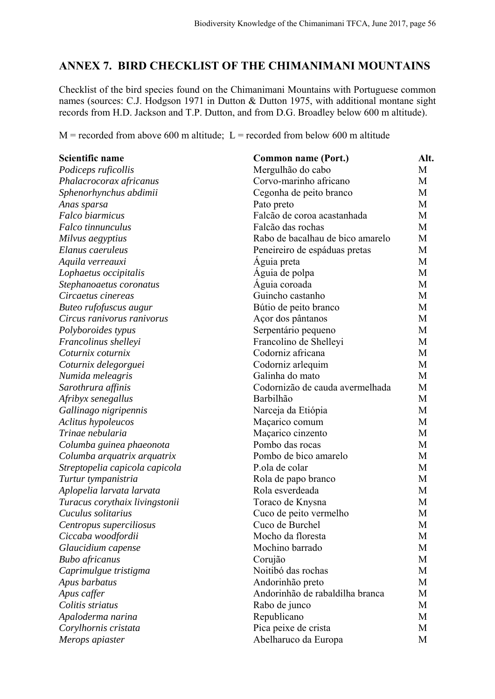### **ANNEX 7. BIRD CHECKLIST OF THE CHIMANIMANI MOUNTAINS**

Checklist of the bird species found on the Chimanimani Mountains with Portuguese common names (sources: C.J. Hodgson 1971 in Dutton & Dutton 1975, with additional montane sight records from H.D. Jackson and T.P. Dutton, and from D.G. Broadley below 600 m altitude).

 $M$  = recorded from above 600 m altitude; L = recorded from below 600 m altitude

| Scientific name                | Common name (Port.)              | Alt. |
|--------------------------------|----------------------------------|------|
| Podiceps ruficollis            | Mergulhão do cabo                | М    |
| Phalacrocorax africanus        | Corvo-marinho africano           | M    |
| Sphenorhynchus abdimii         | Cegonha de peito branco          | M    |
| Anas sparsa                    | Pato preto                       | M    |
| <b>Falco biarmicus</b>         | Falcão de coroa acastanhada      | М    |
| Falco tinnunculus              | Falcão das rochas                | M    |
| Milvus aegyptius               | Rabo de bacalhau de bico amarelo | M    |
| Elanus caeruleus               | Peneireiro de espáduas pretas    | M    |
| Aquila verreauxi               | Aguia preta                      | M    |
| Lophaetus occipitalis          | Aguia de polpa                   | M    |
| Stephanoaetus coronatus        | Aguia coroada                    | M    |
| Circaetus cinereas             | Guincho castanho                 | M    |
| Buteo rufofuscus augur         | Bútio de peito branco            | М    |
| Circus ranivorus ranivorus     | Açor dos pântanos                | M    |
| Polyboroides typus             | Serpentário pequeno              | M    |
| Francolinus shelleyi           | Francolino de Shelleyi           | M    |
| Coturnix coturnix              | Codorniz africana                | M    |
| Coturnix delegorguei           | Codorniz arlequim                | М    |
| Numida meleagris               | Galinha do mato                  | M    |
| Sarothrura affinis             | Codornizão de cauda avermelhada  | M    |
| Afribyx senegallus             | Barbilhão                        | M    |
| Gallinago nigripennis          | Narceja da Etiópia               | M    |
| Aclitus hypoleucos             | Maçarico comum                   | M    |
| Trinae nebularia               | Maçarico cinzento                | M    |
| Columba guinea phaeonota       | Pombo das rocas                  | М    |
| Columba arquatrix arquatrix    | Pombo de bico amarelo            | M    |
| Streptopelia capicola capicola | P.ola de colar                   | M    |
| Turtur tympanistria            | Rola de papo branco              | M    |
| Aplopelia larvata larvata      | Rola esverdeada                  | M    |
| Turacus corythaix livingstonii | Toraco de Knysna                 | M    |
| Cuculus solitarius             | Cuco de peito vermelho           | M    |
| Centropus superciliosus        | Cuco de Burchel                  | M    |
| Ciccaba woodfordii             | Mocho da floresta                | M    |
| Glaucidium capense             | Mochino barrado                  | M    |
| <b>Bubo</b> africanus          | Corujão                          | M    |
| Caprimulgue tristigma          | Noitibó das rochas               | M    |
| Apus barbatus                  | Andorinhão preto                 | М    |
| Apus caffer                    | Andorinhão de rabaldilha branca  | M    |
| Colitis striatus               | Rabo de junco                    | M    |
| Apaloderma narina              | Republicano                      | M    |
| Corylhornis cristata           | Pica peixe de crista             | M    |
| Merops apiaster                | Abelharuco da Europa             | M    |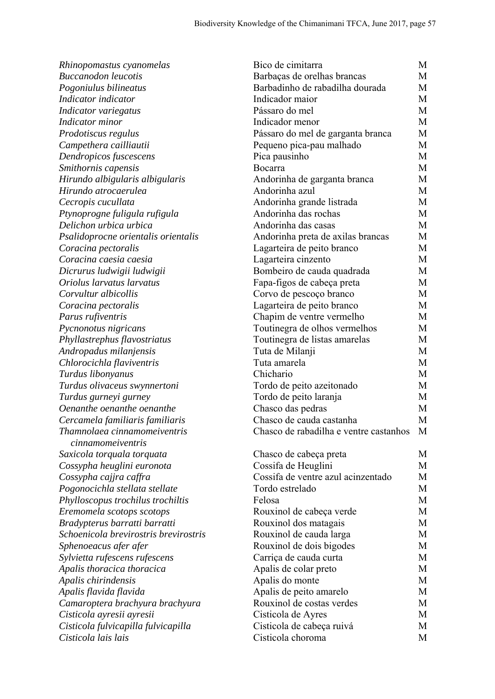| Rhinopomastus cyanomelas              | Bico de cimitarra                      | М |
|---------------------------------------|----------------------------------------|---|
| <b>Buccanodon</b> leucotis            | Barbaças de orelhas brancas            | М |
| Pogoniulus bilineatus                 | Barbadinho de rabadilha dourada        | М |
| Indicator indicator                   | Indicador maior                        | М |
| Indicator variegatus                  | Pássaro do mel                         | М |
| Indicator minor                       | Indicador menor                        | M |
| Prodotiscus regulus                   | Pássaro do mel de garganta branca      | M |
| Campethera cailliautii                | Pequeno pica-pau malhado               | M |
| Dendropicos fuscescens                | Pica pausinho                          | M |
| Smithornis capensis                   | Bocarra                                | M |
| Hirundo albigularis albigularis       | Andorinha de garganta branca           | М |
| Hirundo atrocaerulea                  | Andorinha azul                         | М |
| Cecropis cucullata                    | Andorinha grande listrada              | М |
| Ptynoprogne fuligula rufigula         | Andorinha das rochas                   | M |
| Delichon urbica urbica                | Andorinha das casas                    | М |
| Psalidoprocne orientalis orientalis   | Andorinha preta de axilas brancas      | М |
| Coracina pectoralis                   | Lagarteira de peito branco             | M |
| Coracina caesia caesia                | Lagarteira cinzento                    | М |
| Dicrurus ludwigii ludwigii            | Bombeiro de cauda quadrada             | М |
| Oriolus larvatus larvatus             | Fapa-figos de cabeça preta             | M |
| Corvultur albicollis                  | Corvo de pescoço branco                | M |
| Coracina pectoralis                   | Lagarteira de peito branco             | М |
| Parus rufiventris                     | Chapim de ventre vermelho              | М |
| Pycnonotus nigricans                  | Toutinegra de olhos vermelhos          | М |
| Phyllastrephus flavostriatus          | Toutinegra de listas amarelas          | M |
| Andropadus milanjensis                | Tuta de Milanji                        | M |
| Chlorocichla flaviventris             | Tuta amarela                           | M |
| Turdus libonyanus                     | Chichario                              | М |
| Turdus olivaceus swynnertoni          | Tordo de peito azeitonado              | М |
| Turdus gurneyi gurney                 | Tordo de peito laranja                 | M |
| Oenanthe oenanthe oenanthe            | Chasco das pedras                      | М |
| Cercamela familiaris familiaris       | Chasco de cauda castanha               | M |
| Thamnolaea cinnamomeiventris          | Chasco de rabadilha e ventre castanhos | M |
| cinnamomeiventris                     |                                        |   |
| Saxicola torquala torquata            | Chasco de cabeça preta                 | M |
| Cossypha heuglini euronota            | Cossifa de Heuglini                    | М |
| Cossypha cajjra caffra                | Cossifa de ventre azul acinzentado     | M |
| Pogonocichla stellata stellate        | Tordo estrelado                        | М |
| Phylloscopus trochilus trochiltis     | Felosa                                 | М |
| Eremomela scotops scotops             | Rouxinol de cabeça verde               | M |
| Bradypterus barratti barratti         | Rouxinol dos matagais                  | M |
| Schoenicola brevirostris brevirostris | Rouxinol de cauda larga                | M |
| Sphenoeacus afer afer                 | Rouxinol de dois bigodes               | M |
| Sylvietta rufescens rufescens         | Carriça de cauda curta                 | M |
| Apalis thoracica thoracica            | Apalis de colar preto                  | M |
| Apalis chirindensis                   | Apalis do monte                        | M |
| Apalis flavida flavida                | Apalis de peito amarelo                | M |
| Camaroptera brachyura brachyura       | Rouxinol de costas verdes              | M |
| Cisticola ayresii ayresii             | Cisticola de Ayres                     | М |
| Cisticola fulvicapilla fulvicapilla   | Cisticola de cabeça ruivá              | M |
| Cisticola lais lais                   | Cisticola choroma                      | M |
|                                       |                                        |   |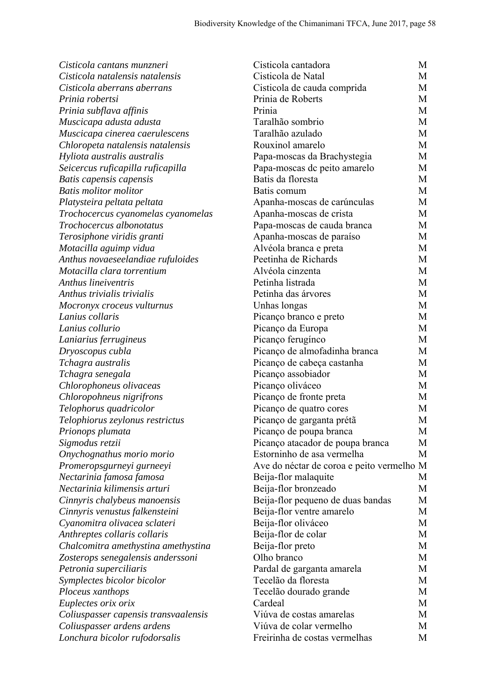| Cisticola de Natal<br>Cisticola natalensis natalensis<br>М<br>Cisticola aberrans aberrans<br>Cisticola de cauda comprida<br>М<br>Prinia de Roberts<br>M<br>Prinia robertsi<br>Prinia<br>М<br>Prinia subflava affinis<br>Taralhão sombrio<br>М<br>Muscicapa adusta adusta<br>Taralhão azulado<br>М<br>Muscicapa cinerea caerulescens<br>Rouxinol amarelo<br>Chloropeta natalensis natalensis<br>М<br>Hyliota australis australis<br>Papa-moscas da Brachystegia<br>М<br>Seicercus ruficapilla ruficapilla<br>Papa-moscas de peito amarelo<br>M<br>Batis da floresta<br>Batis capensis capensis<br>M<br><b>Batis molitor molitor</b><br>Batis comum<br>М<br>Platysteira peltata peltata<br>Apanha-moscas de carúnculas<br>М<br>Apanha-moscas de crista<br>Trochocercus cyanomelas cyanomelas<br>М<br>Trochocercus albonotatus<br>Papa-moscas de cauda branca<br>М<br>Terosiphone viridis granti<br>Apanha-moscas de paraíso<br>М<br>Alvéola branca e preta<br>М<br>Motacilla aguimp vidua<br>Peetinha de Richards<br>Anthus novaeseelandiae rufuloides<br>М<br>Motacilla clara torrentium<br>Alvéola cinzenta<br>М<br>Anthus lineiventris<br>Petinha listrada<br>M<br>Anthus trivialis trivialis<br>Petinha das árvores<br>М<br>Unhas longas<br>М<br>Mocronyx croceus vulturnus<br>Lanius collaris<br>Picanço branco e preto<br>M<br>Picanço da Europa<br>М<br>Lanius collurio<br>Picanço ferugínco<br>М<br>Laniarius ferrugineus<br>Picanço de almofadinha branca<br>Dryoscopus cubla<br>М<br>Tchagra australis<br>Picanço de cabeça castanha<br>M<br>Picanço assobiador<br>Tchagra senegala<br>М<br>Chlorophoneus olivaceas<br>Picanço oliváceo<br>М<br>Picanço de fronte preta<br>Chloropohneus nigrifrons<br>M<br>Telophorus quadricolor<br>Picanço de quatro cores<br>М<br>Telophiorus zeylonus restrictus<br>Picanço de garganta prétã<br>M<br>М<br>Prionops plumata<br>Picanço de poupa branca<br>Picanço atacador de poupa branca<br>Sigmodus retzii<br>М<br>Estorninho de asa vermelha<br>Onychognathus morio morio<br>M<br>Ave do néctar de coroa e peito vermelho M<br>Promeropsgurneyi gurneeyi<br>Nectarinia famosa famosa<br>Beija-flor malaquite<br>М<br>Nectarinia kilimensis arturi<br>Beija-flor bronzeado<br>M<br>Beija-flor pequeno de duas bandas<br>Cinnyris chalybeus manoensis<br>М<br>Beija-flor ventre amarelo<br>Cinnyris venustus falkensteini<br>M<br>Beija-flor oliváceo<br>Cyanomitra olivacea sclateri<br>М<br>Beija-flor de colar<br>Anthreptes collaris collaris<br>М<br>Beija-flor preto<br>Chalcomitra amethystina amethystina<br>М<br>Olho branco<br>Zosterops senegalensis anderssoni<br>М<br>Pardal de garganta amarela<br>Petronia superciliaris<br>М<br>Tecelão da floresta<br>Symplectes bicolor bicolor<br>М<br>Tecelão dourado grande<br>Ploceus xanthops<br>М<br>Cardeal<br>Euplectes orix orix<br>М<br>Viúva de costas amarelas<br>М<br>Coliuspasser capensis transvaalensis<br>Viúva de colar vermelho<br>Coliuspasser ardens ardens<br>M<br>Freirinha de costas vermelhas<br>Lonchura bicolor rufodorsalis<br>M | Cisticola cantans munzneri | Cisticola cantadora | М |
|---------------------------------------------------------------------------------------------------------------------------------------------------------------------------------------------------------------------------------------------------------------------------------------------------------------------------------------------------------------------------------------------------------------------------------------------------------------------------------------------------------------------------------------------------------------------------------------------------------------------------------------------------------------------------------------------------------------------------------------------------------------------------------------------------------------------------------------------------------------------------------------------------------------------------------------------------------------------------------------------------------------------------------------------------------------------------------------------------------------------------------------------------------------------------------------------------------------------------------------------------------------------------------------------------------------------------------------------------------------------------------------------------------------------------------------------------------------------------------------------------------------------------------------------------------------------------------------------------------------------------------------------------------------------------------------------------------------------------------------------------------------------------------------------------------------------------------------------------------------------------------------------------------------------------------------------------------------------------------------------------------------------------------------------------------------------------------------------------------------------------------------------------------------------------------------------------------------------------------------------------------------------------------------------------------------------------------------------------------------------------------------------------------------------------------------------------------------------------------------------------------------------------------------------------------------------------------------------------------------------------------------------------------------------------------------------------------------------------------------------------------------------------------------------------------------------------------------------------------------------------------------------------------------------------------------------------------------------------------------------------------------------------------------------------------------|----------------------------|---------------------|---|
|                                                                                                                                                                                                                                                                                                                                                                                                                                                                                                                                                                                                                                                                                                                                                                                                                                                                                                                                                                                                                                                                                                                                                                                                                                                                                                                                                                                                                                                                                                                                                                                                                                                                                                                                                                                                                                                                                                                                                                                                                                                                                                                                                                                                                                                                                                                                                                                                                                                                                                                                                                                                                                                                                                                                                                                                                                                                                                                                                                                                                                                               |                            |                     |   |
|                                                                                                                                                                                                                                                                                                                                                                                                                                                                                                                                                                                                                                                                                                                                                                                                                                                                                                                                                                                                                                                                                                                                                                                                                                                                                                                                                                                                                                                                                                                                                                                                                                                                                                                                                                                                                                                                                                                                                                                                                                                                                                                                                                                                                                                                                                                                                                                                                                                                                                                                                                                                                                                                                                                                                                                                                                                                                                                                                                                                                                                               |                            |                     |   |
|                                                                                                                                                                                                                                                                                                                                                                                                                                                                                                                                                                                                                                                                                                                                                                                                                                                                                                                                                                                                                                                                                                                                                                                                                                                                                                                                                                                                                                                                                                                                                                                                                                                                                                                                                                                                                                                                                                                                                                                                                                                                                                                                                                                                                                                                                                                                                                                                                                                                                                                                                                                                                                                                                                                                                                                                                                                                                                                                                                                                                                                               |                            |                     |   |
|                                                                                                                                                                                                                                                                                                                                                                                                                                                                                                                                                                                                                                                                                                                                                                                                                                                                                                                                                                                                                                                                                                                                                                                                                                                                                                                                                                                                                                                                                                                                                                                                                                                                                                                                                                                                                                                                                                                                                                                                                                                                                                                                                                                                                                                                                                                                                                                                                                                                                                                                                                                                                                                                                                                                                                                                                                                                                                                                                                                                                                                               |                            |                     |   |
|                                                                                                                                                                                                                                                                                                                                                                                                                                                                                                                                                                                                                                                                                                                                                                                                                                                                                                                                                                                                                                                                                                                                                                                                                                                                                                                                                                                                                                                                                                                                                                                                                                                                                                                                                                                                                                                                                                                                                                                                                                                                                                                                                                                                                                                                                                                                                                                                                                                                                                                                                                                                                                                                                                                                                                                                                                                                                                                                                                                                                                                               |                            |                     |   |
|                                                                                                                                                                                                                                                                                                                                                                                                                                                                                                                                                                                                                                                                                                                                                                                                                                                                                                                                                                                                                                                                                                                                                                                                                                                                                                                                                                                                                                                                                                                                                                                                                                                                                                                                                                                                                                                                                                                                                                                                                                                                                                                                                                                                                                                                                                                                                                                                                                                                                                                                                                                                                                                                                                                                                                                                                                                                                                                                                                                                                                                               |                            |                     |   |
|                                                                                                                                                                                                                                                                                                                                                                                                                                                                                                                                                                                                                                                                                                                                                                                                                                                                                                                                                                                                                                                                                                                                                                                                                                                                                                                                                                                                                                                                                                                                                                                                                                                                                                                                                                                                                                                                                                                                                                                                                                                                                                                                                                                                                                                                                                                                                                                                                                                                                                                                                                                                                                                                                                                                                                                                                                                                                                                                                                                                                                                               |                            |                     |   |
|                                                                                                                                                                                                                                                                                                                                                                                                                                                                                                                                                                                                                                                                                                                                                                                                                                                                                                                                                                                                                                                                                                                                                                                                                                                                                                                                                                                                                                                                                                                                                                                                                                                                                                                                                                                                                                                                                                                                                                                                                                                                                                                                                                                                                                                                                                                                                                                                                                                                                                                                                                                                                                                                                                                                                                                                                                                                                                                                                                                                                                                               |                            |                     |   |
|                                                                                                                                                                                                                                                                                                                                                                                                                                                                                                                                                                                                                                                                                                                                                                                                                                                                                                                                                                                                                                                                                                                                                                                                                                                                                                                                                                                                                                                                                                                                                                                                                                                                                                                                                                                                                                                                                                                                                                                                                                                                                                                                                                                                                                                                                                                                                                                                                                                                                                                                                                                                                                                                                                                                                                                                                                                                                                                                                                                                                                                               |                            |                     |   |
|                                                                                                                                                                                                                                                                                                                                                                                                                                                                                                                                                                                                                                                                                                                                                                                                                                                                                                                                                                                                                                                                                                                                                                                                                                                                                                                                                                                                                                                                                                                                                                                                                                                                                                                                                                                                                                                                                                                                                                                                                                                                                                                                                                                                                                                                                                                                                                                                                                                                                                                                                                                                                                                                                                                                                                                                                                                                                                                                                                                                                                                               |                            |                     |   |
|                                                                                                                                                                                                                                                                                                                                                                                                                                                                                                                                                                                                                                                                                                                                                                                                                                                                                                                                                                                                                                                                                                                                                                                                                                                                                                                                                                                                                                                                                                                                                                                                                                                                                                                                                                                                                                                                                                                                                                                                                                                                                                                                                                                                                                                                                                                                                                                                                                                                                                                                                                                                                                                                                                                                                                                                                                                                                                                                                                                                                                                               |                            |                     |   |
|                                                                                                                                                                                                                                                                                                                                                                                                                                                                                                                                                                                                                                                                                                                                                                                                                                                                                                                                                                                                                                                                                                                                                                                                                                                                                                                                                                                                                                                                                                                                                                                                                                                                                                                                                                                                                                                                                                                                                                                                                                                                                                                                                                                                                                                                                                                                                                                                                                                                                                                                                                                                                                                                                                                                                                                                                                                                                                                                                                                                                                                               |                            |                     |   |
|                                                                                                                                                                                                                                                                                                                                                                                                                                                                                                                                                                                                                                                                                                                                                                                                                                                                                                                                                                                                                                                                                                                                                                                                                                                                                                                                                                                                                                                                                                                                                                                                                                                                                                                                                                                                                                                                                                                                                                                                                                                                                                                                                                                                                                                                                                                                                                                                                                                                                                                                                                                                                                                                                                                                                                                                                                                                                                                                                                                                                                                               |                            |                     |   |
|                                                                                                                                                                                                                                                                                                                                                                                                                                                                                                                                                                                                                                                                                                                                                                                                                                                                                                                                                                                                                                                                                                                                                                                                                                                                                                                                                                                                                                                                                                                                                                                                                                                                                                                                                                                                                                                                                                                                                                                                                                                                                                                                                                                                                                                                                                                                                                                                                                                                                                                                                                                                                                                                                                                                                                                                                                                                                                                                                                                                                                                               |                            |                     |   |
|                                                                                                                                                                                                                                                                                                                                                                                                                                                                                                                                                                                                                                                                                                                                                                                                                                                                                                                                                                                                                                                                                                                                                                                                                                                                                                                                                                                                                                                                                                                                                                                                                                                                                                                                                                                                                                                                                                                                                                                                                                                                                                                                                                                                                                                                                                                                                                                                                                                                                                                                                                                                                                                                                                                                                                                                                                                                                                                                                                                                                                                               |                            |                     |   |
|                                                                                                                                                                                                                                                                                                                                                                                                                                                                                                                                                                                                                                                                                                                                                                                                                                                                                                                                                                                                                                                                                                                                                                                                                                                                                                                                                                                                                                                                                                                                                                                                                                                                                                                                                                                                                                                                                                                                                                                                                                                                                                                                                                                                                                                                                                                                                                                                                                                                                                                                                                                                                                                                                                                                                                                                                                                                                                                                                                                                                                                               |                            |                     |   |
|                                                                                                                                                                                                                                                                                                                                                                                                                                                                                                                                                                                                                                                                                                                                                                                                                                                                                                                                                                                                                                                                                                                                                                                                                                                                                                                                                                                                                                                                                                                                                                                                                                                                                                                                                                                                                                                                                                                                                                                                                                                                                                                                                                                                                                                                                                                                                                                                                                                                                                                                                                                                                                                                                                                                                                                                                                                                                                                                                                                                                                                               |                            |                     |   |
|                                                                                                                                                                                                                                                                                                                                                                                                                                                                                                                                                                                                                                                                                                                                                                                                                                                                                                                                                                                                                                                                                                                                                                                                                                                                                                                                                                                                                                                                                                                                                                                                                                                                                                                                                                                                                                                                                                                                                                                                                                                                                                                                                                                                                                                                                                                                                                                                                                                                                                                                                                                                                                                                                                                                                                                                                                                                                                                                                                                                                                                               |                            |                     |   |
|                                                                                                                                                                                                                                                                                                                                                                                                                                                                                                                                                                                                                                                                                                                                                                                                                                                                                                                                                                                                                                                                                                                                                                                                                                                                                                                                                                                                                                                                                                                                                                                                                                                                                                                                                                                                                                                                                                                                                                                                                                                                                                                                                                                                                                                                                                                                                                                                                                                                                                                                                                                                                                                                                                                                                                                                                                                                                                                                                                                                                                                               |                            |                     |   |
|                                                                                                                                                                                                                                                                                                                                                                                                                                                                                                                                                                                                                                                                                                                                                                                                                                                                                                                                                                                                                                                                                                                                                                                                                                                                                                                                                                                                                                                                                                                                                                                                                                                                                                                                                                                                                                                                                                                                                                                                                                                                                                                                                                                                                                                                                                                                                                                                                                                                                                                                                                                                                                                                                                                                                                                                                                                                                                                                                                                                                                                               |                            |                     |   |
|                                                                                                                                                                                                                                                                                                                                                                                                                                                                                                                                                                                                                                                                                                                                                                                                                                                                                                                                                                                                                                                                                                                                                                                                                                                                                                                                                                                                                                                                                                                                                                                                                                                                                                                                                                                                                                                                                                                                                                                                                                                                                                                                                                                                                                                                                                                                                                                                                                                                                                                                                                                                                                                                                                                                                                                                                                                                                                                                                                                                                                                               |                            |                     |   |
|                                                                                                                                                                                                                                                                                                                                                                                                                                                                                                                                                                                                                                                                                                                                                                                                                                                                                                                                                                                                                                                                                                                                                                                                                                                                                                                                                                                                                                                                                                                                                                                                                                                                                                                                                                                                                                                                                                                                                                                                                                                                                                                                                                                                                                                                                                                                                                                                                                                                                                                                                                                                                                                                                                                                                                                                                                                                                                                                                                                                                                                               |                            |                     |   |
|                                                                                                                                                                                                                                                                                                                                                                                                                                                                                                                                                                                                                                                                                                                                                                                                                                                                                                                                                                                                                                                                                                                                                                                                                                                                                                                                                                                                                                                                                                                                                                                                                                                                                                                                                                                                                                                                                                                                                                                                                                                                                                                                                                                                                                                                                                                                                                                                                                                                                                                                                                                                                                                                                                                                                                                                                                                                                                                                                                                                                                                               |                            |                     |   |
|                                                                                                                                                                                                                                                                                                                                                                                                                                                                                                                                                                                                                                                                                                                                                                                                                                                                                                                                                                                                                                                                                                                                                                                                                                                                                                                                                                                                                                                                                                                                                                                                                                                                                                                                                                                                                                                                                                                                                                                                                                                                                                                                                                                                                                                                                                                                                                                                                                                                                                                                                                                                                                                                                                                                                                                                                                                                                                                                                                                                                                                               |                            |                     |   |
|                                                                                                                                                                                                                                                                                                                                                                                                                                                                                                                                                                                                                                                                                                                                                                                                                                                                                                                                                                                                                                                                                                                                                                                                                                                                                                                                                                                                                                                                                                                                                                                                                                                                                                                                                                                                                                                                                                                                                                                                                                                                                                                                                                                                                                                                                                                                                                                                                                                                                                                                                                                                                                                                                                                                                                                                                                                                                                                                                                                                                                                               |                            |                     |   |
|                                                                                                                                                                                                                                                                                                                                                                                                                                                                                                                                                                                                                                                                                                                                                                                                                                                                                                                                                                                                                                                                                                                                                                                                                                                                                                                                                                                                                                                                                                                                                                                                                                                                                                                                                                                                                                                                                                                                                                                                                                                                                                                                                                                                                                                                                                                                                                                                                                                                                                                                                                                                                                                                                                                                                                                                                                                                                                                                                                                                                                                               |                            |                     |   |
|                                                                                                                                                                                                                                                                                                                                                                                                                                                                                                                                                                                                                                                                                                                                                                                                                                                                                                                                                                                                                                                                                                                                                                                                                                                                                                                                                                                                                                                                                                                                                                                                                                                                                                                                                                                                                                                                                                                                                                                                                                                                                                                                                                                                                                                                                                                                                                                                                                                                                                                                                                                                                                                                                                                                                                                                                                                                                                                                                                                                                                                               |                            |                     |   |
|                                                                                                                                                                                                                                                                                                                                                                                                                                                                                                                                                                                                                                                                                                                                                                                                                                                                                                                                                                                                                                                                                                                                                                                                                                                                                                                                                                                                                                                                                                                                                                                                                                                                                                                                                                                                                                                                                                                                                                                                                                                                                                                                                                                                                                                                                                                                                                                                                                                                                                                                                                                                                                                                                                                                                                                                                                                                                                                                                                                                                                                               |                            |                     |   |
|                                                                                                                                                                                                                                                                                                                                                                                                                                                                                                                                                                                                                                                                                                                                                                                                                                                                                                                                                                                                                                                                                                                                                                                                                                                                                                                                                                                                                                                                                                                                                                                                                                                                                                                                                                                                                                                                                                                                                                                                                                                                                                                                                                                                                                                                                                                                                                                                                                                                                                                                                                                                                                                                                                                                                                                                                                                                                                                                                                                                                                                               |                            |                     |   |
|                                                                                                                                                                                                                                                                                                                                                                                                                                                                                                                                                                                                                                                                                                                                                                                                                                                                                                                                                                                                                                                                                                                                                                                                                                                                                                                                                                                                                                                                                                                                                                                                                                                                                                                                                                                                                                                                                                                                                                                                                                                                                                                                                                                                                                                                                                                                                                                                                                                                                                                                                                                                                                                                                                                                                                                                                                                                                                                                                                                                                                                               |                            |                     |   |
|                                                                                                                                                                                                                                                                                                                                                                                                                                                                                                                                                                                                                                                                                                                                                                                                                                                                                                                                                                                                                                                                                                                                                                                                                                                                                                                                                                                                                                                                                                                                                                                                                                                                                                                                                                                                                                                                                                                                                                                                                                                                                                                                                                                                                                                                                                                                                                                                                                                                                                                                                                                                                                                                                                                                                                                                                                                                                                                                                                                                                                                               |                            |                     |   |
|                                                                                                                                                                                                                                                                                                                                                                                                                                                                                                                                                                                                                                                                                                                                                                                                                                                                                                                                                                                                                                                                                                                                                                                                                                                                                                                                                                                                                                                                                                                                                                                                                                                                                                                                                                                                                                                                                                                                                                                                                                                                                                                                                                                                                                                                                                                                                                                                                                                                                                                                                                                                                                                                                                                                                                                                                                                                                                                                                                                                                                                               |                            |                     |   |
|                                                                                                                                                                                                                                                                                                                                                                                                                                                                                                                                                                                                                                                                                                                                                                                                                                                                                                                                                                                                                                                                                                                                                                                                                                                                                                                                                                                                                                                                                                                                                                                                                                                                                                                                                                                                                                                                                                                                                                                                                                                                                                                                                                                                                                                                                                                                                                                                                                                                                                                                                                                                                                                                                                                                                                                                                                                                                                                                                                                                                                                               |                            |                     |   |
|                                                                                                                                                                                                                                                                                                                                                                                                                                                                                                                                                                                                                                                                                                                                                                                                                                                                                                                                                                                                                                                                                                                                                                                                                                                                                                                                                                                                                                                                                                                                                                                                                                                                                                                                                                                                                                                                                                                                                                                                                                                                                                                                                                                                                                                                                                                                                                                                                                                                                                                                                                                                                                                                                                                                                                                                                                                                                                                                                                                                                                                               |                            |                     |   |
|                                                                                                                                                                                                                                                                                                                                                                                                                                                                                                                                                                                                                                                                                                                                                                                                                                                                                                                                                                                                                                                                                                                                                                                                                                                                                                                                                                                                                                                                                                                                                                                                                                                                                                                                                                                                                                                                                                                                                                                                                                                                                                                                                                                                                                                                                                                                                                                                                                                                                                                                                                                                                                                                                                                                                                                                                                                                                                                                                                                                                                                               |                            |                     |   |
|                                                                                                                                                                                                                                                                                                                                                                                                                                                                                                                                                                                                                                                                                                                                                                                                                                                                                                                                                                                                                                                                                                                                                                                                                                                                                                                                                                                                                                                                                                                                                                                                                                                                                                                                                                                                                                                                                                                                                                                                                                                                                                                                                                                                                                                                                                                                                                                                                                                                                                                                                                                                                                                                                                                                                                                                                                                                                                                                                                                                                                                               |                            |                     |   |
|                                                                                                                                                                                                                                                                                                                                                                                                                                                                                                                                                                                                                                                                                                                                                                                                                                                                                                                                                                                                                                                                                                                                                                                                                                                                                                                                                                                                                                                                                                                                                                                                                                                                                                                                                                                                                                                                                                                                                                                                                                                                                                                                                                                                                                                                                                                                                                                                                                                                                                                                                                                                                                                                                                                                                                                                                                                                                                                                                                                                                                                               |                            |                     |   |
|                                                                                                                                                                                                                                                                                                                                                                                                                                                                                                                                                                                                                                                                                                                                                                                                                                                                                                                                                                                                                                                                                                                                                                                                                                                                                                                                                                                                                                                                                                                                                                                                                                                                                                                                                                                                                                                                                                                                                                                                                                                                                                                                                                                                                                                                                                                                                                                                                                                                                                                                                                                                                                                                                                                                                                                                                                                                                                                                                                                                                                                               |                            |                     |   |
|                                                                                                                                                                                                                                                                                                                                                                                                                                                                                                                                                                                                                                                                                                                                                                                                                                                                                                                                                                                                                                                                                                                                                                                                                                                                                                                                                                                                                                                                                                                                                                                                                                                                                                                                                                                                                                                                                                                                                                                                                                                                                                                                                                                                                                                                                                                                                                                                                                                                                                                                                                                                                                                                                                                                                                                                                                                                                                                                                                                                                                                               |                            |                     |   |
|                                                                                                                                                                                                                                                                                                                                                                                                                                                                                                                                                                                                                                                                                                                                                                                                                                                                                                                                                                                                                                                                                                                                                                                                                                                                                                                                                                                                                                                                                                                                                                                                                                                                                                                                                                                                                                                                                                                                                                                                                                                                                                                                                                                                                                                                                                                                                                                                                                                                                                                                                                                                                                                                                                                                                                                                                                                                                                                                                                                                                                                               |                            |                     |   |
|                                                                                                                                                                                                                                                                                                                                                                                                                                                                                                                                                                                                                                                                                                                                                                                                                                                                                                                                                                                                                                                                                                                                                                                                                                                                                                                                                                                                                                                                                                                                                                                                                                                                                                                                                                                                                                                                                                                                                                                                                                                                                                                                                                                                                                                                                                                                                                                                                                                                                                                                                                                                                                                                                                                                                                                                                                                                                                                                                                                                                                                               |                            |                     |   |
|                                                                                                                                                                                                                                                                                                                                                                                                                                                                                                                                                                                                                                                                                                                                                                                                                                                                                                                                                                                                                                                                                                                                                                                                                                                                                                                                                                                                                                                                                                                                                                                                                                                                                                                                                                                                                                                                                                                                                                                                                                                                                                                                                                                                                                                                                                                                                                                                                                                                                                                                                                                                                                                                                                                                                                                                                                                                                                                                                                                                                                                               |                            |                     |   |
|                                                                                                                                                                                                                                                                                                                                                                                                                                                                                                                                                                                                                                                                                                                                                                                                                                                                                                                                                                                                                                                                                                                                                                                                                                                                                                                                                                                                                                                                                                                                                                                                                                                                                                                                                                                                                                                                                                                                                                                                                                                                                                                                                                                                                                                                                                                                                                                                                                                                                                                                                                                                                                                                                                                                                                                                                                                                                                                                                                                                                                                               |                            |                     |   |
|                                                                                                                                                                                                                                                                                                                                                                                                                                                                                                                                                                                                                                                                                                                                                                                                                                                                                                                                                                                                                                                                                                                                                                                                                                                                                                                                                                                                                                                                                                                                                                                                                                                                                                                                                                                                                                                                                                                                                                                                                                                                                                                                                                                                                                                                                                                                                                                                                                                                                                                                                                                                                                                                                                                                                                                                                                                                                                                                                                                                                                                               |                            |                     |   |
|                                                                                                                                                                                                                                                                                                                                                                                                                                                                                                                                                                                                                                                                                                                                                                                                                                                                                                                                                                                                                                                                                                                                                                                                                                                                                                                                                                                                                                                                                                                                                                                                                                                                                                                                                                                                                                                                                                                                                                                                                                                                                                                                                                                                                                                                                                                                                                                                                                                                                                                                                                                                                                                                                                                                                                                                                                                                                                                                                                                                                                                               |                            |                     |   |
|                                                                                                                                                                                                                                                                                                                                                                                                                                                                                                                                                                                                                                                                                                                                                                                                                                                                                                                                                                                                                                                                                                                                                                                                                                                                                                                                                                                                                                                                                                                                                                                                                                                                                                                                                                                                                                                                                                                                                                                                                                                                                                                                                                                                                                                                                                                                                                                                                                                                                                                                                                                                                                                                                                                                                                                                                                                                                                                                                                                                                                                               |                            |                     |   |
|                                                                                                                                                                                                                                                                                                                                                                                                                                                                                                                                                                                                                                                                                                                                                                                                                                                                                                                                                                                                                                                                                                                                                                                                                                                                                                                                                                                                                                                                                                                                                                                                                                                                                                                                                                                                                                                                                                                                                                                                                                                                                                                                                                                                                                                                                                                                                                                                                                                                                                                                                                                                                                                                                                                                                                                                                                                                                                                                                                                                                                                               |                            |                     |   |
|                                                                                                                                                                                                                                                                                                                                                                                                                                                                                                                                                                                                                                                                                                                                                                                                                                                                                                                                                                                                                                                                                                                                                                                                                                                                                                                                                                                                                                                                                                                                                                                                                                                                                                                                                                                                                                                                                                                                                                                                                                                                                                                                                                                                                                                                                                                                                                                                                                                                                                                                                                                                                                                                                                                                                                                                                                                                                                                                                                                                                                                               |                            |                     |   |
|                                                                                                                                                                                                                                                                                                                                                                                                                                                                                                                                                                                                                                                                                                                                                                                                                                                                                                                                                                                                                                                                                                                                                                                                                                                                                                                                                                                                                                                                                                                                                                                                                                                                                                                                                                                                                                                                                                                                                                                                                                                                                                                                                                                                                                                                                                                                                                                                                                                                                                                                                                                                                                                                                                                                                                                                                                                                                                                                                                                                                                                               |                            |                     |   |
|                                                                                                                                                                                                                                                                                                                                                                                                                                                                                                                                                                                                                                                                                                                                                                                                                                                                                                                                                                                                                                                                                                                                                                                                                                                                                                                                                                                                                                                                                                                                                                                                                                                                                                                                                                                                                                                                                                                                                                                                                                                                                                                                                                                                                                                                                                                                                                                                                                                                                                                                                                                                                                                                                                                                                                                                                                                                                                                                                                                                                                                               |                            |                     |   |
|                                                                                                                                                                                                                                                                                                                                                                                                                                                                                                                                                                                                                                                                                                                                                                                                                                                                                                                                                                                                                                                                                                                                                                                                                                                                                                                                                                                                                                                                                                                                                                                                                                                                                                                                                                                                                                                                                                                                                                                                                                                                                                                                                                                                                                                                                                                                                                                                                                                                                                                                                                                                                                                                                                                                                                                                                                                                                                                                                                                                                                                               |                            |                     |   |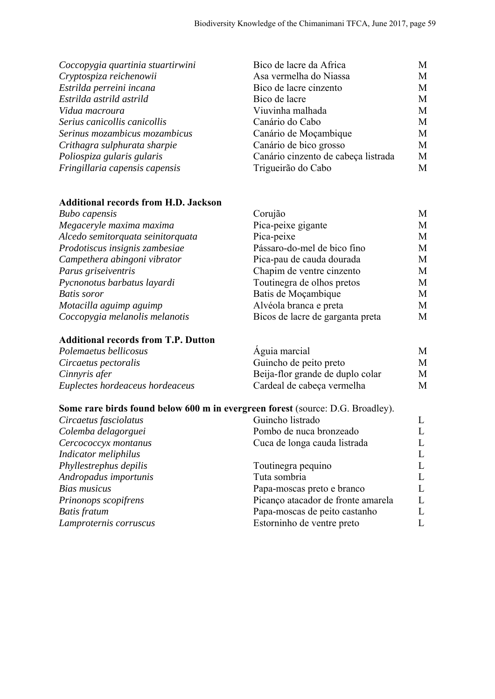| Coccopygia quartinia stuartirwini | Bico de lacre da Africa             | М |
|-----------------------------------|-------------------------------------|---|
| Cryptospiza reichenowii           | Asa vermelha do Niassa              | М |
| Estrilda perreini incana          | Bico de lacre cinzento              | M |
| Estrilda astrild astrild          | Bico de lacre                       | М |
| Vidua macroura                    | Viuvinha malhada                    | М |
| Serius canicollis canicollis      | Canário do Cabo                     | М |
| Serinus mozambicus mozambicus     | Canário de Moçambique               | М |
| Crithagra sulphurata sharpie      | Canário de bico grosso              | M |
| Poliospiza gularis gularis        | Canário cinzento de cabeça listrada | M |
| Fringillaria capensis capensis    | Trigueirão do Cabo                  | М |

### **Additional records from H.D. Jackson**

| <b>Bubo</b> capensis              | Corujão                          | М |
|-----------------------------------|----------------------------------|---|
| Megaceryle maxima maxima          | Pica-peixe gigante               | М |
| Alcedo semitorquata seinitorquata | Pica-peixe                       | M |
| Prodotiscus insignis zambesiae    | Pássaro-do-mel de bico fino      | М |
| Campethera abingoni vibrator      | Pica-pau de cauda dourada        | М |
| Parus griseiventris               | Chapim de ventre cinzento        | М |
| Pycnonotus barbatus layardi       | Toutinegra de olhos pretos       | М |
| <b>Batis</b> soror                | Batis de Moçambique              | М |
| Motacilla aguimp aguimp           | Alvéola branca e preta           | М |
| Coccopygia melanolis melanotis    | Bicos de lacre de garganta preta | М |

#### **Additional records from T.P. Dutton**

| Polemaetus bellicosus           | Aguia marcial                    | M |
|---------------------------------|----------------------------------|---|
| Circaetus pectoralis            | Guincho de peito preto           | M |
| Cinnyris afer                   | Beija-flor grande de duplo colar | М |
| Euplectes hordeaceus hordeaceus | Cardeal de cabeça vermelha       | M |

### **Some rare birds found below 600 m in evergreen forest** (source: D.G. Broadley).

| Circaetus fasciolatus  | Guincho listrado                   |   |
|------------------------|------------------------------------|---|
| Colemba delagorguei    | Pombo de nuca bronzeado            |   |
| Cercococcyx montanus   | Cuca de longa cauda listrada       | L |
| Indicator meliphilus   |                                    | L |
| Phyllestrephus depilis | Toutinegra pequino                 |   |
| Andropadus importunis  | Tuta sombria                       |   |
| <b>Bias musicus</b>    | Papa-moscas preto e branco         |   |
| Prinonops scopifrens   | Picanço atacador de fronte amarela | L |
| <b>Batis</b> fratum    | Papa-moscas de peito castanho      |   |
| Lamproternis corruscus | Estorninho de ventre preto         |   |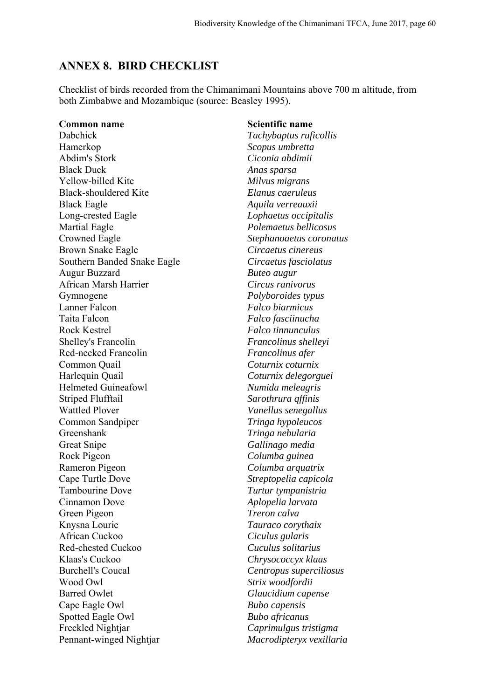#### **ANNEX 8. BIRD CHECKLIST**

Checklist of birds recorded from the Chimanimani Mountains above 700 m altitude, from both Zimbabwe and Mozambique (source: Beasley 1995).

Dabchick *Tachybaptus ruficollis*  Hamerkop *Scopus umbretta*  Abdim's Stork *Ciconia abdimii*  Black Duck *Anas sparsa*  Yellow-billed Kite *Milvus migrans* Black-shouldered Kite *Elanus caeruleus* Black Eagle *Aquila verreauxii*  Long-crested Eagle *Lophaetus occipitalis* Martial Eagle *Polemaetus bellicosus* Crowned Eagle *Stephanoaetus coronatus* Brown Snake Eagle *Circaetus cinereus* Southern Banded Snake Eagle *Circaetus fasciolatus*  Augur Buzzard *Buteo augur*  African Marsh Harrier *Circus ranivorus*  Gymnogene *Polyboroides typus*  Lanner Falcon *Falco biarmicus*  Taita Falcon *Falco fasciinucha*  Rock Kestrel *Falco tinnunculus*  Shelley's Francolin *Francolinus shelleyi*  Red-necked Francolin *Francolinus afer*  Common Quail *Coturnix coturnix* Harlequin Quail *Coturnix delegorguei* Helmeted Guineafowl *Numida meleagris*  Striped Flufftail *Sarothrura qffinis*  Wattled Plover *Vanellus senegallus*  Common Sandpiper *Tringa hypoleucos*  Greenshank *Tringa nebularia*  Great Snipe *Gallinago media*  Rock Pigeon *Columba guinea* Rameron Pigeon *Columba arquatrix* Cape Turtle Dove *Streptopelia capicola*  Tambourine Dove *Turtur tympanistria* Cinnamon Dove *Aplopelia larvata* Green Pigeon *Treron calva* Knysna Lourie *Tauraco corythaix*  African Cuckoo *Ciculus gularis*  Red-chested Cuckoo *Cuculus solitarius*  Klaas's Cuckoo *Chrysococcyx klaas*  Burchell's Coucal *Centropus superciliosus*  Wood Owl *Strix woodfordii*  Barred Owlet *Glaucidium capense* Cape Eagle Owl *Bubo capensis* Spotted Eagle Owl *Bubo africanus* Freckled Nightjar *Caprimulgus tristigma*  Pennant-winged Nightjar *Macrodipteryx vexillaria* 

#### **Common name** Scientific name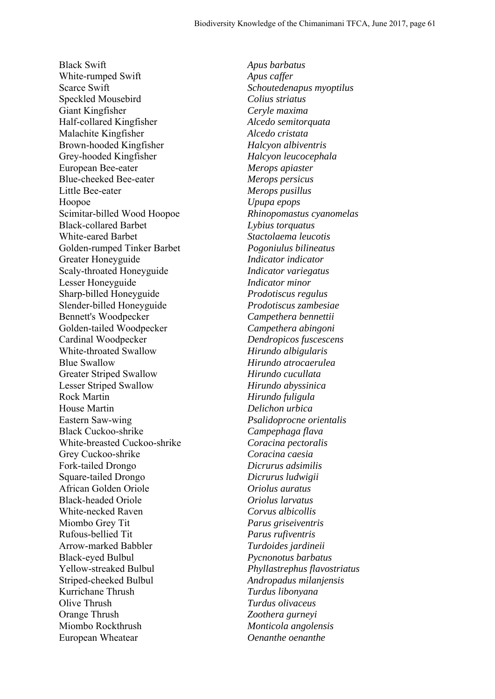Black Swift *Apus barbatus*  White-rumped Swift *Apus caffer*  Scarce Swift *Schoutedenapus myoptilus*  Speckled Mousebird *Colius striatus*  Giant Kingfisher *Ceryle maxima* Half-collared Kingfisher *Alcedo semitorquata* Malachite Kingfisher *Alcedo cristata* Brown-hooded Kingfisher *Halcyon albiventris*  Grey-hooded Kingfisher *Halcyon leucocephala*  European Bee-eater *Merops apiaster*  Blue-cheeked Bee-eater *Merops persicus*  Little Bee-eater *Merops pusillus*  Hoopoe *Upupa epops*  Scimitar-billed Wood Hoopoe *Rhinopomastus cyanomelas*  Black-collared Barbet *Lybius torquatus*  White-eared Barbet *Stactolaema leucotis*  Golden-rumped Tinker Barbet *Pogoniulus bilineatus*  Greater Honeyguide *Indicator indicator* Scaly-throated Honeyguide *Indicator variegatus* Lesser Honeyguide *Indicator minor* Sharp-billed Honeyguide *Prodotiscus regulus* Slender-billed Honeyguide *Prodotiscus zambesiae* Bennett's Woodpecker *Campethera bennettii*  Golden-tailed Woodpecker *Campethera abingoni*  Cardinal Woodpecker *Dendropicos fuscescens* White-throated Swallow *Hirundo albigularis* Blue Swallow *Hirundo atrocaerulea* Greater Striped Swallow *Hirundo cucullata* Lesser Striped Swallow *Hirundo abyssinica* Rock Martin *Hirundo fuligula* House Martin *Delichon urbica* Eastern Saw-wing *Psalidoprocne orientalis* Black Cuckoo-shrike *Campephaga flava* White-breasted Cuckoo-shrike *Coracina pectoralis* Grey Cuckoo-shrike *Coracina caesia* Fork-tailed Drongo *Dicrurus adsimilis* Square-tailed Drongo *Dicrurus ludwigii* African Golden Oriole *Oriolus auratus* Black-headed Oriole *Oriolus larvatus* White-necked Raven *Corvus albicollis* Miombo Grey Tit *Parus griseiventris* Rufous-bellied Tit *Parus rufiventris* Arrow-marked Babbler *Turdoides jardineii* Black-eyed Bulbul *Pycnonotus barbatus* Yellow-streaked Bulbul *Phyllastrephus flavostriatus* Striped-cheeked Bulbul *Andropadus milanjensis* Kurrichane Thrush *Turdus libonyana* Olive Thrush *Turdus olivaceus* Orange Thrush *Zoothera gurneyi* Miombo Rockthrush *Monticola angolensis* European Wheatear *Oenanthe oenanthe*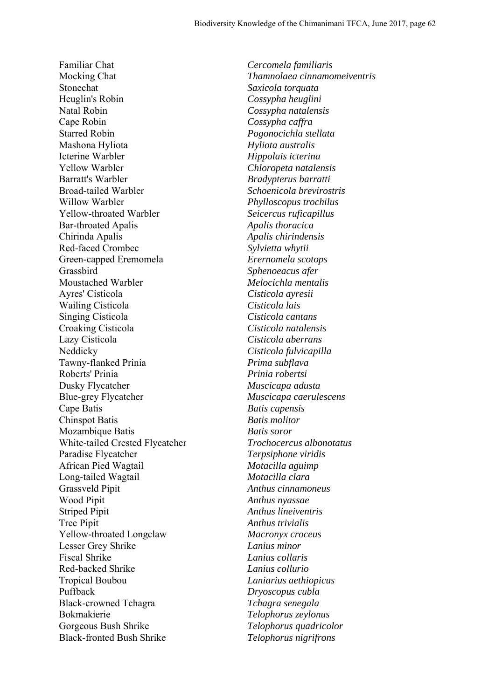Familiar Chat *Cercomela familiaris* Mocking Chat *Thamnolaea cinnamomeiventris* Stonechat *Saxicola torquata* Heuglin's Robin *Cossypha heuglini* Natal Robin *Cossypha natalensis* Cape Robin *Cossypha caffra* Starred Robin *Pogonocichla stellata* Mashona Hyliota *Hyliota australis* Icterine Warbler *Hippolais icterina* Yellow Warbler *Chloropeta natalensis* Barratt's Warbler *Bradypterus barratti* Broad-tailed Warbler *Schoenicola brevirostris* Willow Warbler *Phylloscopus trochilus* Yellow-throated Warbler *Seicercus ruficapillus* Bar-throated Apalis *Apalis thoracica* Chirinda Apalis *Apalis chirindensis* Red-faced Crombec *Sylvietta whytii* Green-capped Eremomela *Erernomela scotops* Grassbird *Sphenoeacus afer* Moustached Warbler *Melocichla mentalis* Ayres' Cisticola *Cisticola ayresii* Wailing Cisticola *Cisticola lais* Singing Cisticola *Cisticola cantans* Croaking Cisticola *Cisticola natalensis* Lazy Cisticola *Cisticola aberrans* Neddicky *Cisticola fulvicapilla* Tawny-flanked Prinia *Prima subflava* Roberts' Prinia *Prinia robertsi* Dusky Flycatcher *Muscicapa adusta* Blue-grey Flycatcher *Muscicapa caerulescens* Cape Batis *Batis capensis* Chinspot Batis *Batis molitor* Mozambique Batis *Batis soror* White-tailed Crested Flycatcher *Trochocercus albonotatus* Paradise Flycatcher *Terpsiphone viridis* African Pied Wagtail *Motacilla aguimp* Long-tailed Wagtail *Motacilla clara* Grassveld Pipit *Anthus cinnamoneus* Wood Pipit *Anthus nyassae* Striped Pipit *Anthus lineiventris* Tree Pipit *Anthus trivialis* Yellow-throated Longclaw *Macronyx croceus* Lesser Grey Shrike *Lanius minor* Fiscal Shrike *Lanius collaris* Red-backed Shrike *Lanius collurio* Tropical Boubou *Laniarius aethiopicus* Puffback *Dryoscopus cubla* Black-crowned Tchagra *Tchagra senegala* Bokmakierie *Telophorus zeylonus* Gorgeous Bush Shrike *Telophorus quadricolor* Black-fronted Bush Shrike *Telophorus nigrifrons*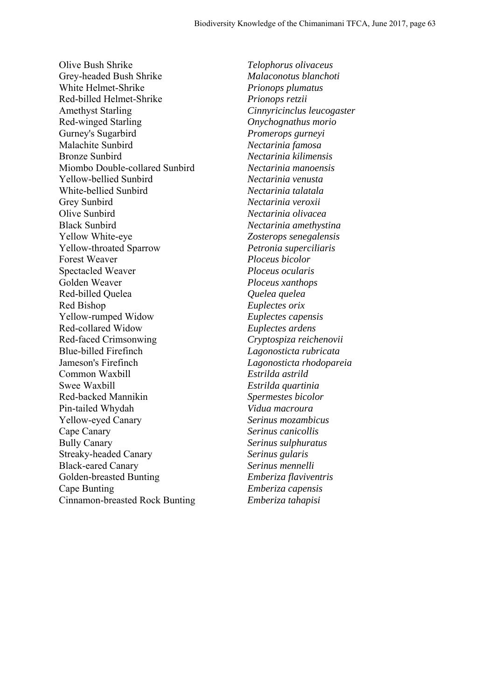Olive Bush Shrike *Telophorus olivaceus* Grey-headed Bush Shrike *Malaconotus blanchoti* White Helmet-Shrike *Prionops plumatus* Red-billed Helmet-Shrike *Prionops retzii* Amethyst Starling *Cinnyricinclus leucogaster* Red-winged Starling *Onychognathus morio* Gurney's Sugarbird *Promerops gurneyi* Malachite Sunbird *Nectarinia famosa* Bronze Sunbird *Nectarinia kilimensis* Miombo Double-collared Sunbird *Nectarinia manoensis* Yellow-bellied Sunbird *Nectarinia venusta* White-bellied Sunbird *Nectarinia talatala* Grey Sunbird *Nectarinia veroxii* Olive Sunbird *Nectarinia olivacea* Black Sunbird *Nectarinia amethystina* Yellow White-eye *Zosterops senegalensis* Yellow-throated Sparrow *Petronia superciliaris* Forest Weaver *Ploceus bicolor* Spectacled Weaver *Ploceus ocularis* Golden Weaver *Ploceus xanthops* Red-billed Quelea *Quelea quelea* Red Bishop *Euplectes orix* Yellow-rumped Widow *Euplectes capensis* Red-collared Widow *Euplectes ardens* Red-faced Crimsonwing *Cryptospiza reichenovii* Blue-billed Firefinch *Lagonosticta rubricata* Jameson's Firefinch *Lagonosticta rhodopareia* Common Waxbill *Estrilda astrild* Swee Waxbill *Estrilda quartinia* Red-backed Mannikin *Spermestes bicolor* Pin-tailed Whydah *Vidua macroura* Yellow-eyed Canary *Serinus mozambicus* Cape Canary *Serinus canicollis* Bully Canary *Serinus sulphuratus* Streaky-headed Canary *Serinus gularis* Black-eared Canary *Serinus mennelli* Golden-breasted Bunting *Emberiza flaviventris* Cape Bunting *Emberiza capensis* Cinnamon-breasted Rock Bunting *Emberiza tahapisi*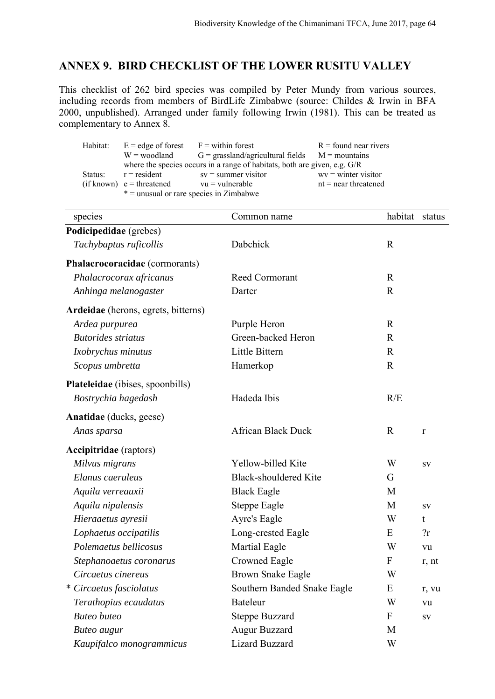## **ANNEX 9. BIRD CHECKLIST OF THE LOWER RUSITU VALLEY**

This checklist of 262 bird species was compiled by Peter Mundy from various sources, including records from members of BirdLife Zimbabwe (source: Childes & Irwin in BFA 2000, unpublished). Arranged under family following Irwin (1981). This can be treated as complementary to Annex 8.

|                                           | Habitat: $E =$ edge of forest $F =$ within forest |                                                                           | $R =$ found near rivers |
|-------------------------------------------|---------------------------------------------------|---------------------------------------------------------------------------|-------------------------|
|                                           |                                                   | $W =$ woodland $G =$ grassland/agricultural fields $M =$ mountains        |                         |
|                                           |                                                   | where the species occurs in a range of habitats, both are given, e.g. G/R |                         |
| Status:                                   |                                                   | $r =$ resident sv = summer visitor                                        | $wv =$ winter visitor   |
|                                           | $(if known)$ e = threatened vu = vulnerable       |                                                                           | $nt = near$ threatened  |
| $* =$ unusual or rare species in Zimbabwe |                                                   |                                                                           |                         |

| species                             | Common name                  | habitat      | status     |
|-------------------------------------|------------------------------|--------------|------------|
| Podicipedidae (grebes)              |                              |              |            |
| Tachybaptus ruficollis              | Dabchick                     | $\mathbb{R}$ |            |
| Phalacrocoracidae (cormorants)      |                              |              |            |
| Phalacrocorax africanus             | Reed Cormorant               | $\mathbf R$  |            |
| Anhinga melanogaster                | Darter                       | $\mathbf R$  |            |
| Ardeidae (herons, egrets, bitterns) |                              |              |            |
| Ardea purpurea                      | Purple Heron                 | $\mathbb{R}$ |            |
| <b>Butorides striatus</b>           | Green-backed Heron           | $\mathbb{R}$ |            |
| Ixobrychus minutus                  | Little Bittern               | $\mathbb{R}$ |            |
| Scopus umbretta                     | Hamerkop                     | $\mathbb{R}$ |            |
| Plateleidae (ibises, spoonbills)    |                              |              |            |
| Bostrychia hagedash                 | Hadeda Ibis                  | R/E          |            |
| Anatidae (ducks, geese)             |                              |              |            |
| Anas sparsa                         | <b>African Black Duck</b>    | $\mathbf R$  | r          |
| <b>Accipitridae</b> (raptors)       |                              |              |            |
| Milvus migrans                      | Yellow-billed Kite           | W            | ${\bf SV}$ |
| Elanus caeruleus                    | <b>Black-shouldered Kite</b> | G            |            |
| Aquila verreauxii                   | <b>Black Eagle</b>           | M            |            |
| Aquila nipalensis                   | Steppe Eagle                 | M            | ${\bf SV}$ |
| Hieraaetus ayresii                  | Ayre's Eagle                 | W            | t          |
| Lophaetus occipatilis               | Long-crested Eagle           | E            | 2r         |
| Polemaetus bellicosus               | Martial Eagle                | W            | vu         |
| Stephanoaetus coronarus             | <b>Crowned Eagle</b>         | $\mathbf{F}$ | r, nt      |
| Circaetus cinereus                  | <b>Brown Snake Eagle</b>     | W            |            |
| * Circaetus fasciolatus             | Southern Banded Snake Eagle  | E            | r, vu      |
| Terathopius ecaudatus               | <b>Bateleur</b>              | W            | vu         |
| <b>Buteo</b> buteo                  | <b>Steppe Buzzard</b>        | ${\bf F}$    | ${\bf SV}$ |
| <b>Buteo</b> augur                  | Augur Buzzard                | M            |            |
| Kaupifalco monogrammicus            | Lizard Buzzard               | W            |            |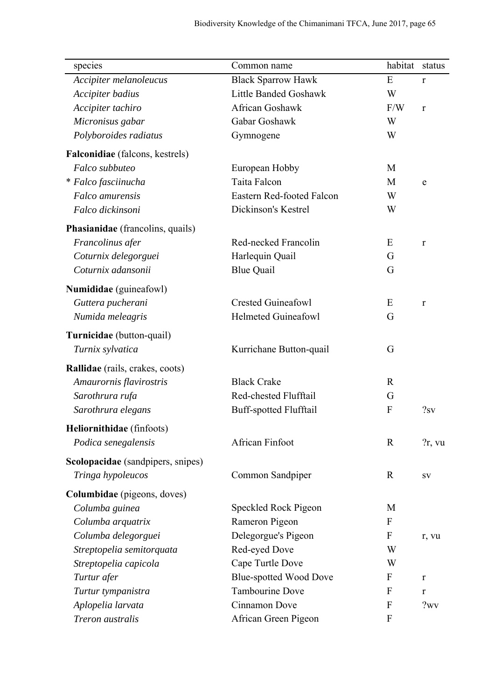| species                           | Common name                   | habitat                   | status       |
|-----------------------------------|-------------------------------|---------------------------|--------------|
| Accipiter melanoleucus            | <b>Black Sparrow Hawk</b>     | E                         | $\mathbf r$  |
| Accipiter badius                  | Little Banded Goshawk         | W                         |              |
| Accipiter tachiro                 | African Goshawk               | F/W                       | $\mathbf{r}$ |
| Micronisus gabar                  | Gabar Goshawk                 | W                         |              |
| Polyboroides radiatus             | Gymnogene                     | W                         |              |
| Falconidiae (falcons, kestrels)   |                               |                           |              |
| Falco subbuteo                    | European Hobby                | M                         |              |
| * Falco fasciinucha               | Taita Falcon                  | M                         | e            |
| Falco amurensis                   | Eastern Red-footed Falcon     | W                         |              |
| Falco dickinsoni                  | Dickinson's Kestrel           | W                         |              |
| Phasianidae (francolins, quails)  |                               |                           |              |
| Francolinus afer                  | Red-necked Francolin          | E                         | r            |
| Coturnix delegorguei              | Harlequin Quail               | G                         |              |
| Coturnix adansonii                | <b>Blue Quail</b>             | G                         |              |
| Numididae (guineafowl)            |                               |                           |              |
| Guttera pucherani                 | <b>Crested Guineafowl</b>     | E                         | r            |
| Numida meleagris                  | <b>Helmeted Guineafowl</b>    | G                         |              |
|                                   |                               |                           |              |
| Turnicidae (button-quail)         |                               |                           |              |
| Turnix sylvatica                  | Kurrichane Button-quail       | G                         |              |
| Rallidae (rails, crakes, coots)   |                               |                           |              |
| Amaurornis flavirostris           | <b>Black Crake</b>            | $\mathbf{R}$              |              |
| Sarothrura rufa                   | Red-chested Flufftail         | G                         |              |
| Sarothrura elegans                | <b>Buff-spotted Flufftail</b> | F                         | ?sv          |
| Heliornithidae (finfoots)         |                               |                           |              |
| Podica senegalensis               | <b>African Finfoot</b>        | $\mathbf R$               | $?r$ , vu    |
| Scolopacidae (sandpipers, snipes) |                               |                           |              |
| Tringa hypoleucos                 | Common Sandpiper              | $\mathbf R$               | SV           |
| Columbidae (pigeons, doves)       |                               |                           |              |
| Columba guinea                    | Speckled Rock Pigeon          | M                         |              |
| Columba arquatrix                 | Rameron Pigeon                | $\mathbf{F}$              |              |
| Columba delegorguei               | Delegorgue's Pigeon           | $\boldsymbol{\mathrm{F}}$ | r, vu        |
| Streptopelia semitorquata         | Red-eyed Dove                 | W                         |              |
| Streptopelia capicola             | Cape Turtle Dove              | W                         |              |
| Turtur afer                       | <b>Blue-spotted Wood Dove</b> | F                         | r            |
| Turtur tympanistra                | <b>Tambourine Dove</b>        | F                         | r            |
| Aplopelia larvata                 | Cinnamon Dove                 | $\mathbf{F}$              | ?wv          |
| Treron australis                  | African Green Pigeon          | F                         |              |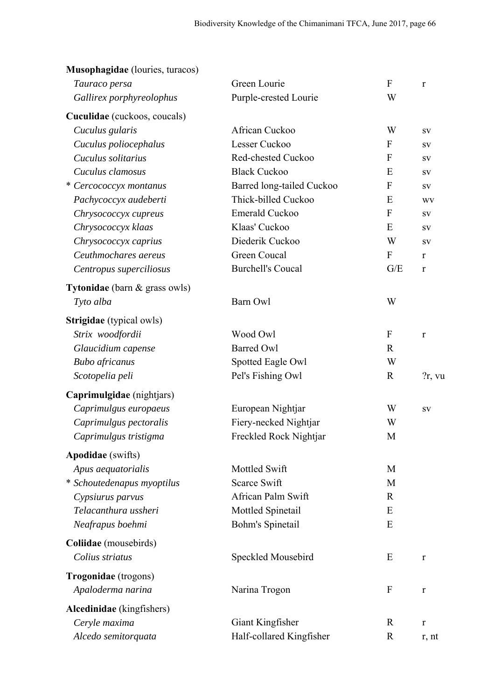| Purple-crested Lourie<br>W<br>Gallirex porphyreolophus<br>Cuculidae (cuckoos, coucals)<br>Cuculus gularis<br>African Cuckoo<br>W<br>SV<br>Lesser Cuckoo<br>$\mathbf{F}$<br>Cuculus poliocephalus<br>${\bf SV}$<br>Cuculus solitarius<br>Red-chested Cuckoo<br>$\overline{F}$<br>${\bf SV}$<br><b>Black Cuckoo</b><br>E<br>Cuculus clamosus<br>${\bf SV}$<br>* Cercococcyx montanus<br>Barred long-tailed Cuckoo<br>$\mathbf{F}$<br>SV<br>Thick-billed Cuckoo<br>Pachycoccyx audeberti<br>E<br><b>WV</b><br>Emerald Cuckoo<br>$\mathbf{F}$<br>Chrysococcyx cupreus<br>SV<br>Klaas' Cuckoo<br>E<br>Chrysococcyx klaas<br>${\bf SV}$<br>Diederik Cuckoo<br>W<br>Chrysococcyx caprius<br>${\bf SV}$<br><b>Green Coucal</b><br>Ceuthmochares aereus<br>$\boldsymbol{F}$<br>r<br><b>Burchell's Coucal</b><br>G/E<br>Centropus superciliosus<br>r<br>Tytonidae (barn & grass owls)<br>W<br>Barn Owl<br>Tyto alba<br>Strigidae (typical owls)<br>Wood Owl<br>$\mathbf{F}$<br>Strix woodfordii<br>$\mathbf r$<br><b>Barred Owl</b><br>$\mathbb{R}$<br>Glaucidium capense<br>W<br><b>Bubo</b> africanus<br>Spotted Eagle Owl<br>$\mathbf R$<br>Pel's Fishing Owl<br>Scotopelia peli<br>$?r$ , vu<br>Caprimulgidae (nightjars)<br>Caprimulgus europaeus<br>European Nightjar<br>W<br>SV<br>Fiery-necked Nightjar<br>Caprimulgus pectoralis<br>W<br>Freckled Rock Nightjar<br>Caprimulgus tristigma<br>M<br><b>Apodidae</b> (swifts)<br>Mottled Swift<br>M<br>Apus aequatorialis<br>* Schoutedenapus myoptilus<br>Scarce Swift<br>M<br>African Palm Swift<br>Cypsiurus parvus<br>$\mathbf R$<br>Telacanthura ussheri<br>Mottled Spinetail<br>E<br>Neafrapus boehmi<br>Bohm's Spinetail<br>E<br>Coliidae (mousebirds)<br>Colius striatus<br>Speckled Mousebird<br>E<br>$\bf r$<br>Trogonidae (trogons)<br>$\mathbf{F}$<br>Apaloderma narina<br>Narina Trogon<br>r<br>Alcedinidae (kingfishers)<br>Ceryle maxima<br>Giant Kingfisher<br>$\mathbf R$<br>$\bf r$ | Tauraco persa | Green Lourie             | ${\bf F}$ | $\mathbf r$ |
|--------------------------------------------------------------------------------------------------------------------------------------------------------------------------------------------------------------------------------------------------------------------------------------------------------------------------------------------------------------------------------------------------------------------------------------------------------------------------------------------------------------------------------------------------------------------------------------------------------------------------------------------------------------------------------------------------------------------------------------------------------------------------------------------------------------------------------------------------------------------------------------------------------------------------------------------------------------------------------------------------------------------------------------------------------------------------------------------------------------------------------------------------------------------------------------------------------------------------------------------------------------------------------------------------------------------------------------------------------------------------------------------------------------------------------------------------------------------------------------------------------------------------------------------------------------------------------------------------------------------------------------------------------------------------------------------------------------------------------------------------------------------------------------------------------------------------------------------------------------------------------------------------------------------------------------------------|---------------|--------------------------|-----------|-------------|
|                                                                                                                                                                                                                                                                                                                                                                                                                                                                                                                                                                                                                                                                                                                                                                                                                                                                                                                                                                                                                                                                                                                                                                                                                                                                                                                                                                                                                                                                                                                                                                                                                                                                                                                                                                                                                                                                                                                                                  |               |                          |           |             |
|                                                                                                                                                                                                                                                                                                                                                                                                                                                                                                                                                                                                                                                                                                                                                                                                                                                                                                                                                                                                                                                                                                                                                                                                                                                                                                                                                                                                                                                                                                                                                                                                                                                                                                                                                                                                                                                                                                                                                  |               |                          |           |             |
|                                                                                                                                                                                                                                                                                                                                                                                                                                                                                                                                                                                                                                                                                                                                                                                                                                                                                                                                                                                                                                                                                                                                                                                                                                                                                                                                                                                                                                                                                                                                                                                                                                                                                                                                                                                                                                                                                                                                                  |               |                          |           |             |
|                                                                                                                                                                                                                                                                                                                                                                                                                                                                                                                                                                                                                                                                                                                                                                                                                                                                                                                                                                                                                                                                                                                                                                                                                                                                                                                                                                                                                                                                                                                                                                                                                                                                                                                                                                                                                                                                                                                                                  |               |                          |           |             |
|                                                                                                                                                                                                                                                                                                                                                                                                                                                                                                                                                                                                                                                                                                                                                                                                                                                                                                                                                                                                                                                                                                                                                                                                                                                                                                                                                                                                                                                                                                                                                                                                                                                                                                                                                                                                                                                                                                                                                  |               |                          |           |             |
|                                                                                                                                                                                                                                                                                                                                                                                                                                                                                                                                                                                                                                                                                                                                                                                                                                                                                                                                                                                                                                                                                                                                                                                                                                                                                                                                                                                                                                                                                                                                                                                                                                                                                                                                                                                                                                                                                                                                                  |               |                          |           |             |
|                                                                                                                                                                                                                                                                                                                                                                                                                                                                                                                                                                                                                                                                                                                                                                                                                                                                                                                                                                                                                                                                                                                                                                                                                                                                                                                                                                                                                                                                                                                                                                                                                                                                                                                                                                                                                                                                                                                                                  |               |                          |           |             |
|                                                                                                                                                                                                                                                                                                                                                                                                                                                                                                                                                                                                                                                                                                                                                                                                                                                                                                                                                                                                                                                                                                                                                                                                                                                                                                                                                                                                                                                                                                                                                                                                                                                                                                                                                                                                                                                                                                                                                  |               |                          |           |             |
|                                                                                                                                                                                                                                                                                                                                                                                                                                                                                                                                                                                                                                                                                                                                                                                                                                                                                                                                                                                                                                                                                                                                                                                                                                                                                                                                                                                                                                                                                                                                                                                                                                                                                                                                                                                                                                                                                                                                                  |               |                          |           |             |
|                                                                                                                                                                                                                                                                                                                                                                                                                                                                                                                                                                                                                                                                                                                                                                                                                                                                                                                                                                                                                                                                                                                                                                                                                                                                                                                                                                                                                                                                                                                                                                                                                                                                                                                                                                                                                                                                                                                                                  |               |                          |           |             |
|                                                                                                                                                                                                                                                                                                                                                                                                                                                                                                                                                                                                                                                                                                                                                                                                                                                                                                                                                                                                                                                                                                                                                                                                                                                                                                                                                                                                                                                                                                                                                                                                                                                                                                                                                                                                                                                                                                                                                  |               |                          |           |             |
|                                                                                                                                                                                                                                                                                                                                                                                                                                                                                                                                                                                                                                                                                                                                                                                                                                                                                                                                                                                                                                                                                                                                                                                                                                                                                                                                                                                                                                                                                                                                                                                                                                                                                                                                                                                                                                                                                                                                                  |               |                          |           |             |
|                                                                                                                                                                                                                                                                                                                                                                                                                                                                                                                                                                                                                                                                                                                                                                                                                                                                                                                                                                                                                                                                                                                                                                                                                                                                                                                                                                                                                                                                                                                                                                                                                                                                                                                                                                                                                                                                                                                                                  |               |                          |           |             |
|                                                                                                                                                                                                                                                                                                                                                                                                                                                                                                                                                                                                                                                                                                                                                                                                                                                                                                                                                                                                                                                                                                                                                                                                                                                                                                                                                                                                                                                                                                                                                                                                                                                                                                                                                                                                                                                                                                                                                  |               |                          |           |             |
|                                                                                                                                                                                                                                                                                                                                                                                                                                                                                                                                                                                                                                                                                                                                                                                                                                                                                                                                                                                                                                                                                                                                                                                                                                                                                                                                                                                                                                                                                                                                                                                                                                                                                                                                                                                                                                                                                                                                                  |               |                          |           |             |
|                                                                                                                                                                                                                                                                                                                                                                                                                                                                                                                                                                                                                                                                                                                                                                                                                                                                                                                                                                                                                                                                                                                                                                                                                                                                                                                                                                                                                                                                                                                                                                                                                                                                                                                                                                                                                                                                                                                                                  |               |                          |           |             |
|                                                                                                                                                                                                                                                                                                                                                                                                                                                                                                                                                                                                                                                                                                                                                                                                                                                                                                                                                                                                                                                                                                                                                                                                                                                                                                                                                                                                                                                                                                                                                                                                                                                                                                                                                                                                                                                                                                                                                  |               |                          |           |             |
|                                                                                                                                                                                                                                                                                                                                                                                                                                                                                                                                                                                                                                                                                                                                                                                                                                                                                                                                                                                                                                                                                                                                                                                                                                                                                                                                                                                                                                                                                                                                                                                                                                                                                                                                                                                                                                                                                                                                                  |               |                          |           |             |
|                                                                                                                                                                                                                                                                                                                                                                                                                                                                                                                                                                                                                                                                                                                                                                                                                                                                                                                                                                                                                                                                                                                                                                                                                                                                                                                                                                                                                                                                                                                                                                                                                                                                                                                                                                                                                                                                                                                                                  |               |                          |           |             |
|                                                                                                                                                                                                                                                                                                                                                                                                                                                                                                                                                                                                                                                                                                                                                                                                                                                                                                                                                                                                                                                                                                                                                                                                                                                                                                                                                                                                                                                                                                                                                                                                                                                                                                                                                                                                                                                                                                                                                  |               |                          |           |             |
|                                                                                                                                                                                                                                                                                                                                                                                                                                                                                                                                                                                                                                                                                                                                                                                                                                                                                                                                                                                                                                                                                                                                                                                                                                                                                                                                                                                                                                                                                                                                                                                                                                                                                                                                                                                                                                                                                                                                                  |               |                          |           |             |
|                                                                                                                                                                                                                                                                                                                                                                                                                                                                                                                                                                                                                                                                                                                                                                                                                                                                                                                                                                                                                                                                                                                                                                                                                                                                                                                                                                                                                                                                                                                                                                                                                                                                                                                                                                                                                                                                                                                                                  |               |                          |           |             |
|                                                                                                                                                                                                                                                                                                                                                                                                                                                                                                                                                                                                                                                                                                                                                                                                                                                                                                                                                                                                                                                                                                                                                                                                                                                                                                                                                                                                                                                                                                                                                                                                                                                                                                                                                                                                                                                                                                                                                  |               |                          |           |             |
|                                                                                                                                                                                                                                                                                                                                                                                                                                                                                                                                                                                                                                                                                                                                                                                                                                                                                                                                                                                                                                                                                                                                                                                                                                                                                                                                                                                                                                                                                                                                                                                                                                                                                                                                                                                                                                                                                                                                                  |               |                          |           |             |
|                                                                                                                                                                                                                                                                                                                                                                                                                                                                                                                                                                                                                                                                                                                                                                                                                                                                                                                                                                                                                                                                                                                                                                                                                                                                                                                                                                                                                                                                                                                                                                                                                                                                                                                                                                                                                                                                                                                                                  |               |                          |           |             |
|                                                                                                                                                                                                                                                                                                                                                                                                                                                                                                                                                                                                                                                                                                                                                                                                                                                                                                                                                                                                                                                                                                                                                                                                                                                                                                                                                                                                                                                                                                                                                                                                                                                                                                                                                                                                                                                                                                                                                  |               |                          |           |             |
|                                                                                                                                                                                                                                                                                                                                                                                                                                                                                                                                                                                                                                                                                                                                                                                                                                                                                                                                                                                                                                                                                                                                                                                                                                                                                                                                                                                                                                                                                                                                                                                                                                                                                                                                                                                                                                                                                                                                                  |               |                          |           |             |
|                                                                                                                                                                                                                                                                                                                                                                                                                                                                                                                                                                                                                                                                                                                                                                                                                                                                                                                                                                                                                                                                                                                                                                                                                                                                                                                                                                                                                                                                                                                                                                                                                                                                                                                                                                                                                                                                                                                                                  |               |                          |           |             |
|                                                                                                                                                                                                                                                                                                                                                                                                                                                                                                                                                                                                                                                                                                                                                                                                                                                                                                                                                                                                                                                                                                                                                                                                                                                                                                                                                                                                                                                                                                                                                                                                                                                                                                                                                                                                                                                                                                                                                  |               |                          |           |             |
|                                                                                                                                                                                                                                                                                                                                                                                                                                                                                                                                                                                                                                                                                                                                                                                                                                                                                                                                                                                                                                                                                                                                                                                                                                                                                                                                                                                                                                                                                                                                                                                                                                                                                                                                                                                                                                                                                                                                                  |               |                          |           |             |
|                                                                                                                                                                                                                                                                                                                                                                                                                                                                                                                                                                                                                                                                                                                                                                                                                                                                                                                                                                                                                                                                                                                                                                                                                                                                                                                                                                                                                                                                                                                                                                                                                                                                                                                                                                                                                                                                                                                                                  |               |                          |           |             |
|                                                                                                                                                                                                                                                                                                                                                                                                                                                                                                                                                                                                                                                                                                                                                                                                                                                                                                                                                                                                                                                                                                                                                                                                                                                                                                                                                                                                                                                                                                                                                                                                                                                                                                                                                                                                                                                                                                                                                  |               |                          |           |             |
|                                                                                                                                                                                                                                                                                                                                                                                                                                                                                                                                                                                                                                                                                                                                                                                                                                                                                                                                                                                                                                                                                                                                                                                                                                                                                                                                                                                                                                                                                                                                                                                                                                                                                                                                                                                                                                                                                                                                                  |               |                          |           |             |
|                                                                                                                                                                                                                                                                                                                                                                                                                                                                                                                                                                                                                                                                                                                                                                                                                                                                                                                                                                                                                                                                                                                                                                                                                                                                                                                                                                                                                                                                                                                                                                                                                                                                                                                                                                                                                                                                                                                                                  |               |                          |           |             |
|                                                                                                                                                                                                                                                                                                                                                                                                                                                                                                                                                                                                                                                                                                                                                                                                                                                                                                                                                                                                                                                                                                                                                                                                                                                                                                                                                                                                                                                                                                                                                                                                                                                                                                                                                                                                                                                                                                                                                  |               |                          |           |             |
|                                                                                                                                                                                                                                                                                                                                                                                                                                                                                                                                                                                                                                                                                                                                                                                                                                                                                                                                                                                                                                                                                                                                                                                                                                                                                                                                                                                                                                                                                                                                                                                                                                                                                                                                                                                                                                                                                                                                                  |               |                          |           |             |
|                                                                                                                                                                                                                                                                                                                                                                                                                                                                                                                                                                                                                                                                                                                                                                                                                                                                                                                                                                                                                                                                                                                                                                                                                                                                                                                                                                                                                                                                                                                                                                                                                                                                                                                                                                                                                                                                                                                                                  |               |                          |           |             |
| $\mathbf R$<br>Alcedo semitorquata<br>r, nt                                                                                                                                                                                                                                                                                                                                                                                                                                                                                                                                                                                                                                                                                                                                                                                                                                                                                                                                                                                                                                                                                                                                                                                                                                                                                                                                                                                                                                                                                                                                                                                                                                                                                                                                                                                                                                                                                                      |               | Half-collared Kingfisher |           |             |

#### **Musophagidae** (louries, turacos)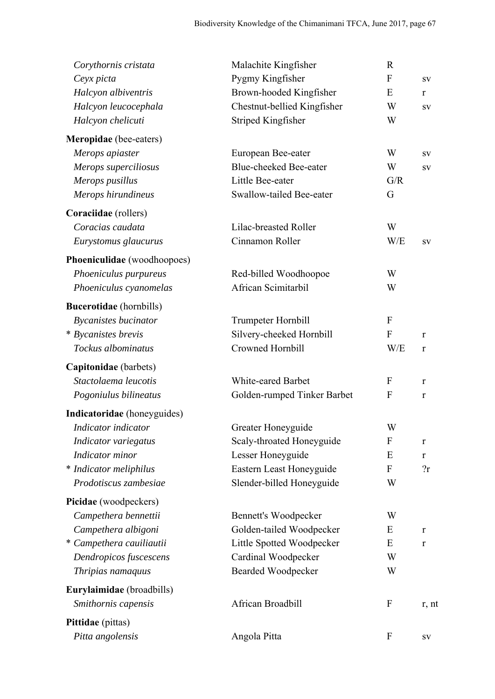| Corythornis cristata           | Malachite Kingfisher          | $\mathbf R$  |             |
|--------------------------------|-------------------------------|--------------|-------------|
| Ceyx picta                     | Pygmy Kingfisher              | $\mathbf{F}$ | SV          |
| Halcyon albiventris            | Brown-hooded Kingfisher       | E            | r           |
| Halcyon leucocephala           | Chestnut-bellied Kingfisher   | W            | SV          |
| Halcyon chelicuti              | Striped Kingfisher            | W            |             |
| Meropidae (bee-eaters)         |                               |              |             |
| Merops apiaster                | European Bee-eater            | W            | SV          |
| Merops superciliosus           | <b>Blue-cheeked Bee-eater</b> | W            | SV          |
| Merops pusillus                | Little Bee-eater              | G/R          |             |
| Merops hirundineus             | Swallow-tailed Bee-eater      | G            |             |
| Coraciidae (rollers)           |                               |              |             |
| Coracias caudata               | Lilac-breasted Roller         | W            |             |
| Eurystomus glaucurus           | Cinnamon Roller               | W/E          | SV          |
| Phoeniculidae (woodhoopoes)    |                               |              |             |
| Phoeniculus purpureus          | Red-billed Woodhoopoe         | W            |             |
| Phoeniculus cyanomelas         | African Scimitarbil           | W            |             |
| <b>Bucerotidae</b> (hornbills) |                               |              |             |
| <b>Bycanistes bucinator</b>    | Trumpeter Hornbill            | $\mathbf{F}$ |             |
| * Bycanistes brevis            | Silvery-cheeked Hornbill      | $\mathbf{F}$ | r           |
| Tockus albominatus             | Crowned Hornbill              | W/E          | $\bf r$     |
| Capitonidae (barbets)          |                               |              |             |
| Stactolaema leucotis           | <b>White-eared Barbet</b>     | $\mathbf{F}$ | r           |
| Pogoniulus bilineatus          | Golden-rumped Tinker Barbet   | F            | r           |
| Indicatoridae (honeyguides)    |                               |              |             |
| Indicator indicator            | Greater Honeyguide            | W            |             |
| Indicator variegatus           | Scaly-throated Honeyguide     | $\mathbf{F}$ | $\bf r$     |
| Indicator minor                | Lesser Honeyguide             | E            | $\bf r$     |
| * Indicator meliphilus         | Eastern Least Honeyguide      | $\mathbf F$  | 2r          |
| Prodotiscus zambesiae          | Slender-billed Honeyguide     | W            |             |
| Picidae (woodpeckers)          |                               |              |             |
| Campethera bennettii           | Bennett's Woodpecker          | W            |             |
| Campethera albigoni            | Golden-tailed Woodpecker      | E            | r           |
| * Campethera cauiliautii       | Little Spotted Woodpecker     | E            | $\mathbf r$ |
| Dendropicos fuscescens         | Cardinal Woodpecker           | W            |             |
| Thripias namaquus              | <b>Bearded Woodpecker</b>     | W            |             |
| Eurylaimidae (broadbills)      |                               |              |             |
| Smithornis capensis            | African Broadbill             | $\mathbf{F}$ | r, nt       |
| Pittidae (pittas)              |                               |              |             |
| Pitta angolensis               | Angola Pitta                  | $\mathbf{F}$ | SV          |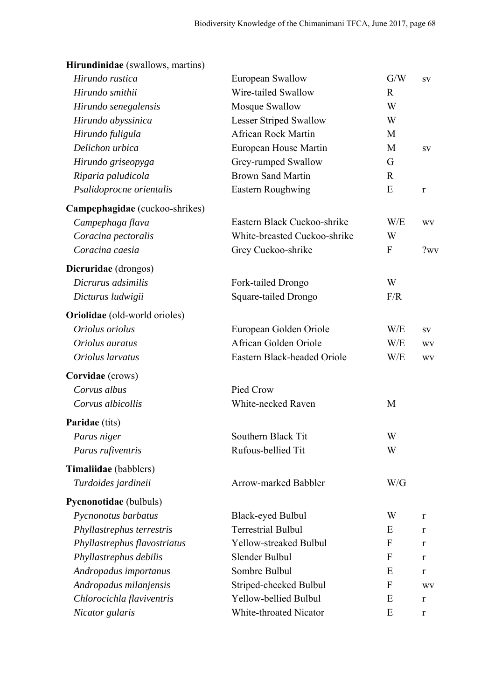# **Hirundinidae** (swallows, martins)

| Hirundo rustica                | European Swallow              | G/W          | SV           |
|--------------------------------|-------------------------------|--------------|--------------|
| Hirundo smithii                | Wire-tailed Swallow           | $\mathbf R$  |              |
| Hirundo senegalensis           | Mosque Swallow                | W            |              |
| Hirundo abyssinica             | <b>Lesser Striped Swallow</b> | W            |              |
| Hirundo fuligula               | <b>African Rock Martin</b>    | M            |              |
| Delichon urbica                | European House Martin         | M            | SV           |
| Hirundo griseopyga             | Grey-rumped Swallow           | G            |              |
| Riparia paludicola             | <b>Brown Sand Martin</b>      | R            |              |
| Psalidoprocne orientalis       | Eastern Roughwing             | E            | $\mathbf{r}$ |
| Campephagidae (cuckoo-shrikes) |                               |              |              |
| Campephaga flava               | Eastern Black Cuckoo-shrike   | W/E          | <b>WV</b>    |
| Coracina pectoralis            | White-breasted Cuckoo-shrike  | W            |              |
| Coracina caesia                | Grey Cuckoo-shrike            | $\mathbf{F}$ | ?wv          |
| Dicruridae (drongos)           |                               |              |              |
| Dicrurus adsimilis             | Fork-tailed Drongo            | W            |              |
| Dicturus ludwigii              | Square-tailed Drongo          | F/R          |              |
| Oriolidae (old-world orioles)  |                               |              |              |
| Oriolus oriolus                | European Golden Oriole        | W/E          | SV           |
| Oriolus auratus                | African Golden Oriole         | W/E          | <b>WV</b>    |
| Oriolus larvatus               | Eastern Black-headed Oriole   | W/E          | <b>WV</b>    |
| Corvidae (crows)               |                               |              |              |
| Corvus albus                   | Pied Crow                     |              |              |
| Corvus albicollis              | <b>White-necked Raven</b>     | M            |              |
| <b>Paridae</b> (tits)          |                               |              |              |
| Parus niger                    | Southern Black Tit            | W            |              |
| Parus rufiventris              | Rufous-bellied Tit            | W            |              |
| Timaliidae (babblers)          |                               |              |              |
| Turdoides jardineii            | Arrow-marked Babbler          | W/G          |              |
| Pycnonotidae (bulbuls)         |                               |              |              |
| Pycnonotus barbatus            | Black-eyed Bulbul             | W            | r            |
| Phyllastrephus terrestris      | <b>Terrestrial Bulbul</b>     | E            | r            |
| Phyllastrephus flavostriatus   | Yellow-streaked Bulbul        | F            | r            |
| Phyllastrephus debilis         | Slender Bulbul                | F            | r            |
| Andropadus importanus          | Sombre Bulbul                 | E            | $\bf r$      |
| Andropadus milanjensis         | Striped-cheeked Bulbul        | F            | <b>WV</b>    |
| Chlorocichla flaviventris      | Yellow-bellied Bulbul         | E            | r            |
| Nicator gularis                | White-throated Nicator        | E            | $\mathbf r$  |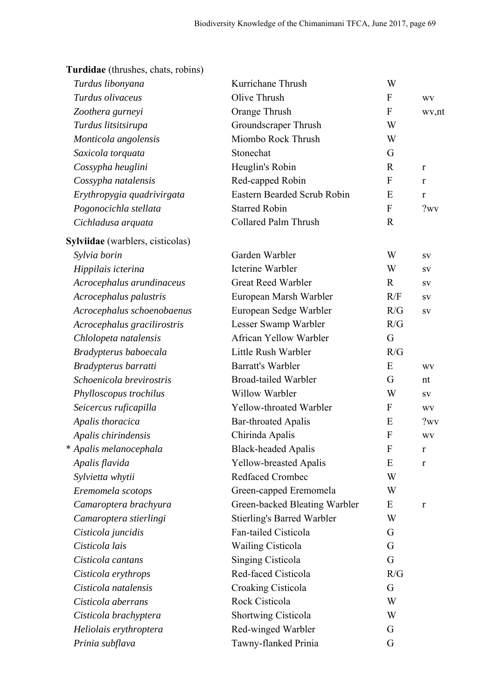| Turdus libonyana                 | Kurrichane Thrush                 | W                |              |
|----------------------------------|-----------------------------------|------------------|--------------|
| Turdus olivaceus                 | Olive Thrush                      | $\boldsymbol{F}$ | <b>WV</b>    |
| Zoothera gurneyi                 | Orange Thrush                     | $\mathbf{F}$     | wv,nt        |
| Turdus litsitsirupa              | Groundscraper Thrush              | W                |              |
| Monticola angolensis             | Miombo Rock Thrush                | W                |              |
| Saxicola torquata                | Stonechat                         | G                |              |
| Cossypha heuglini                | Heuglin's Robin                   | $\mathbb{R}$     | r            |
| Cossypha natalensis              | Red-capped Robin                  | F                | r            |
| Erythropygia quadrivirgata       | Eastern Bearded Scrub Robin       | E                | r            |
| Pogonocichla stellata            | <b>Starred Robin</b>              | ${\bf F}$        | ?wv          |
| Cichladusa arquata               | <b>Collared Palm Thrush</b>       | $\mathbf R$      |              |
| Sylviidae (warblers, cisticolas) |                                   |                  |              |
| Sylvia borin                     | Garden Warbler                    | W                | SV           |
| Hippilais icterina               | <b>Icterine Warbler</b>           | W                | SV           |
| Acrocephalus arundinaceus        | <b>Great Reed Warbler</b>         | $\mathbf R$      | SV           |
| Acrocephalus palustris           | European Marsh Warbler            | R/F              | SV           |
| Acrocephalus schoenobaenus       | European Sedge Warbler            | R/G              | SV           |
| Acrocephalus gracilirostris      | Lesser Swamp Warbler              | R/G              |              |
| Chlolopeta natalensis            | African Yellow Warbler            | G                |              |
| Bradypterus baboecala            | Little Rush Warbler               | R/G              |              |
| Bradypterus barratti             | <b>Barratt's Warbler</b>          | E                | WV           |
| Schoenicola brevirostris         | <b>Broad-tailed Warbler</b>       | G                | nt           |
| Phylloscopus trochilus           | Willow Warbler                    | W                | ${\bf SV}$   |
| Seicercus ruficapilla            | Yellow-throated Warbler           | $\boldsymbol{F}$ | <b>WV</b>    |
| Apalis thoracica                 | <b>Bar-throated Apalis</b>        | E                | ?wv          |
| Apalis chirindensis              | Chirinda Apalis                   | $\mathbf{F}$     | WV           |
| * Apalis melanocephala           | <b>Black-headed Apalis</b>        | ${\bf F}$        | r            |
| Apalis flavida                   | <b>Yellow-breasted Apalis</b>     | E                | $\mathbf{r}$ |
| Sylvietta whytii                 | <b>Redfaced Crombec</b>           | W                |              |
| Eremomela scotops                | Green-capped Eremomela            | W                |              |
| Camaroptera brachyura            | Green-backed Bleating Warbler     | E                | r            |
| Camaroptera stierlingi           | <b>Stierling's Barred Warbler</b> | W                |              |
| Cisticola juncidis               | Fan-tailed Cisticola              | G                |              |
| Cisticola lais                   | <b>Wailing Cisticola</b>          | G                |              |
| Cisticola cantans                | Singing Cisticola                 | G                |              |
| Cisticola erythrops              | Red-faced Cisticola               | R/G              |              |
| Cisticola natalensis             | Croaking Cisticola                | G                |              |
| Cisticola aberrans               | Rock Cisticola                    | W                |              |
| Cisticola brachyptera            | Shortwing Cisticola               | W                |              |
| Heliolais erythroptera           | Red-winged Warbler                | G                |              |
| Prinia subflava                  | Tawny-flanked Prinia              | G                |              |

**Turdidae** (thrushes, chats, robins)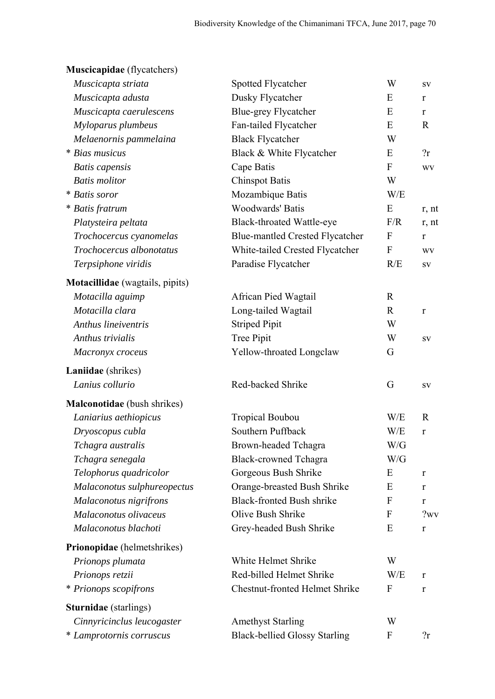| Muscicapidae (flycatchers)      |                                        |              |              |
|---------------------------------|----------------------------------------|--------------|--------------|
| Muscicapta striata              | Spotted Flycatcher                     | W            | ${\bf SV}$   |
| Muscicapta adusta               | Dusky Flycatcher                       | E            | r            |
| Muscicapta caerulescens         | <b>Blue-grey Flycatcher</b>            | E            | r            |
| Myloparus plumbeus              | Fan-tailed Flycatcher                  | E            | $\mathbf R$  |
| Melaenornis pammelaina          | <b>Black Flycatcher</b>                | W            |              |
| * Bias musicus                  | Black & White Flycatcher               | E            | 2r           |
| <b>Batis</b> capensis           | Cape Batis                             | $\mathbf{F}$ | <b>WV</b>    |
| <b>Batis</b> molitor            | <b>Chinspot Batis</b>                  | W            |              |
| * Batis soror                   | Mozambique Batis                       | W/E          |              |
| * Batis fratrum                 | <b>Woodwards' Batis</b>                | E            | r, nt        |
| Platysteira peltata             | <b>Black-throated Wattle-eye</b>       | F/R          | r, nt        |
| Trochocercus cyanomelas         | <b>Blue-mantled Crested Flycatcher</b> | $\mathbf{F}$ | $\mathbf{r}$ |
| Trochocercus albonotatus        | White-tailed Crested Flycatcher        | F            | WV           |
| Terpsiphone viridis             | Paradise Flycatcher                    | R/E          | ${\bf SV}$   |
| Motacillidae (wagtails, pipits) |                                        |              |              |
| Motacilla aguimp                | African Pied Wagtail                   | $\mathbf R$  |              |
| Motacilla clara                 | Long-tailed Wagtail                    | $\mathbf{R}$ | $\bf r$      |
| Anthus lineiventris             | <b>Striped Pipit</b>                   | W            |              |
| Anthus trivialis                | Tree Pipit                             | W            | ${\bf SV}$   |
| Macronyx croceus                | Yellow-throated Longclaw               | G            |              |
| Laniidae (shrikes)              |                                        |              |              |
| Lanius collurio                 | Red-backed Shrike                      | G            | SV           |
| Malconotidae (bush shrikes)     |                                        |              |              |
| Laniarius aethiopicus           | <b>Tropical Boubou</b>                 | W/E          | $\mathbf R$  |
| Dryoscopus cubla                | Southern Puffback                      | W/E          | $\mathbf r$  |
| Tchagra australis               | Brown-headed Tchagra                   | W/G          |              |
| Tchagra senegala                | <b>Black-crowned Tchagra</b>           | W/G          |              |
| Telophorus quadricolor          | Gorgeous Bush Shrike                   | E            | r            |
| Malaconotus sulphureopectus     | Orange-breasted Bush Shrike            | E            | $\bf r$      |
| Malaconotus nigrifrons          | <b>Black-fronted Bush shrike</b>       | $\mathbf{F}$ | $\bf r$      |
| Malaconotus olivaceus           | Olive Bush Shrike                      | F            | ?wv          |
| Malaconotus blachoti            | Grey-headed Bush Shrike                | E            | $\mathbf r$  |
| Prionopidae (helmetshrikes)     |                                        |              |              |
| Prionops plumata                | White Helmet Shrike                    | W            |              |
| Prionops retzii                 | Red-billed Helmet Shrike               | W/E          | r            |
| * Prionops scopifrons           | <b>Chestnut-fronted Helmet Shrike</b>  | $\mathbf{F}$ | $\bf r$      |
| <b>Sturnidae</b> (starlings)    |                                        |              |              |
| Cinnyricinclus leucogaster      | <b>Amethyst Starling</b>               | W            |              |
| * Lamprotornis corruscus        | <b>Black-bellied Glossy Starling</b>   | F            | 2r           |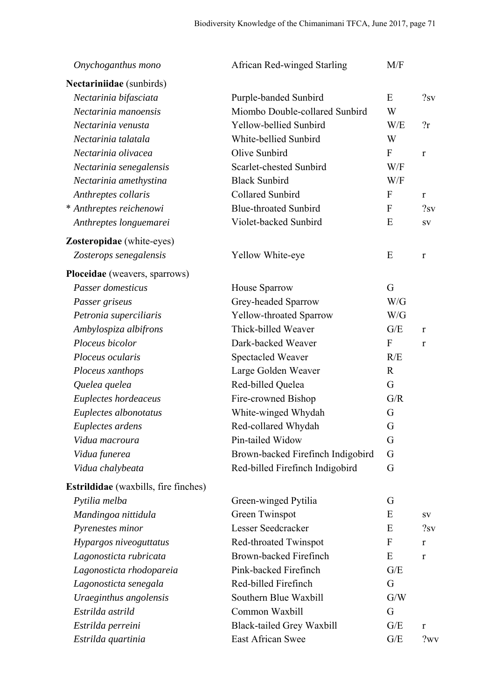| Onychoganthus mono                          | African Red-winged Starling       | M/F          |              |
|---------------------------------------------|-----------------------------------|--------------|--------------|
| Nectariniidae (sunbirds)                    |                                   |              |              |
| Nectarinia bifasciata                       | Purple-banded Sunbird             | E            | ?sv          |
| Nectarinia manoensis                        | Miombo Double-collared Sunbird    | W            |              |
| Nectarinia venusta                          | Yellow-bellied Sunbird            | W/E          | 2r           |
| Nectarinia talatala                         | White-bellied Sunbird             | W            |              |
| Nectarinia olivacea                         | Olive Sunbird                     | $\mathbf F$  | $\mathbf{r}$ |
| Nectarinia senegalensis                     | Scarlet-chested Sunbird           | W/F          |              |
| Nectarinia amethystina                      | <b>Black Sunbird</b>              | W/F          |              |
| Anthreptes collaris                         | Collared Sunbird                  | $\mathbf{F}$ | $\bf r$      |
| * Anthreptes reichenowi                     | <b>Blue-throated Sunbird</b>      | $\mathbf{F}$ | ?sv          |
| Anthreptes longuemarei                      | Violet-backed Sunbird             | E            | SV           |
| Zosteropidae (white-eyes)                   |                                   |              |              |
| Zosterops senegalensis                      | Yellow White-eye                  | E            | $\mathbf{r}$ |
| Ploceidae (weavers, sparrows)               |                                   |              |              |
| Passer domesticus                           | House Sparrow                     | G            |              |
| Passer griseus                              | Grey-headed Sparrow               | W/G          |              |
| Petronia superciliaris                      | Yellow-throated Sparrow           | W/G          |              |
| Ambylospiza albifrons                       | Thick-billed Weaver               | G/E          | $\bf r$      |
| Ploceus bicolor                             | Dark-backed Weaver                | $\mathbf F$  | r            |
| Ploceus ocularis                            | Spectacled Weaver                 | R/E          |              |
| Ploceus xanthops                            | Large Golden Weaver               | $\mathbf R$  |              |
| Quelea quelea                               | Red-billed Quelea                 | G            |              |
| Euplectes hordeaceus                        | Fire-crowned Bishop               | G/R          |              |
| Euplectes albonotatus                       | White-winged Whydah               | G            |              |
| Euplectes ardens                            | Red-collared Whydah               | G            |              |
| Vidua macroura                              | Pin-tailed Widow                  | G            |              |
| Vidua funerea                               | Brown-backed Firefinch Indigobird | G            |              |
| Vidua chalybeata                            | Red-billed Firefinch Indigobird   | G            |              |
| <b>Estrildidae</b> (waxbills, fire finches) |                                   |              |              |
| Pytilia melba                               | Green-winged Pytilia              | G            |              |
| Mandingoa nittidula                         | Green Twinspot                    | E            | SV           |
| Pyrenestes minor                            | Lesser Seedcracker                | E            | ?sv          |
| Hypargos niveoguttatus                      | Red-throated Twinspot             | F            | $\mathbf{r}$ |
| Lagonosticta rubricata                      | Brown-backed Firefinch            | E            | r            |
| Lagonosticta rhodopareia                    | Pink-backed Firefinch             | G/E          |              |
| Lagonosticta senegala                       | Red-billed Firefinch              | G            |              |
| Uraeginthus angolensis                      | Southern Blue Waxbill             | G/W          |              |
| Estrilda astrild                            | Common Waxbill                    | G            |              |
| Estrilda perreini                           | <b>Black-tailed Grey Waxbill</b>  | G/E          | r            |
| Estrilda quartinia                          | East African Swee                 | G/E          | ?wv          |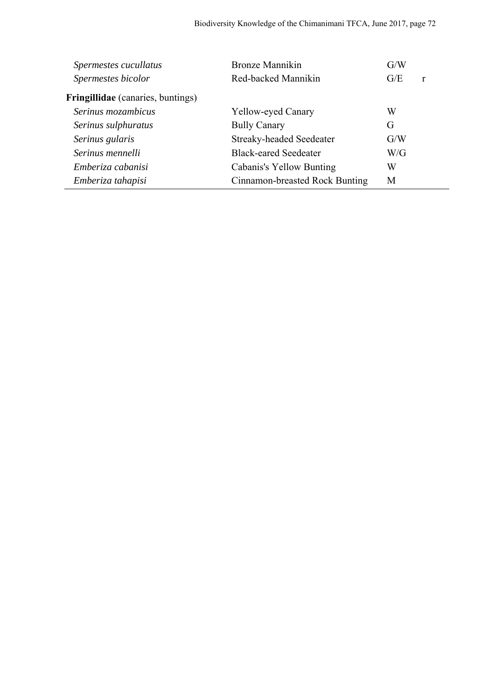| Spermestes cucullatus             | Bronze Mannikin                 | G/W |              |
|-----------------------------------|---------------------------------|-----|--------------|
| Spermestes bicolor                | Red-backed Mannikin             | G/E | $\mathbf{r}$ |
| Fringillidae (canaries, buntings) |                                 |     |              |
| Serinus mozambicus                | Yellow-eyed Canary              | W   |              |
| Serinus sulphuratus               | <b>Bully Canary</b>             | G   |              |
| Serinus gularis                   | <b>Streaky-headed Seedeater</b> | G/W |              |
| Serinus mennelli                  | <b>Black-eared Seedeater</b>    | W/G |              |
| Emberiza cabanisi                 | Cabanis's Yellow Bunting        | W   |              |
| Emberiza tahapisi                 | Cinnamon-breasted Rock Bunting  | M   |              |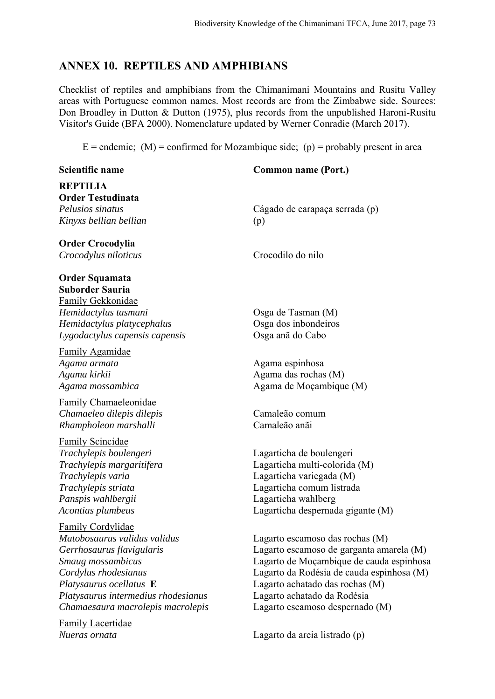# **ANNEX 10. REPTILES AND AMPHIBIANS**

Checklist of reptiles and amphibians from the Chimanimani Mountains and Rusitu Valley areas with Portuguese common names. Most records are from the Zimbabwe side. Sources: Don Broadley in Dutton & Dutton (1975), plus records from the unpublished Haroni-Rusitu Visitor's Guide (BFA 2000). Nomenclature updated by Werner Conradie (March 2017).

 $E =$  endemic; (M) = confirmed for Mozambique side; (p) = probably present in area

| <b>Scientific name</b>                                                                                                                                                | <b>Common name (Port.)</b>                                                                                                                                                     |
|-----------------------------------------------------------------------------------------------------------------------------------------------------------------------|--------------------------------------------------------------------------------------------------------------------------------------------------------------------------------|
| <b>REPTILIA</b>                                                                                                                                                       |                                                                                                                                                                                |
| <b>Order Testudinata</b><br>Pelusios sinatus                                                                                                                          |                                                                                                                                                                                |
| Kinyxs bellian bellian                                                                                                                                                | Cágado de carapaça serrada (p)<br>(p)                                                                                                                                          |
| <b>Order Crocodylia</b>                                                                                                                                               |                                                                                                                                                                                |
| Crocodylus niloticus                                                                                                                                                  | Crocodilo do nilo                                                                                                                                                              |
| <b>Order Squamata</b><br><b>Suborder Sauria</b><br>Family Gekkonidae                                                                                                  |                                                                                                                                                                                |
| Hemidactylus tasmani                                                                                                                                                  | Osga de Tasman (M)                                                                                                                                                             |
| Hemidactylus platycephalus                                                                                                                                            | Osga dos inbondeiros                                                                                                                                                           |
| Lygodactylus capensis capensis                                                                                                                                        | Osga anã do Cabo                                                                                                                                                               |
| <b>Family Agamidae</b><br>Agama armata<br>Agama kirkii<br>Agama mossambica                                                                                            | Agama espinhosa<br>Agama das rochas (M)<br>Agama de Moçambique (M)                                                                                                             |
| Family Chamaeleonidae<br>Chamaeleo dilepis dilepis<br>Rhampholeon marshalli                                                                                           | Camaleão comum<br>Camaleão anãi                                                                                                                                                |
| <b>Family Scincidae</b><br>Trachylepis boulengeri<br>Trachylepis margaritifera<br>Trachylepis varia<br>Trachylepis striata<br>Panspis wahlbergii<br>Acontias plumbeus | Lagarticha de boulengeri<br>Lagarticha multi-colorida (M)<br>Lagarticha variegada (M)<br>Lagarticha comum listrada<br>Lagarticha wahlberg<br>Lagarticha despernada gigante (M) |
| <b>Family Cordylidae</b>                                                                                                                                              |                                                                                                                                                                                |
| Matobosaurus validus validus                                                                                                                                          | Lagarto escamoso das rochas (M)                                                                                                                                                |
| Gerrhosaurus flavigularis                                                                                                                                             | Lagarto escamoso de garganta amarela (M)                                                                                                                                       |
| Smaug mossambicus                                                                                                                                                     | Lagarto de Moçambique de cauda espinhosa                                                                                                                                       |
| Cordylus rhodesianus                                                                                                                                                  | Lagarto da Rodésia de cauda espinhosa (M)                                                                                                                                      |
| Platysaurus ocellatus E                                                                                                                                               | Lagarto achatado das rochas (M)                                                                                                                                                |
| Platysaurus intermedius rhodesianus                                                                                                                                   | Lagarto achatado da Rodésia                                                                                                                                                    |
| Chamaesaura macrolepis macrolepis                                                                                                                                     | Lagarto escamoso despernado (M)                                                                                                                                                |
| <b>Family Lacertidae</b><br>Nueras ornata                                                                                                                             | Lagarto da areia listrado (p)                                                                                                                                                  |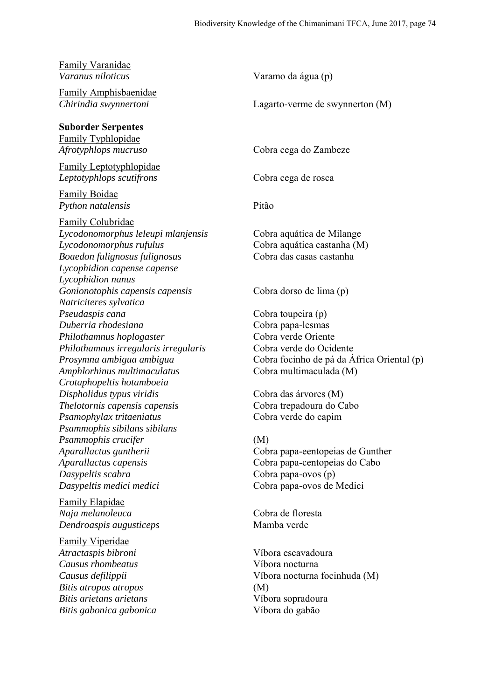| Family Varanidae<br>Varanus niloticus                                          | Varamo da água (p)                                                    |
|--------------------------------------------------------------------------------|-----------------------------------------------------------------------|
| Family Amphisbaenidae<br>Chirindia swynnertoni                                 | Lagarto-verme de swynnerton (M)                                       |
| <b>Suborder Serpentes</b>                                                      |                                                                       |
| <b>Family Typhlopidae</b><br>Afrotyphlops mucruso                              | Cobra cega do Zambeze                                                 |
| <b>Family Leptotyphlopidae</b><br>Leptotyphlops scutifrons                     | Cobra cega de rosca                                                   |
| <b>Family Boidae</b><br>Python natalensis                                      | Pitão                                                                 |
| <b>Family Colubridae</b><br>Lycodonomorphus leleupi mlanjensis                 | Cobra aquática de Milange                                             |
| Lycodonomorphus rufulus                                                        | Cobra aquática castanha (M)<br>Cobra das casas castanha               |
| Boaedon fulignosus fulignosus<br>Lycophidion capense capense                   |                                                                       |
| Lycophidion nanus<br>Gonionotophis capensis capensis<br>Natriciteres sylvatica | Cobra dorso de lima (p)                                               |
| Pseudaspis cana<br>Duberria rhodesiana                                         | Cobra toupeira (p)<br>Cobra papa-lesmas                               |
| Philothamnus hoplogaster<br>Philothamnus irregularis irregularis               | Cobra verde Oriente<br>Cobra verde do Ocidente                        |
| Prosymna ambigua ambigua<br>Amphlorhinus multimaculatus                        | Cobra focinho de pá da África Oriental (p)<br>Cobra multimaculada (M) |
| Crotaphopeltis hotamboeia<br>Dispholidus typus viridis                         | Cobra das árvores (M)                                                 |
| Thelotornis capensis capensis<br>Psamophylax tritaeniatus                      | Cobra trepadoura do Cabo<br>Cobra verde do capim                      |
| Psammophis sibilans sibilans<br>Psammophis crucifer                            | (M)                                                                   |
| Aparallactus guntherii<br>Aparallactus capensis                                | Cobra papa-eentopeias de Gunther<br>Cobra papa-centopeias do Cabo     |
| Dasypeltis scabra<br>Dasypeltis medici medici                                  | Cobra papa-ovos (p)<br>Cobra papa-ovos de Medici                      |
| <b>Family Elapidae</b>                                                         |                                                                       |
| Naja melanoleuca<br>Dendroaspis augusticeps                                    | Cobra de floresta<br>Mamba verde                                      |
| <b>Family Viperidae</b><br>Atractaspis bibroni                                 | Víbora escavadoura                                                    |
| Causus rhombeatus<br>Causus defilippii                                         | Víbora nocturna<br>Víbora nocturna focinhuda (M)                      |
| Bitis atropos atropos<br>Bitis arietans arietans                               | (M)<br>Víbora sopradoura                                              |
| Bitis gabonica gabonica                                                        | Víbora do gabão                                                       |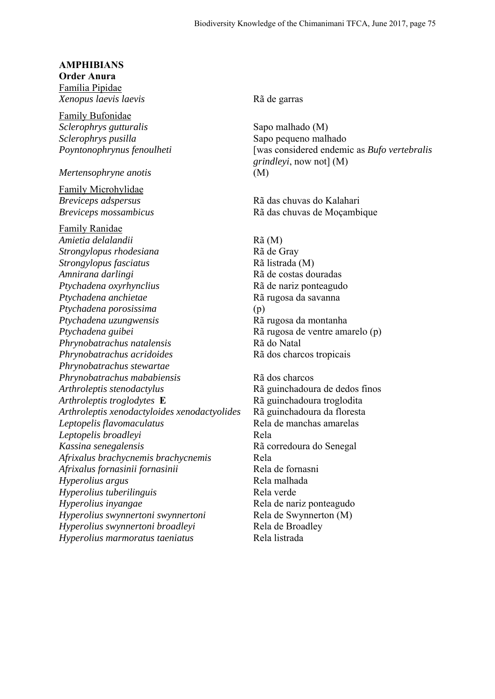#### **AMPHIBIANS**

**Order Anura**  Família Pipidae *Xenopus laevis laevis* Rã de garras

Family Bufonidae *Sclerophrys gutturalis* Sapo malhado (M) *Sclerophrys pusilla* Sapo pequeno malhado

*Mertensophryne anotis* (M)

Family Microhylidae *Breviceps adspersus* Rã das chuvas do Kalahari

Family Ranidae *Amietia delalandii* Rã (M) *Strongylopus rhodesiana* Rã de Gray *Strongylopus fasciatus* Rã listrada (M) *Amnirana darlingi* Rã de costas douradas *Ptychadena oxyrhynclius* Rã de nariz ponteagudo *Ptychadena anchietae* Rã rugosa da savanna *Ptychadena porosissima* (p) *Ptychadena uzungwensis* Rã rugosa da montanha *Ptychadena guibei* Rã rugosa de ventre amarelo (p) *Phrynobatrachus natalensis* Rã do Natal *Phrynobatrachus acridoides* Rã dos charcos tropicais *Phrynobatrachus stewartae Phrynobatrachus mababiensis* Rã dos charcos *Arthroleptis stenodactylus* Rã guinchadoura de dedos finos *Arthroleptis troglodytes* **E** Rã guinchadoura troglodita *Arthroleptis xenodactyloides xenodactyolides* Rã guinchadoura da floresta *Leptopelis flavomaculatus* Rela de manchas amarelas *Leptopelis broadleyi* Rela *Kassina senegalensis* Rã corredoura do Senegal *Afrixalus brachycnemis brachycnemis* Rela *Afrixalus fornasinii fornasinii* Rela de fornasni *Hyperolius argus* Rela malhada *Hyperolius tuberilinguis* Rela verde *Hyperolius inyangae* Rela de nariz ponteagudo *Hyperolius swynnertoni swynnertoni* Rela de Swynnerton (M) *Hyperolius swynnertoni broadleyi* Rela de Broadley *Hyperolius marmoratus taeniatus* Rela listrada

*Poyntonophrynus fenoulheti* [was considered endemic as *Bufo vertebralis grindleyi*, now not] (M)

*Breviceps mossambicus* Rã das chuvas de Moçambique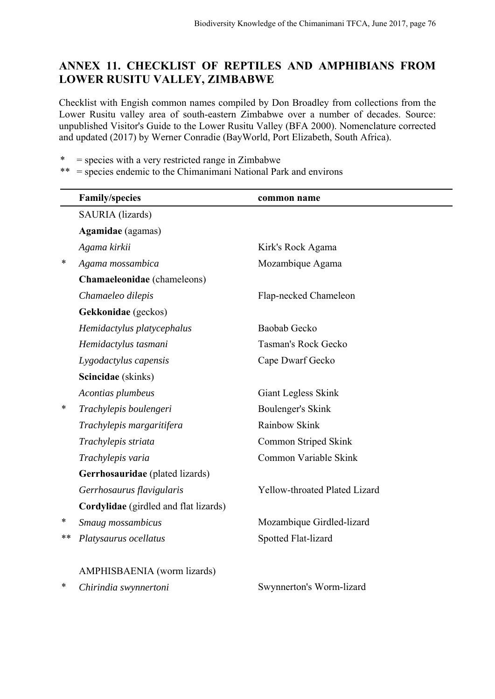# **ANNEX 11. CHECKLIST OF REPTILES AND AMPHIBIANS FROM LOWER RUSITU VALLEY, ZIMBABWE**

Checklist with Engish common names compiled by Don Broadley from collections from the Lower Rusitu valley area of south-eastern Zimbabwe over a number of decades. Source: unpublished Visitor's Guide to the Lower Rusitu Valley (BFA 2000). Nomenclature corrected and updated (2017) by Werner Conradie (BayWorld, Port Elizabeth, South Africa).

 $*$  = species with a very restricted range in Zimbabwe

 $**$  = species endemic to the Chimanimani National Park and environs

|    | <b>Family/species</b>                 | common name                   |
|----|---------------------------------------|-------------------------------|
|    | SAURIA (lizards)                      |                               |
|    | <b>Agamidae</b> (agamas)              |                               |
|    | Agama kirkii                          | Kirk's Rock Agama             |
| ∗  | Agama mossambica                      | Mozambique Agama              |
|    | Chamaeleonidae (chameleons)           |                               |
|    | Chamaeleo dilepis                     | Flap-necked Chameleon         |
|    | Gekkonidae (geckos)                   |                               |
|    | Hemidactylus platycephalus            | Baobab Gecko                  |
|    | Hemidactylus tasmani                  | Tasman's Rock Gecko           |
|    | Lygodactylus capensis                 | Cape Dwarf Gecko              |
|    | Scincidae (skinks)                    |                               |
|    | Acontias plumbeus                     | Giant Legless Skink           |
| ∗  | Trachylepis boulengeri                | <b>Boulenger's Skink</b>      |
|    | Trachylepis margaritifera             | Rainbow Skink                 |
|    | Trachylepis striata                   | Common Striped Skink          |
|    | Trachylepis varia                     | Common Variable Skink         |
|    | Gerrhosauridae (plated lizards)       |                               |
|    | Gerrhosaurus flavigularis             | Yellow-throated Plated Lizard |
|    | Cordylidae (girdled and flat lizards) |                               |
| ∗  | Smaug mossambicus                     | Mozambique Girdled-lizard     |
| ** | Platysaurus ocellatus                 | Spotted Flat-lizard           |
|    | AMPHISBAENIA (worm lizards)           |                               |
| *  | Chirindia swynnertoni                 | Swynnerton's Worm-lizard      |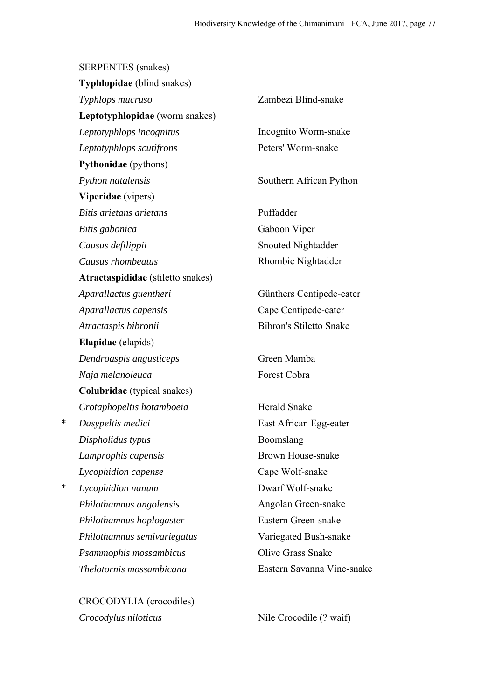SERPENTES (snakes)

|   | <b>Typhlopidae</b> (blind snakes)  |                                |
|---|------------------------------------|--------------------------------|
|   | Typhlops mucruso                   | Zambezi Blind-snake            |
|   | Leptotyphlopidae (worm snakes)     |                                |
|   | Leptotyphlops incognitus           | Incognito Worm-snake           |
|   | Leptotyphlops scutifrons           | Peters' Worm-snake             |
|   | <b>Pythonidae</b> (pythons)        |                                |
|   | Python natalensis                  | Southern African Python        |
|   | Viperidae (vipers)                 |                                |
|   | Bitis arietans arietans            | Puffadder                      |
|   | Bitis gabonica                     | Gaboon Viper                   |
|   | Causus defilippii                  | <b>Snouted Nightadder</b>      |
|   | Causus rhombeatus                  | Rhombic Nightadder             |
|   | Atractaspididae (stiletto snakes)  |                                |
|   | Aparallactus guentheri             | Günthers Centipede-eater       |
|   | Aparallactus capensis              | Cape Centipede-eater           |
|   | Atractaspis bibronii               | <b>Bibron's Stiletto Snake</b> |
|   | <b>Elapidae</b> (elapids)          |                                |
|   | Dendroaspis angusticeps            | Green Mamba                    |
|   | Naja melanoleuca                   | Forest Cobra                   |
|   | <b>Colubridae</b> (typical snakes) |                                |
|   | Crotaphopeltis hotamboeia          | Herald Snake                   |
| * | Dasypeltis medici                  | East African Egg-eater         |
|   | Dispholidus typus                  | Boomslang                      |
|   | Lamprophis capensis                | <b>Brown House-snake</b>       |
|   | Lycophidion capense                | Cape Wolf-snake                |
| * | Lycophidion nanum                  | Dwarf Wolf-snake               |
|   | Philothamnus angolensis            | Angolan Green-snake            |
|   | Philothamnus hoplogaster           | Eastern Green-snake            |
|   | Philothamnus semivariegatus        | Variegated Bush-snake          |
|   | Psammophis mossambicus             | <b>Olive Grass Snake</b>       |
|   | Thelotornis mossambicana           | Eastern Savanna Vine-snake     |
|   |                                    |                                |

CROCODYLIA (crocodiles) *Crocodylus niloticus* Nile Crocodile (? waif)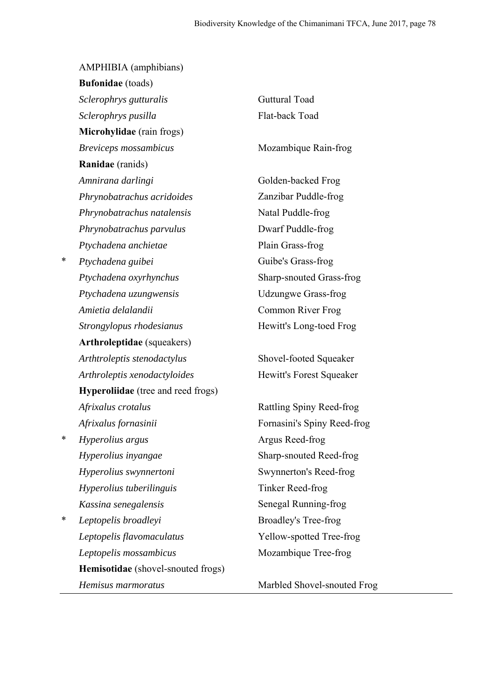AMPHIBIA (amphibians) **Bufonidae** (toads) *Sclerophrys gutturalis* Guttural Toad *Sclerophrys pusilla* Flat-back Toad **Microhylidae** (rain frogs) *Breviceps mossambicus* Mozambique Rain-frog **Ranidae** (ranids) *Amnirana darlingi* Golden-backed Frog *Phrynobatrachus acridoides* Zanzibar Puddle-frog *Phrynobatrachus natalensis* Natal Puddle-frog *Phrynobatrachus parvulus* Dwarf Puddle-frog *Ptychadena anchietae* Plain Grass-frog \* *Ptychadena guibei* Guibe's Grass-frog *Ptychadena oxyrhynchus* Sharp-snouted Grass-frog *Ptychadena uzungwensis* Udzungwe Grass-frog *Amietia delalandii* Common River Frog *Strongylopus rhodesianus* Hewitt's Long-toed Frog **Arthroleptidae** (squeakers) *Arthtroleptis stenodactylus* Shovel-footed Squeaker *Arthroleptis xenodactyloides* Hewitt's Forest Squeaker **Hyperoliidae** (tree and reed frogs) *Afrixalus crotalus* Rattling Spiny Reed-frog *Afrixalus fornasinii* Fornasini's Spiny Reed-frog \* *Hyperolius argus* Argus Reed-frog *Hyperolius inyangae* Sharp-snouted Reed-frog *Hyperolius swynnertoni* Swynnerton's Reed-frog *Hyperolius tuberilinguis* Tinker Reed-frog *Kassina senegalensis* Senegal Running-frog \* *Leptopelis broadleyi* Broadley's Tree-frog *Leptopelis flavomaculatus* Yellow-spotted Tree-frog

**Hemisotidae** (shovel-snouted frogs)

*Leptopelis mossambicus* Mozambique Tree-frog

*Hemisus marmoratus* Marbled Shovel-snouted Frog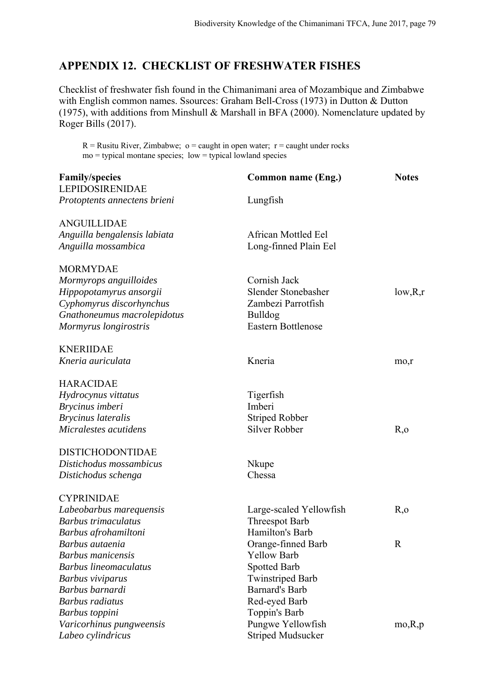# **APPENDIX 12. CHECKLIST OF FRESHWATER FISHES**

Checklist of freshwater fish found in the Chimanimani area of Mozambique and Zimbabwe with English common names. Ssources: Graham Bell-Cross (1973) in Dutton & Dutton (1975), with additions from Minshull & Marshall in BFA (2000). Nomenclature updated by Roger Bills (2017).

 $R =$  Rusitu River, Zimbabwe; o = caught in open water; r = caught under rocks  $mo = typical montane species; low = typical lowland species$ 

| <b>Family/species</b><br><b>LEPIDOSIRENIDAE</b> | Common name (Eng.)         | <b>Notes</b> |
|-------------------------------------------------|----------------------------|--------------|
| Protoptents annectens brieni                    | Lungfish                   |              |
| ANGUILLIDAE                                     |                            |              |
| Anguilla bengalensis labiata                    | <b>African Mottled Eel</b> |              |
| Anguilla mossambica                             | Long-finned Plain Eel      |              |
| <b>MORMYDAE</b>                                 |                            |              |
| Mormyrops anguilloides                          | Cornish Jack               |              |
| Hippopotamyrus ansorgii                         | Slender Stonebasher        | low, R,r     |
| Cyphomyrus discorhynchus                        | Zambezi Parrotfish         |              |
| Gnathoneumus macrolepidotus                     | Bulldog                    |              |
| Mormyrus longirostris                           | <b>Eastern Bottlenose</b>  |              |
| <b>KNERIIDAE</b>                                |                            |              |
| Kneria auriculata                               | Kneria                     | mo,r         |
| <b>HARACIDAE</b>                                |                            |              |
| Hydrocynus vittatus                             | Tigerfish                  |              |
| Brycinus imberi                                 | Imberi                     |              |
| <b>Brycinus lateralis</b>                       | <b>Striped Robber</b>      |              |
| Micralestes acutidens                           | <b>Silver Robber</b>       | R, o         |
| <b>DISTICHODONTIDAE</b>                         |                            |              |
| Distichodus mossambicus                         | Nkupe                      |              |
| Distichodus schenga                             | Chessa                     |              |
| <b>CYPRINIDAE</b>                               |                            |              |
| Labeobarbus marequensis                         | Large-scaled Yellowfish    | R, o         |
| Barbus trimaculatus                             | <b>Threespot Barb</b>      |              |
| Barbus afrohamiltoni                            | Hamilton's Barb            |              |
| Barbus autaenia                                 | Orange-finned Barb         | R            |
| <b>Barbus</b> manicensis                        | <b>Yellow Barb</b>         |              |
| <b>Barbus lineomaculatus</b>                    | <b>Spotted Barb</b>        |              |
| Barbus viviparus                                | <b>Twinstriped Barb</b>    |              |
| Barbus barnardi                                 | <b>Barnard's Barb</b>      |              |
| <b>Barbus</b> radiatus                          | Red-eyed Barb              |              |
| Barbus toppini                                  | Toppin's Barb              |              |
| Varicorhinus pungweensis                        | Pungwe Yellowfish          | mo, R, p     |
| Labeo cylindricus                               | <b>Striped Mudsucker</b>   |              |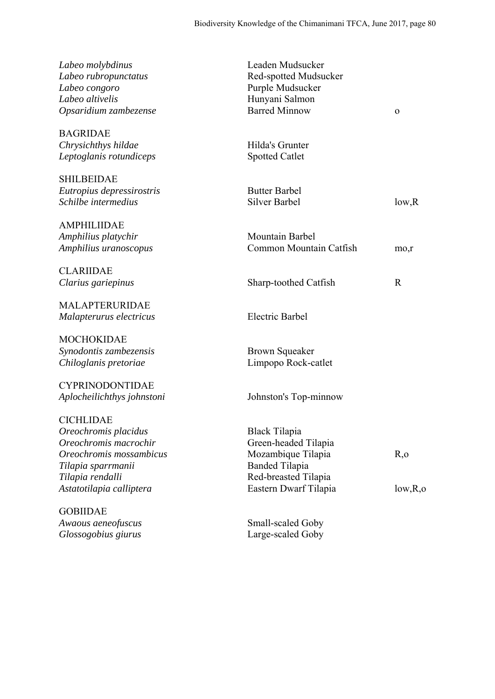| Labeo molybdinus           | Leaden Mudsucker        |              |
|----------------------------|-------------------------|--------------|
| Labeo rubropunctatus       | Red-spotted Mudsucker   |              |
| Labeo congoro              | Purple Mudsucker        |              |
| Labeo altivelis            | Hunyani Salmon          |              |
| Opsaridium zambezense      | <b>Barred Minnow</b>    | $\mathbf{o}$ |
| <b>BAGRIDAE</b>            |                         |              |
| Chrysichthys hildae        | Hilda's Grunter         |              |
| Leptoglanis rotundiceps    | <b>Spotted Catlet</b>   |              |
| <b>SHILBEIDAE</b>          |                         |              |
| Eutropius depressirostris  | <b>Butter Barbel</b>    |              |
| Schilbe intermedius        | <b>Silver Barbel</b>    | low, R       |
| <b>AMPHILIIDAE</b>         |                         |              |
| Amphilius platychir        | Mountain Barbel         |              |
| Amphilius uranoscopus      | Common Mountain Catfish | mo,r         |
| <b>CLARIIDAE</b>           |                         |              |
| Clarius gariepinus         | Sharp-toothed Catfish   | $\mathbf R$  |
| <b>MALAPTERURIDAE</b>      |                         |              |
| Malapterurus electricus    | <b>Electric Barbel</b>  |              |
| <b>MOCHOKIDAE</b>          |                         |              |
| Synodontis zambezensis     | <b>Brown Squeaker</b>   |              |
| Chiloglanis pretoriae      | Limpopo Rock-catlet     |              |
| <b>CYPRINODONTIDAE</b>     |                         |              |
| Aplocheilichthys johnstoni | Johnston's Top-minnow   |              |
| <b>CICHLIDAE</b>           |                         |              |
| Oreochromis placidus       | <b>Black Tilapia</b>    |              |
| Oreochromis macrochir      | Green-headed Tilapia    |              |
| Oreochromis mossambicus    | Mozambique Tilapia      | R, o         |
| Tilapia sparrmanii         | <b>Banded Tilapia</b>   |              |
| Tilapia rendalli           | Red-breasted Tilapia    |              |
| Astatotilapia calliptera   | Eastern Dwarf Tilapia   | low, R, o    |
| <b>GOBIIDAE</b>            |                         |              |
| Awaous aeneofuscus         | Small-scaled Goby       |              |
| Glossogobius giurus        | Large-scaled Goby       |              |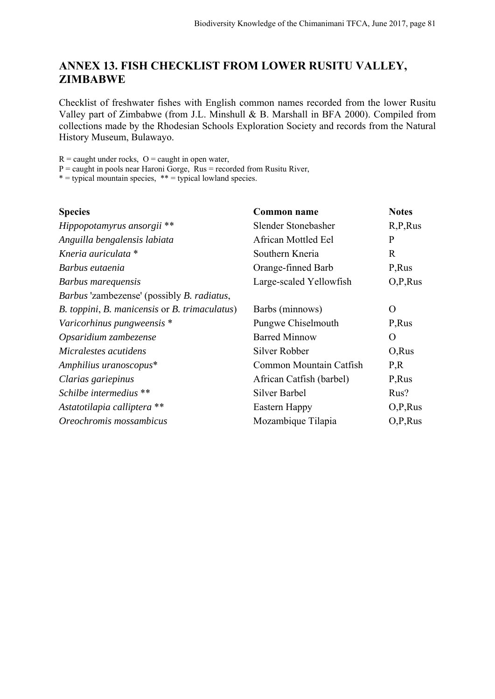# **ANNEX 13. FISH CHECKLIST FROM LOWER RUSITU VALLEY, ZIMBABWE**

Checklist of freshwater fishes with English common names recorded from the lower Rusitu Valley part of Zimbabwe (from J.L. Minshull & B. Marshall in BFA 2000). Compiled from collections made by the Rhodesian Schools Exploration Society and records from the Natural History Museum, Bulawayo.

 $R =$  caught under rocks,  $Q =$  caught in open water,

 $P =$  caught in pools near Haroni Gorge, Rus = recorded from Rusitu River,

 $* =$  typical mountain species,  $** =$  typical lowland species.

| <b>Species</b>                                            | Common name              | <b>Notes</b> |
|-----------------------------------------------------------|--------------------------|--------------|
| Hippopotamyrus ansorgii **                                | Slender Stonebasher      | R, P, Rus    |
| Anguilla bengalensis labiata                              | African Mottled Eel      | P            |
| Kneria auriculata *                                       | Southern Kneria          | $\mathbf{R}$ |
| Barbus eutaenia                                           | Orange-finned Barb       | P, Rus       |
| Barbus marequensis                                        | Large-scaled Yellowfish  | O.P,Rus      |
| <i>Barbus</i> 'zambezense' (possibly <i>B. radiatus</i> , |                          |              |
| B. toppini, B. manicensis or B. trimaculatus)             | Barbs (minnows)          | $\Omega$     |
| Varicorhinus pungweensis *                                | Pungwe Chiselmouth       | P, Rus       |
| Opsaridium zambezense                                     | <b>Barred Minnow</b>     | $\Omega$     |
| Micralestes acutidens                                     | Silver Robber            | O, Rus       |
| Amphilius uranoscopus*                                    | Common Mountain Catfish  | P,R          |
| Clarias gariepinus                                        | African Catfish (barbel) | P, Rus       |
| Schilbe intermedius **                                    | <b>Silver Barbel</b>     | Rus?         |
| Astatotilapia calliptera **                               | Eastern Happy            | O, P, Rus    |
| Oreochromis mossambicus                                   | Mozambique Tilapia       | O.P,Rus      |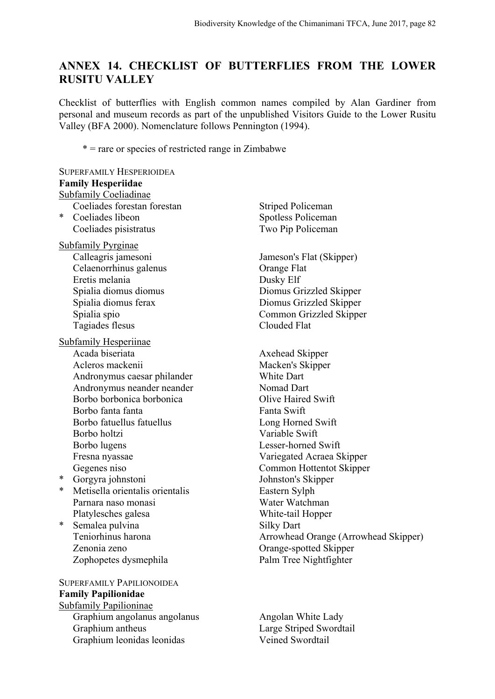# **ANNEX 14. CHECKLIST OF BUTTERFLIES FROM THE LOWER RUSITU VALLEY**

Checklist of butterflies with English common names compiled by Alan Gardiner from personal and museum records as part of the unpublished Visitors Guide to the Lower Rusitu Valley (BFA 2000). Nomenclature follows Pennington (1994).

\* = rare or species of restricted range in Zimbabwe

# SUPERFAMILY HESPERIOIDEA **Family Hesperiidae** Subfamily Coeliadinae Coeliades forestan forestan Striped Policeman \* Coeliades libeon Spotless Policeman Coeliades pisistratus Two Pip Policeman Subfamily Pyrginae Calleagris jamesoni Jameson's Flat (Skipper) Celaenorrhinus galenus Orange Flat Eretis melania Dusky Elf Spialia diomus diomus Diomus Grizzled Skipper Spialia diomus ferax Diomus Grizzled Skipper Spialia spio Common Grizzled Skipper Tagiades flesus Clouded Flat Subfamily Hesperiinae Acada biseriata Axehead Skipper Acleros mackenii Macken's Skipper Andronymus caesar philander White Dart Andronymus neander neander Nomad Dart Borbo borbonica borbonica Olive Haired Swift Borbo fanta fanta **Fanta** Fanta Swift Borbo fatuellus fatuellus **Exercise Swift** Long Horned Swift Borbo holtzi Variable Swift Borbo lugens Lesser-horned Swift Fresna nyassae Variegated Acraea Skipper Gegenes niso Common Hottentot Skipper \* Gorgyra johnstoni Johnston's Skipper \* Metisella orientalis orientalis Eastern Sylph Parnara naso monasi Water Watchman Platylesches galesa White-tail Hopper \* Semalea pulvina Silky Dart Teniorhinus harona Arrowhead Orange (Arrowhead Skipper) Zenonia zeno Orange-spotted Skipper Zophopetes dysmephila Palm Tree Nightfighter SUPERFAMILY PAPILIONOIDEA **Family Papilionidae** Subfamily Papilioninae

Graphium angolanus angolanus Angolan White Lady Graphium antheus Large Striped Swordtail Graphium leonidas leonidas Veined Swordtail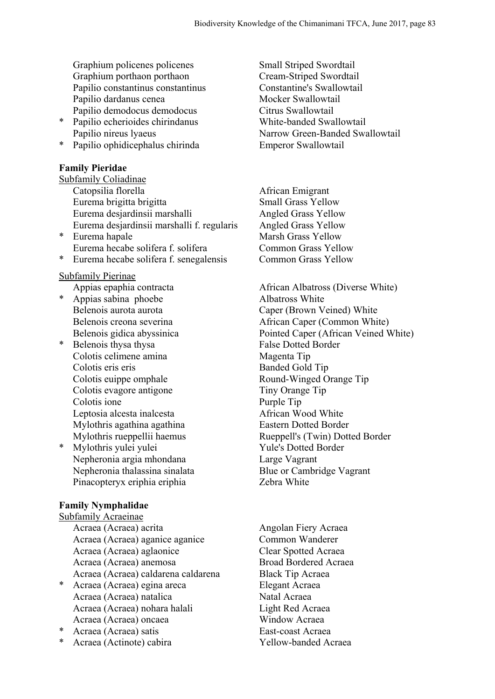Graphium policenes policenes Small Striped Swordtail Graphium porthaon porthaon Cream-Striped Swordtail Papilio constantinus constantinus Constantine's Swallowtail Papilio dardanus cenea Mocker Swallowtail Papilio demodocus demodocus Citrus Swallowtail

- \* Papilio echerioides chirindanus White-banded Swallowtail
- Papilio ophidicephalus chirinda Emperor Swallowtail

## **Family Pieridae**

Subfamily Coliadinae Catopsilia florella African Emigrant Eurema brigitta brigitta Small Grass Yellow Eurema desjardinsii marshalli Angled Grass Yellow Eurema desjardinsii marshalli f. regularis Angled Grass Yellow

Eurema hecabe solifera f. solifera Common Grass Yellow \* Eurema hecabe solifera f. senegalensis Common Grass Yellow

# Subfamily Pierinae

- \* Appias sabina phoebe Albatross White
- \* Belenois thysa thysa **False** Dotted Border Colotis celimene amina Magenta Tip Colotis eris eris Banded Gold Tip Colotis euippe omphale Round-Winged Orange Tip<br>
Colotis evagore antigone Tip<br>
Tiny Orange Tip Colotis evagore antigone Colotis ione Purple Tip Leptosia alcesta inalcesta **African Wood White** Mylothris agathina agathina Eastern Dotted Border
- \* Mylothris yulei yulei Yule's Dotted Border Nepheronia argia mhondana Large Vagrant Nepheronia thalassina sinalata Blue or Cambridge Vagrant Pinacopteryx eriphia eriphia  $Zebra$  White

# **Family Nymphalidae**

Subfamily Acraeinae<br>Acraea (Acraea) acrita Acraea (Acraea) aganice aganice Common Wanderer Acraea (Acraea) aglaonice Clear Spotted Acraea Acraea (Acraea) anemosa Broad Bordered Acraea Acraea (Acraea) caldarena caldarena Black Tip Acraea \* Acraea (Acraea) egina areca Elegant Acraea

- Acraea (Acraea) natalica Natal Acraea Acraea (Acraea) nohara halali Light Red Acraea Acraea (Acraea) oncaea Window Acraea
- \* Acraea (Acraea) satis East-coast Acraea
- Acraea (Actinote) cabira Yellow-banded Acraea

Papilio nireus lyaeus Narrow Green-Banded Swallowtail

\* Eurema hapale Marsh Grass Yellow

Appias epaphia contracta African Albatross (Diverse White) Belenois aurota aurota Caper (Brown Veined) White Belenois creona severina African Caper (Common White) Belenois gidica abyssinica Pointed Caper (African Veined White) Mylothris rueppellii haemus Rueppell's (Twin) Dotted Border

Angolan Fiery Acraea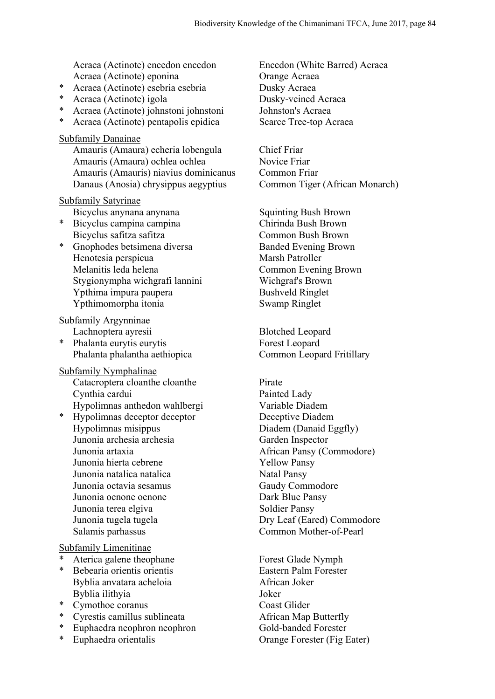Acraea (Actinote) encedon encedon Encedon (White Barred) Acraea Acraea (Actinote) eponina Orange Acraea

- \* Acraea (Actinote) esebria esebria Dusky Acraea
- \* Acraea (Actinote) igola Dusky-veined Acraea
- \* Acraea (Actinote) johnstoni johnstoni Johnston's Acraea
- \* Acraea (Actinote) pentapolis epidica Scarce Tree-top Acraea

#### Subfamily Danainae

Amauris (Amaura) echeria lobengula Chief Friar Amauris (Amaura) ochlea ochlea Novice Friar Amauris (Amauris) niavius dominicanus Common Friar Danaus (Anosia) chrysippus aegyptius Common Tiger (African Monarch)

## Subfamily Satyrinae

Bicyclus anynana anynana Squinting Bush Brown

- Bicyclus safitza safitza Common Bush Brown
- \* Gnophodes betsimena diversa<br>Banded Evening Brown Henotesia perspicua Marsh Patroller Melanitis leda helena Common Evening Brown Stygionympha wichgrafi lannini Wichgraf's Brown Ypthima impura paupera Bushveld Ringlet Ypthimomorpha itonia Swamp Ringlet

Subfamily Argynninae

**Phalanta eurytis eurytis Forest Leopard** Phalanta phalantha aethiopica Common Leopard Fritillary

### Subfamily Nymphalinae

Catacroptera cloanthe cloanthe Pirate Cynthia cardui Painted Lady Hypolimnas anthedon wahlbergi Variable Diadem

\* Hypolimnas deceptor deceptor Deceptive Diadem Hypolimnas misippus Diadem (Danaid Eggfly) Junonia archesia archesia Garden Inspector Junonia artaxia African Pansy (Commodore) Junonia hierta cebrene Yellow Pansy Junonia natalica natalica Natal Pansy Junonia octavia sesamus Gaudy Commodore Junonia oenone oenone Dark Blue Pansy Junonia terea elgiva Soldier Pansy Junonia tugela tugela Dry Leaf (Eared) Commodore Salamis parhassus Common Mother-of-Pearl

### Subfamily Limenitinae

- Aterica galene theophane Forest Glade Nymph
- \* Bebearia orientis orientis expressed by Eastern Palm Forester Byblia anvatara acheloia **African Joker** Byblia ilithyia Joker
- \* Cymothoe coranus Coast Glider
- \* Cyrestis camillus sublineata African Map Butterfly
- Euphaedra neophron neophron Gold-banded Forester
- 

\* Bicyclus campina campina Chirinda Bush Brown

Lachnoptera ayresii Blotched Leopard

\* Euphaedra orientalis Orange Forester (Fig Eater)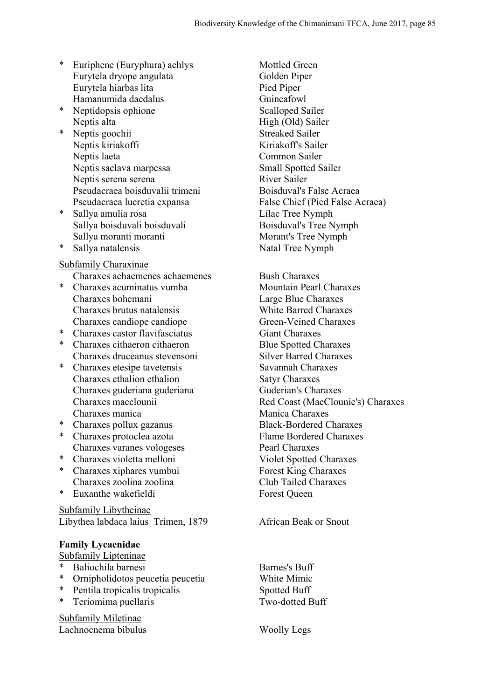- \* Euriphene (Euryphura) achlys Mottled Green Eurytela dryope angulata Golden Piper Eurytela hiarbas lita Pied Piper Hamanumida daedalus Guineafowl
- \* Neptidopsis ophione Scalloped Sailer Neptis alta High (Old) Sailer
- \* Neptis goochii Streaked Sailer Neptis kiriakoffi Kiriakoffs Sailer Neptis laeta Common Sailer Neptis saclava marpessa Small Spotted Sailer Neptis serena serena  $\frac{1}{\sqrt{2}}$  River Sailer Pseudacraea boisduvalii trimeni Boisduval's False Acraea
- \* Sallya amulia rosa Lilac Tree Nymph Sallya boisduvali boisduvali Boisduval's Tree Nymph Sallya moranti moranti moranti Morant's Tree Nymph
- 

## Subfamily Charaxinae

- Charaxes achaemenes achaemenes Bush Charaxes
- \* Charaxes acuminatus vumba Mountain Pearl Charaxes Charaxes bohemani Large Blue Charaxes Charaxes brutus natalensis White Barred Charaxes Charaxes candiope candiope Green-Veined Charaxes
- \* Charaxes castor flavifasciatus Giant Charaxes
- \* Charaxes cithaeron cithaeron Blue Spotted Charaxes Charaxes druceanus stevensoni Silver Barred Charaxes
- \* Charaxes etesipe tavetensis Savannah Charaxes Charaxes ethalion ethalion Satyr Charaxes Charaxes guderiana guderiana Guderian's Charaxes Charaxes manica Manica Charaxes
- \* Charaxes pollux gazanus Black-Bordered Charaxes
- \* Charaxes protoclea azota Flame Bordered Charaxes Charaxes varanes vologeses Pearl Charaxes
- \* Charaxes violetta melloni Violet Spotted Charaxes
- \* Charaxes xiphares vumbui Forest King Charaxes Charaxes zoolina zoolina Club Tailed Charaxes
- Euxanthe wakefieldi Forest Queen

Subfamily Libytheinae Libythea labdaca laius Trimen, 1879 African Beak or Snout

## **Family Lycaenidae**

Subfamily Lipteninae

- \* Baliochila barnesi Barnes's Buff
- \* Ornipholidotos peucetia peucetia White Mimic
- Pentila tropicalis tropicalis Spotted Buff
- Teriomima puellaris Two-dotted Buff

Subfamily Miletinae Lachnocnema bibulus Woolly Legs

Pseudacraea lucretia expansa False Chief (Pied False Acraea) Sallya natalensis Natal Tree Nymph

Charaxes macclounii Red Coast (MacClounie's) Charaxes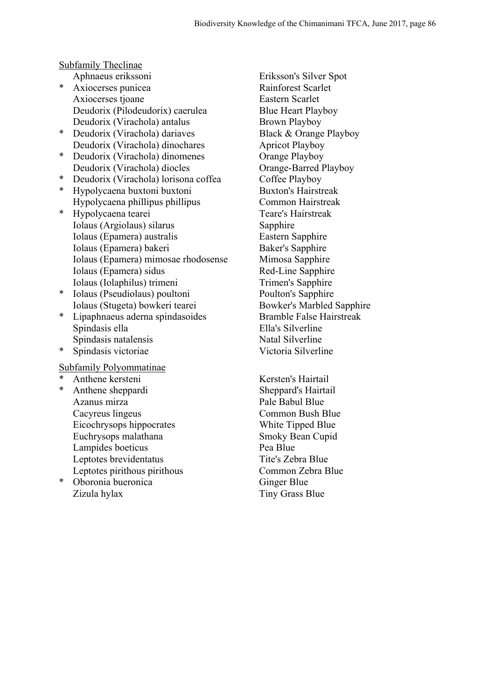## Subfamily Theclinae

- Axiocerses punicea Rainforest Scarlet Axiocerses tjoane Eastern Scarlet Deudorix (Pilodeudorix) caerulea Blue Heart Playboy Deudorix (Virachola) antalus Brown Playboy
- \* Deudorix (Virachola) dariaves Black & Orange Playboy Deudorix (Virachola) dinochares Apricot Playboy
- Deudorix (Virachola) dinomenes Orange Playboy
- Deudorix (Virachola) lorisona coffea
- \* Hypolycaena buxtoni buxtoni Buxton's Hairstreak Hypolycaena phillipus phillipus Common Hairstreak
- \* Hypolycaena tearei Teare's Hairstreak Iolaus (Argiolaus) silarus Sapphire Iolaus (Epamera) australis Eastern Sapphire Iolaus (Epamera) bakeri Baker's Sapphire Iolaus (Epamera) mimosae rhodosense Mimosa Sapphire Iolaus (Epamera) sidus Red-Line Sapphire Iolaus (Iolaphilus) trimeni Trimen's Sapphire
- Iolaus (Pseudiolaus) poultoni Poulton's Sapphire Iolaus (Stugeta) bowkeri tearei Bowker's Marbled Sapphire
- Lipaphnaeus aderna spindasoides Bramble False Hairstreak Spindasis ella Ella's Silverline Spindasis natalensis Natal Silverline
- \* Spindasis victoriae Victoria Silverline

## Subfamily Polyommatinae

- 
- Anthene sheppardi Sheppard's Hairtail Azanus mirza Pale Babul Blue Cacyreus lingeus Common Bush Blue Eicochrysops hippocrates White Tipped Blue Euchrysops malathana Smoky Bean Cupid Lampides boeticus Pea Blue Leptotes brevidentatus Tite's Zebra Blue Leptotes pirithous pirithous Common Zebra Blue
- \* Oboronia bueronica Ginger Blue Zizula hylax Tiny Grass Blue

Aphnaeus erikssoni Eriksson's Silver Spot Deudorix (Virachola) diocles<br>
Deudorix (Virachola) lorisona coffea<br>
Coffee Playboy<br>
Coffee Playboy

Anthene kersteni Kersten's Hairtail